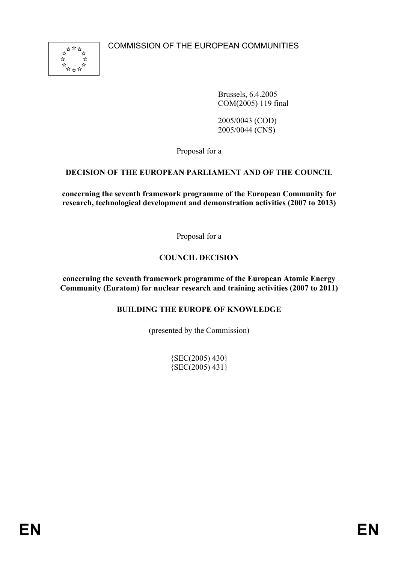

Brussels, 6.4.2005 COM(2005) 119 final

2005/0043 (COD) 2005/0044 (CNS)

Proposal for a

# **DECISION OF THE EUROPEAN PARLIAMENT AND OF THE COUNCIL**

**concerning the seventh framework programme of the European Community for research, technological development and demonstration activities (2007 to 2013)** 

Proposal for a

# **COUNCIL DECISION**

**concerning the seventh framework programme of the European Atomic Energy Community (Euratom) for nuclear research and training activities (2007 to 2011)** 

#### **BUILDING THE EUROPE OF KNOWLEDGE**

(presented by the Commission)

 ${SEC(2005) 430}$ {SEC(2005) 431}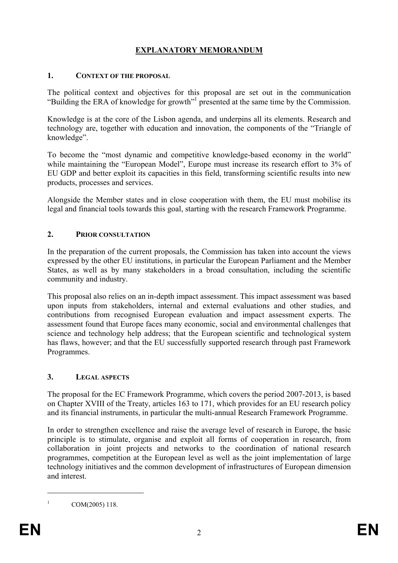# **EXPLANATORY MEMORANDUM**

#### **1. CONTEXT OF THE PROPOSAL**

The political context and objectives for this proposal are set out in the communication "Building the ERA of knowledge for growth"<sup>1</sup> presented at the same time by the Commission.

Knowledge is at the core of the Lisbon agenda, and underpins all its elements. Research and technology are, together with education and innovation, the components of the "Triangle of knowledge".

To become the "most dynamic and competitive knowledge-based economy in the world" while maintaining the "European Model", Europe must increase its research effort to 3% of EU GDP and better exploit its capacities in this field, transforming scientific results into new products, processes and services.

Alongside the Member states and in close cooperation with them, the EU must mobilise its legal and financial tools towards this goal, starting with the research Framework Programme.

#### **2. PRIOR CONSULTATION**

In the preparation of the current proposals, the Commission has taken into account the views expressed by the other EU institutions, in particular the European Parliament and the Member States, as well as by many stakeholders in a broad consultation, including the scientific community and industry.

This proposal also relies on an in-depth impact assessment. This impact assessment was based upon inputs from stakeholders, internal and external evaluations and other studies, and contributions from recognised European evaluation and impact assessment experts. The assessment found that Europe faces many economic, social and environmental challenges that science and technology help address; that the European scientific and technological system has flaws, however; and that the EU successfully supported research through past Framework Programmes.

#### **3. LEGAL ASPECTS**

The proposal for the EC Framework Programme, which covers the period 2007-2013, is based on Chapter XVIII of the Treaty, articles 163 to 171, which provides for an EU research policy and its financial instruments, in particular the multi-annual Research Framework Programme.

In order to strengthen excellence and raise the average level of research in Europe, the basic principle is to stimulate, organise and exploit all forms of cooperation in research, from collaboration in joint projects and networks to the coordination of national research programmes, competition at the European level as well as the joint implementation of large technology initiatives and the common development of infrastructures of European dimension and interest.

COM(2005) 118.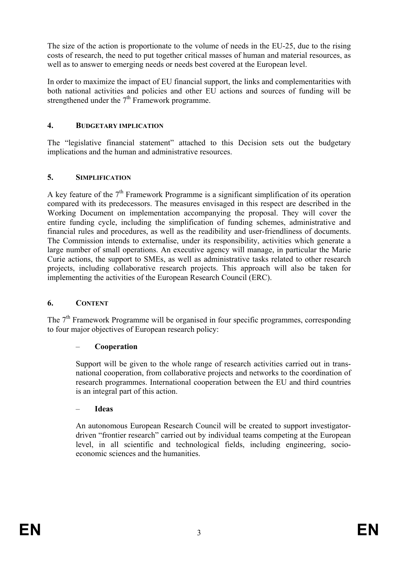The size of the action is proportionate to the volume of needs in the EU-25, due to the rising costs of research, the need to put together critical masses of human and material resources, as well as to answer to emerging needs or needs best covered at the European level.

In order to maximize the impact of EU financial support, the links and complementarities with both national activities and policies and other EU actions and sources of funding will be strengthened under the  $7<sup>th</sup>$  Framework programme.

#### **4. BUDGETARY IMPLICATION**

The "legislative financial statement" attached to this Decision sets out the budgetary implications and the human and administrative resources.

#### **5. SIMPLIFICATION**

A key feature of the  $7<sup>th</sup>$  Framework Programme is a significant simplification of its operation compared with its predecessors. The measures envisaged in this respect are described in the Working Document on implementation accompanying the proposal. They will cover the entire funding cycle, including the simplification of funding schemes, administrative and financial rules and procedures, as well as the readibility and user-friendliness of documents. The Commission intends to externalise, under its responsibility, activities which generate a large number of small operations. An executive agency will manage, in particular the Marie Curie actions, the support to SMEs, as well as administrative tasks related to other research projects, including collaborative research projects. This approach will also be taken for implementing the activities of the European Research Council (ERC).

#### **6. CONTENT**

The  $7<sup>th</sup>$  Framework Programme will be organised in four specific programmes, corresponding to four major objectives of European research policy:

#### – **Cooperation**

Support will be given to the whole range of research activities carried out in transnational cooperation, from collaborative projects and networks to the coordination of research programmes. International cooperation between the EU and third countries is an integral part of this action.

#### – **Ideas**

An autonomous European Research Council will be created to support investigatordriven "frontier research" carried out by individual teams competing at the European level, in all scientific and technological fields, including engineering, socioeconomic sciences and the humanities.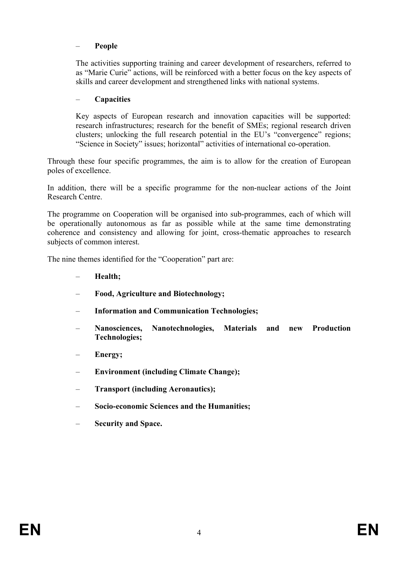#### – **People**

The activities supporting training and career development of researchers, referred to as "Marie Curie" actions, will be reinforced with a better focus on the key aspects of skills and career development and strengthened links with national systems.

#### – **Capacities**

Key aspects of European research and innovation capacities will be supported: research infrastructures; research for the benefit of SMEs; regional research driven clusters; unlocking the full research potential in the EU's "convergence" regions; "Science in Society" issues; horizontal" activities of international co-operation.

Through these four specific programmes, the aim is to allow for the creation of European poles of excellence.

In addition, there will be a specific programme for the non-nuclear actions of the Joint Research Centre.

The programme on Cooperation will be organised into sub-programmes, each of which will be operationally autonomous as far as possible while at the same time demonstrating coherence and consistency and allowing for joint, cross-thematic approaches to research subjects of common interest.

The nine themes identified for the "Cooperation" part are:

- **Health;**
- **Food, Agriculture and Biotechnology;**
- **Information and Communication Technologies;**
- **Nanosciences, Nanotechnologies, Materials and new Production Technologies;**
- Energy;
- **Environment (including Climate Change);**
- **Transport (including Aeronautics);**
- **Socio-economic Sciences and the Humanities;**
- **Security and Space.**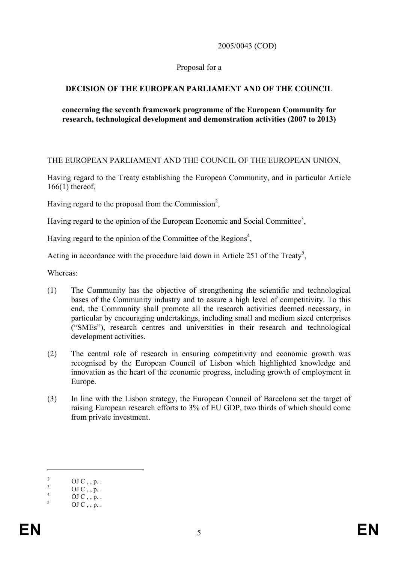2005/0043 (COD)

#### Proposal for a

### **DECISION OF THE EUROPEAN PARLIAMENT AND OF THE COUNCIL**

#### **concerning the seventh framework programme of the European Community for research, technological development and demonstration activities (2007 to 2013)**

#### THE EUROPEAN PARLIAMENT AND THE COUNCIL OF THE EUROPEAN UNION,

Having regard to the Treaty establishing the European Community, and in particular Article 166(1) thereof,

Having regard to the proposal from the Commission<sup>2</sup>,

Having regard to the opinion of the European Economic and Social Committee<sup>3</sup>,

Having regard to the opinion of the Committee of the Regions<sup>4</sup>,

Acting in accordance with the procedure laid down in Article 251 of the Treaty<sup>5</sup>,

Whereas:

- (1) The Community has the objective of strengthening the scientific and technological bases of the Community industry and to assure a high level of competitivity. To this end, the Community shall promote all the research activities deemed necessary, in particular by encouraging undertakings, including small and medium sized enterprises ("SMEs"), research centres and universities in their research and technological development activities.
- (2) The central role of research in ensuring competitivity and economic growth was recognised by the European Council of Lisbon which highlighted knowledge and innovation as the heart of the economic progress, including growth of employment in Europe.
- (3) In line with the Lisbon strategy, the European Council of Barcelona set the target of raising European research efforts to 3% of EU GDP, two thirds of which should come from private investment.

<sup>2</sup> OJ  $C$ , , p. . 3

OJ  $C$ , , p. . 4

OJ C , , p. . 5

OJ  $C$ ,  $p$ .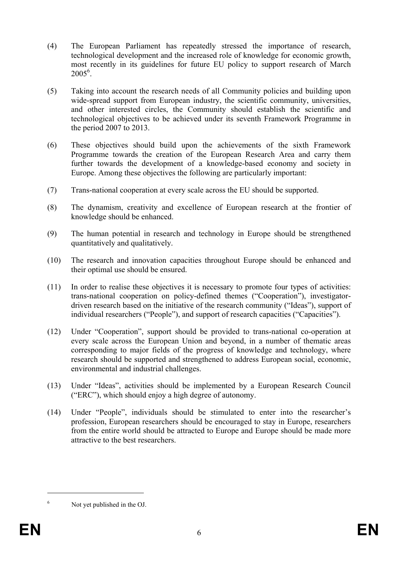- (4) The European Parliament has repeatedly stressed the importance of research, technological development and the increased role of knowledge for economic growth, most recently in its guidelines for future EU policy to support research of March  $2005^6$ .
- (5) Taking into account the research needs of all Community policies and building upon wide-spread support from European industry, the scientific community, universities, and other interested circles, the Community should establish the scientific and technological objectives to be achieved under its seventh Framework Programme in the period 2007 to 2013.
- (6) These objectives should build upon the achievements of the sixth Framework Programme towards the creation of the European Research Area and carry them further towards the development of a knowledge-based economy and society in Europe. Among these objectives the following are particularly important:
- (7) Trans-national cooperation at every scale across the EU should be supported.
- (8) The dynamism, creativity and excellence of European research at the frontier of knowledge should be enhanced.
- (9) The human potential in research and technology in Europe should be strengthened quantitatively and qualitatively.
- (10) The research and innovation capacities throughout Europe should be enhanced and their optimal use should be ensured.
- (11) In order to realise these objectives it is necessary to promote four types of activities: trans-national cooperation on policy-defined themes ("Cooperation"), investigatordriven research based on the initiative of the research community ("Ideas"), support of individual researchers ("People"), and support of research capacities ("Capacities").
- (12) Under "Cooperation", support should be provided to trans-national co-operation at every scale across the European Union and beyond, in a number of thematic areas corresponding to major fields of the progress of knowledge and technology, where research should be supported and strengthened to address European social, economic, environmental and industrial challenges.
- (13) Under "Ideas", activities should be implemented by a European Research Council ("ERC"), which should enjoy a high degree of autonomy.
- (14) Under "People", individuals should be stimulated to enter into the researcher's profession, European researchers should be encouraged to stay in Europe, researchers from the entire world should be attracted to Europe and Europe should be made more attractive to the best researchers.

<sup>1</sup> 6

Not yet published in the OJ.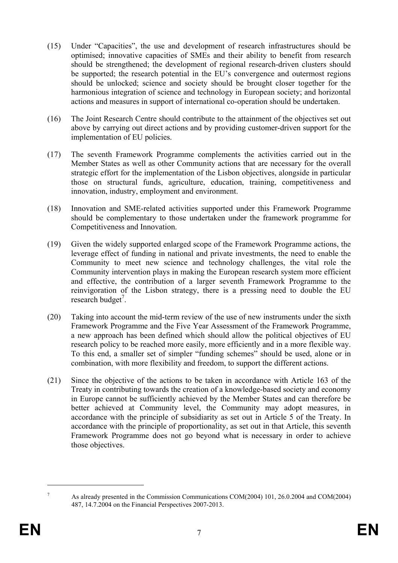- (15) Under "Capacities", the use and development of research infrastructures should be optimised; innovative capacities of SMEs and their ability to benefit from research should be strengthened; the development of regional research-driven clusters should be supported; the research potential in the EU's convergence and outermost regions should be unlocked; science and society should be brought closer together for the harmonious integration of science and technology in European society; and horizontal actions and measures in support of international co-operation should be undertaken.
- (16) The Joint Research Centre should contribute to the attainment of the objectives set out above by carrying out direct actions and by providing customer-driven support for the implementation of EU policies.
- (17) The seventh Framework Programme complements the activities carried out in the Member States as well as other Community actions that are necessary for the overall strategic effort for the implementation of the Lisbon objectives, alongside in particular those on structural funds, agriculture, education, training, competitiveness and innovation, industry, employment and environment.
- (18) Innovation and SME-related activities supported under this Framework Programme should be complementary to those undertaken under the framework programme for Competitiveness and Innovation.
- (19) Given the widely supported enlarged scope of the Framework Programme actions, the leverage effect of funding in national and private investments, the need to enable the Community to meet new science and technology challenges, the vital role the Community intervention plays in making the European research system more efficient and effective, the contribution of a larger seventh Framework Programme to the reinvigoration of the Lisbon strategy, there is a pressing need to double the EU research budget<sup>7</sup>.
- (20) Taking into account the mid-term review of the use of new instruments under the sixth Framework Programme and the Five Year Assessment of the Framework Programme, a new approach has been defined which should allow the political objectives of EU research policy to be reached more easily, more efficiently and in a more flexible way. To this end, a smaller set of simpler "funding schemes" should be used, alone or in combination, with more flexibility and freedom, to support the different actions.
- (21) Since the objective of the actions to be taken in accordance with Article 163 of the Treaty in contributing towards the creation of a knowledge-based society and economy in Europe cannot be sufficiently achieved by the Member States and can therefore be better achieved at Community level, the Community may adopt measures, in accordance with the principle of subsidiarity as set out in Article 5 of the Treaty. In accordance with the principle of proportionality, as set out in that Article, this seventh Framework Programme does not go beyond what is necessary in order to achieve those objectives.

As already presented in the Commission Communications COM(2004) 101, 26.0.2004 and COM(2004) 487, 14.7.2004 on the Financial Perspectives 2007-2013.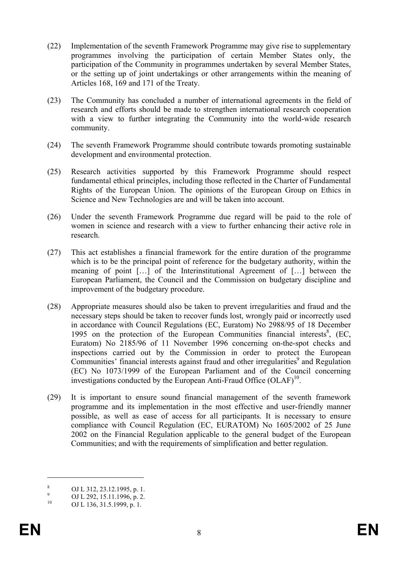- (22) Implementation of the seventh Framework Programme may give rise to supplementary programmes involving the participation of certain Member States only, the participation of the Community in programmes undertaken by several Member States, or the setting up of joint undertakings or other arrangements within the meaning of Articles 168, 169 and 171 of the Treaty.
- (23) The Community has concluded a number of international agreements in the field of research and efforts should be made to strengthen international research cooperation with a view to further integrating the Community into the world-wide research community.
- (24) The seventh Framework Programme should contribute towards promoting sustainable development and environmental protection.
- (25) Research activities supported by this Framework Programme should respect fundamental ethical principles, including those reflected in the Charter of Fundamental Rights of the European Union. The opinions of the European Group on Ethics in Science and New Technologies are and will be taken into account.
- (26) Under the seventh Framework Programme due regard will be paid to the role of women in science and research with a view to further enhancing their active role in research.
- (27) This act establishes a financial framework for the entire duration of the programme which is to be the principal point of reference for the budgetary authority, within the meaning of point […] of the Interinstitutional Agreement of […] between the European Parliament, the Council and the Commission on budgetary discipline and improvement of the budgetary procedure.
- (28) Appropriate measures should also be taken to prevent irregularities and fraud and the necessary steps should be taken to recover funds lost, wrongly paid or incorrectly used in accordance with Council Regulations (EC, Euratom) No 2988/95 of 18 December 1995 on the protection of the European Communities financial interests $8$ , (EC, Euratom) No 2185/96 of 11 November 1996 concerning on-the-spot checks and inspections carried out by the Commission in order to protect the European Communities' financial interests against fraud and other irregularities<sup>9</sup> and Regulation (EC) No 1073/1999 of the European Parliament and of the Council concerning investigations conducted by the European Anti-Fraud Office  $(OLAF)^{10}$ .
- (29) It is important to ensure sound financial management of the seventh framework programme and its implementation in the most effective and user-friendly manner possible, as well as ease of access for all participants. It is necessary to ensure compliance with Council Regulation (EC, EURATOM) No 1605/2002 of 25 June 2002 on the Financial Regulation applicable to the general budget of the European Communities; and with the requirements of simplification and better regulation.

<u>.</u>

<sup>8</sup> OJ L 312, 23.12.1995, p. 1.

<sup>9</sup> <sup>9</sup> OJ L 292, 15.11.1996, p. 2.<br><sup>10</sup> OJ L 126, 21, 5, 1000, p. 1.

OJ L 136, 31.5.1999, p. 1.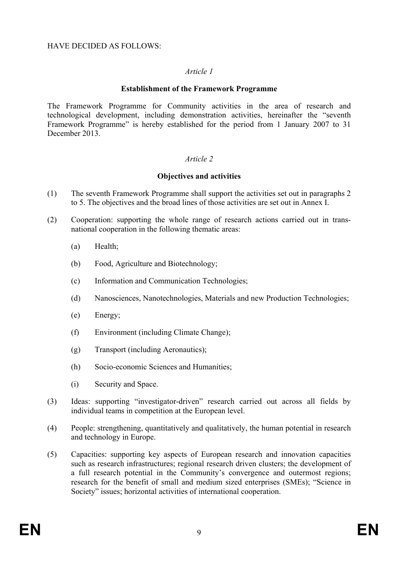#### HAVE DECIDED AS FOLLOWS:

#### *Article 1*

#### **Establishment of the Framework Programme**

The Framework Programme for Community activities in the area of research and technological development, including demonstration activities, hereinafter the "seventh Framework Programme" is hereby established for the period from 1 January 2007 to 31 December 2013.

#### *Article 2*

#### **Objectives and activities**

- (1) The seventh Framework Programme shall support the activities set out in paragraphs 2 to 5. The objectives and the broad lines of those activities are set out in Annex I.
- (2) Cooperation: supporting the whole range of research actions carried out in transnational cooperation in the following thematic areas:
	- (a) Health<sup>-</sup>
	- (b) Food, Agriculture and Biotechnology;
	- (c) Information and Communication Technologies;
	- (d) Nanosciences, Nanotechnologies, Materials and new Production Technologies;
	- (e) Energy;
	- (f) Environment (including Climate Change);
	- (g) Transport (including Aeronautics);
	- (h) Socio-economic Sciences and Humanities;
	- (i) Security and Space.
- (3) Ideas: supporting "investigator-driven" research carried out across all fields by individual teams in competition at the European level.
- (4) People: strengthening, quantitatively and qualitatively, the human potential in research and technology in Europe.
- (5) Capacities: supporting key aspects of European research and innovation capacities such as research infrastructures; regional research driven clusters; the development of a full research potential in the Community's convergence and outermost regions; research for the benefit of small and medium sized enterprises (SMEs); "Science in Society" issues; horizontal activities of international cooperation.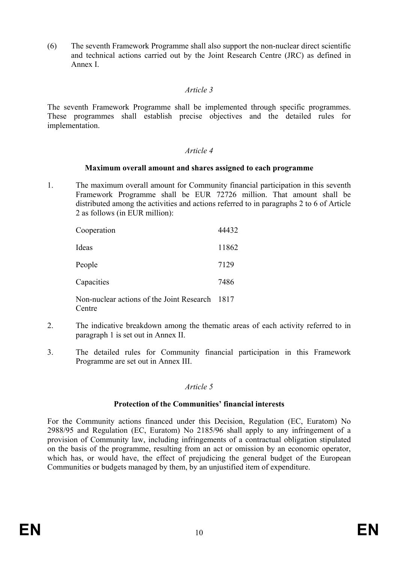(6) The seventh Framework Programme shall also support the non-nuclear direct scientific and technical actions carried out by the Joint Research Centre (JRC) as defined in Annex I.

#### *Article 3*

The seventh Framework Programme shall be implemented through specific programmes. These programmes shall establish precise objectives and the detailed rules for implementation.

#### *Article 4*

#### **Maximum overall amount and shares assigned to each programme**

1. The maximum overall amount for Community financial participation in this seventh Framework Programme shall be EUR 72726 million. That amount shall be distributed among the activities and actions referred to in paragraphs 2 to 6 of Article 2 as follows (in EUR million):

| Cooperation                                         | 44432 |
|-----------------------------------------------------|-------|
| Ideas                                               | 11862 |
| People                                              | 7129  |
| Capacities                                          | 7486  |
| Non-nuclear actions of the Joint Research<br>Centre | 1817  |

- 2. The indicative breakdown among the thematic areas of each activity referred to in paragraph 1 is set out in Annex II.
- 3. The detailed rules for Community financial participation in this Framework Programme are set out in Annex III.

#### *Article 5*

#### **Protection of the Communities' financial interests**

For the Community actions financed under this Decision, Regulation (EC, Euratom) No 2988/95 and Regulation (EC, Euratom) No 2185/96 shall apply to any infringement of a provision of Community law, including infringements of a contractual obligation stipulated on the basis of the programme, resulting from an act or omission by an economic operator, which has, or would have, the effect of prejudicing the general budget of the European Communities or budgets managed by them, by an unjustified item of expenditure.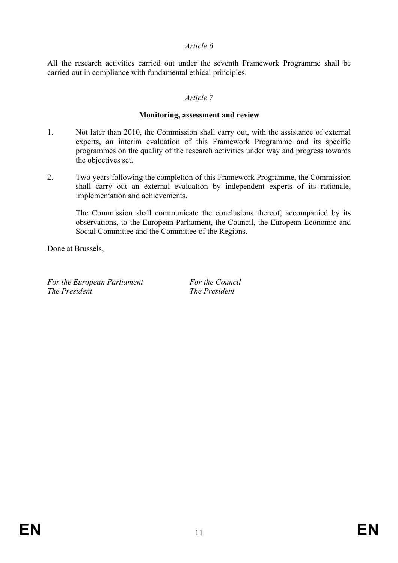#### *Article 6*

All the research activities carried out under the seventh Framework Programme shall be carried out in compliance with fundamental ethical principles.

#### *Article 7*

#### **Monitoring, assessment and review**

- 1. Not later than 2010, the Commission shall carry out, with the assistance of external experts, an interim evaluation of this Framework Programme and its specific programmes on the quality of the research activities under way and progress towards the objectives set.
- 2. Two years following the completion of this Framework Programme, the Commission shall carry out an external evaluation by independent experts of its rationale, implementation and achievements.

The Commission shall communicate the conclusions thereof, accompanied by its observations, to the European Parliament, the Council, the European Economic and Social Committee and the Committee of the Regions.

Done at Brussels,

*For the European Parliament For the Council*<br>*The President The President* 

*The President The President*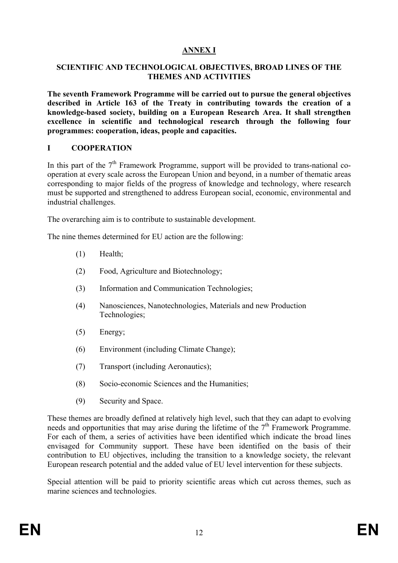# **ANNEX I**

#### **SCIENTIFIC AND TECHNOLOGICAL OBJECTIVES, BROAD LINES OF THE THEMES AND ACTIVITIES**

**The seventh Framework Programme will be carried out to pursue the general objectives described in Article 163 of the Treaty in contributing towards the creation of a knowledge-based society, building on a European Research Area. It shall strengthen excellence in scientific and technological research through the following four programmes: cooperation, ideas, people and capacities.** 

### **I COOPERATION**

In this part of the  $7<sup>th</sup>$  Framework Programme, support will be provided to trans-national cooperation at every scale across the European Union and beyond, in a number of thematic areas corresponding to major fields of the progress of knowledge and technology, where research must be supported and strengthened to address European social, economic, environmental and industrial challenges.

The overarching aim is to contribute to sustainable development.

The nine themes determined for EU action are the following:

- (1) Health;
- (2) Food, Agriculture and Biotechnology;
- (3) Information and Communication Technologies;
- (4) Nanosciences, Nanotechnologies, Materials and new Production Technologies;
- (5) Energy;
- (6) Environment (including Climate Change);
- (7) Transport (including Aeronautics);
- (8) Socio-economic Sciences and the Humanities;
- (9) Security and Space.

These themes are broadly defined at relatively high level, such that they can adapt to evolving needs and opportunities that may arise during the lifetime of the  $7<sup>th</sup>$  Framework Programme. For each of them, a series of activities have been identified which indicate the broad lines envisaged for Community support. These have been identified on the basis of their contribution to EU objectives, including the transition to a knowledge society, the relevant European research potential and the added value of EU level intervention for these subjects.

Special attention will be paid to priority scientific areas which cut across themes, such as marine sciences and technologies.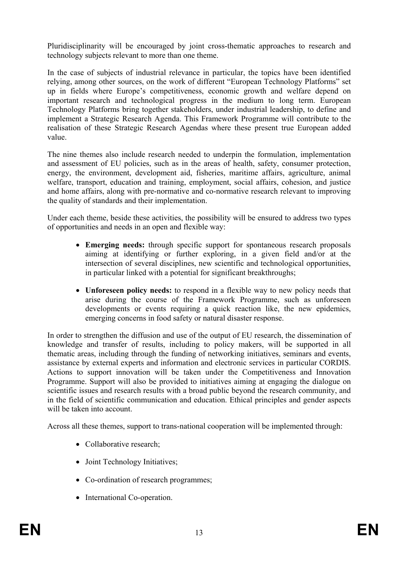Pluridisciplinarity will be encouraged by joint cross-thematic approaches to research and technology subjects relevant to more than one theme.

In the case of subjects of industrial relevance in particular, the topics have been identified relying, among other sources, on the work of different "European Technology Platforms" set up in fields where Europe's competitiveness, economic growth and welfare depend on important research and technological progress in the medium to long term. European Technology Platforms bring together stakeholders, under industrial leadership, to define and implement a Strategic Research Agenda. This Framework Programme will contribute to the realisation of these Strategic Research Agendas where these present true European added value.

The nine themes also include research needed to underpin the formulation, implementation and assessment of EU policies, such as in the areas of health, safety, consumer protection, energy, the environment, development aid, fisheries, maritime affairs, agriculture, animal welfare, transport, education and training, employment, social affairs, cohesion, and justice and home affairs, along with pre-normative and co-normative research relevant to improving the quality of standards and their implementation.

Under each theme, beside these activities, the possibility will be ensured to address two types of opportunities and needs in an open and flexible way:

- **Emerging needs:** through specific support for spontaneous research proposals aiming at identifying or further exploring, in a given field and/or at the intersection of several disciplines, new scientific and technological opportunities, in particular linked with a potential for significant breakthroughs;
- **Unforeseen policy needs:** to respond in a flexible way to new policy needs that arise during the course of the Framework Programme, such as unforeseen developments or events requiring a quick reaction like, the new epidemics, emerging concerns in food safety or natural disaster response.

In order to strengthen the diffusion and use of the output of EU research, the dissemination of knowledge and transfer of results, including to policy makers, will be supported in all thematic areas, including through the funding of networking initiatives, seminars and events, assistance by external experts and information and electronic services in particular CORDIS. Actions to support innovation will be taken under the Competitiveness and Innovation Programme. Support will also be provided to initiatives aiming at engaging the dialogue on scientific issues and research results with a broad public beyond the research community, and in the field of scientific communication and education. Ethical principles and gender aspects will be taken into account.

Across all these themes, support to trans-national cooperation will be implemented through:

- Collaborative research;
- Joint Technology Initiatives;
- Co-ordination of research programmes:
- International Co-operation.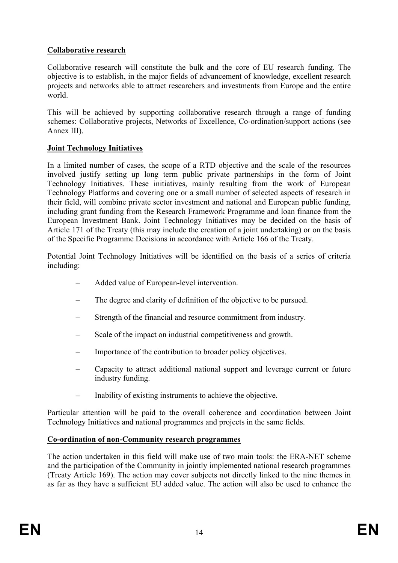### **Collaborative research**

Collaborative research will constitute the bulk and the core of EU research funding. The objective is to establish, in the major fields of advancement of knowledge, excellent research projects and networks able to attract researchers and investments from Europe and the entire world.

This will be achieved by supporting collaborative research through a range of funding schemes: Collaborative projects, Networks of Excellence, Co-ordination/support actions (see Annex III).

### **Joint Technology Initiatives**

In a limited number of cases, the scope of a RTD objective and the scale of the resources involved justify setting up long term public private partnerships in the form of Joint Technology Initiatives. These initiatives, mainly resulting from the work of European Technology Platforms and covering one or a small number of selected aspects of research in their field, will combine private sector investment and national and European public funding, including grant funding from the Research Framework Programme and loan finance from the European Investment Bank. Joint Technology Initiatives may be decided on the basis of Article 171 of the Treaty (this may include the creation of a joint undertaking) or on the basis of the Specific Programme Decisions in accordance with Article 166 of the Treaty.

Potential Joint Technology Initiatives will be identified on the basis of a series of criteria including:

- Added value of European-level intervention.
- The degree and clarity of definition of the objective to be pursued.
- Strength of the financial and resource commitment from industry.
- Scale of the impact on industrial competitiveness and growth.
- Importance of the contribution to broader policy objectives.
- Capacity to attract additional national support and leverage current or future industry funding.
- Inability of existing instruments to achieve the objective.

Particular attention will be paid to the overall coherence and coordination between Joint Technology Initiatives and national programmes and projects in the same fields.

#### **Co-ordination of non-Community research programmes**

The action undertaken in this field will make use of two main tools: the ERA-NET scheme and the participation of the Community in jointly implemented national research programmes (Treaty Article 169). The action may cover subjects not directly linked to the nine themes in as far as they have a sufficient EU added value. The action will also be used to enhance the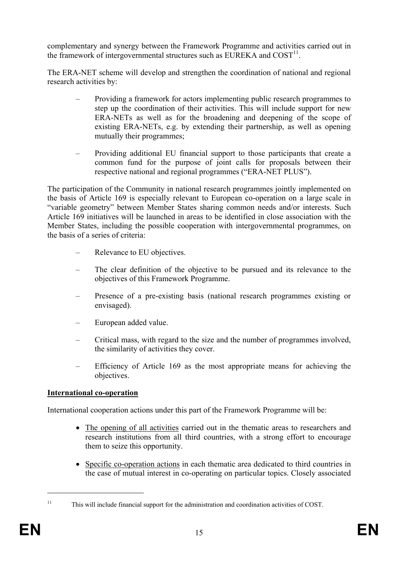complementary and synergy between the Framework Programme and activities carried out in the framework of intergovernmental structures such as EUREKA and  $COST<sup>11</sup>$ .

The ERA-NET scheme will develop and strengthen the coordination of national and regional research activities by:

- Providing a framework for actors implementing public research programmes to step up the coordination of their activities. This will include support for new ERA-NETs as well as for the broadening and deepening of the scope of existing ERA-NETs, e.g. by extending their partnership, as well as opening mutually their programmes;
- Providing additional EU financial support to those participants that create a common fund for the purpose of joint calls for proposals between their respective national and regional programmes ("ERA-NET PLUS").

The participation of the Community in national research programmes jointly implemented on the basis of Article 169 is especially relevant to European co-operation on a large scale in "variable geometry" between Member States sharing common needs and/or interests. Such Article 169 initiatives will be launched in areas to be identified in close association with the Member States, including the possible cooperation with intergovernmental programmes, on the basis of a series of criteria:

- Relevance to EU objectives.
- The clear definition of the objective to be pursued and its relevance to the objectives of this Framework Programme.
- Presence of a pre-existing basis (national research programmes existing or envisaged).
- European added value.
- Critical mass, with regard to the size and the number of programmes involved, the similarity of activities they cover.
- Efficiency of Article 169 as the most appropriate means for achieving the objectives.

#### **International co-operation**

International cooperation actions under this part of the Framework Programme will be:

- The opening of all activities carried out in the thematic areas to researchers and research institutions from all third countries, with a strong effort to encourage them to seize this opportunity.
- Specific co-operation actions in each thematic area dedicated to third countries in the case of mutual interest in co-operating on particular topics. Closely associated

<sup>&</sup>lt;sup>11</sup> This will include financial support for the administration and coordination activities of COST.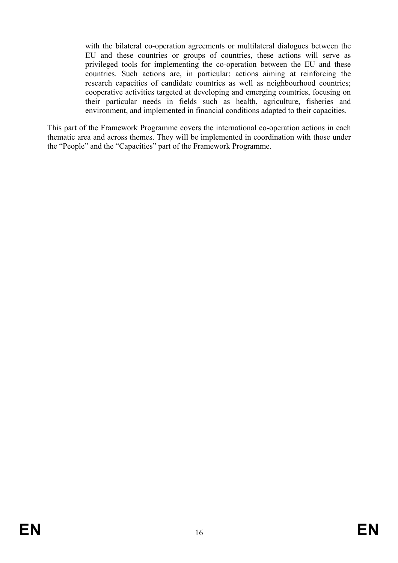with the bilateral co-operation agreements or multilateral dialogues between the EU and these countries or groups of countries, these actions will serve as privileged tools for implementing the co-operation between the EU and these countries. Such actions are, in particular: actions aiming at reinforcing the research capacities of candidate countries as well as neighbourhood countries; cooperative activities targeted at developing and emerging countries, focusing on their particular needs in fields such as health, agriculture, fisheries and environment, and implemented in financial conditions adapted to their capacities.

This part of the Framework Programme covers the international co-operation actions in each thematic area and across themes. They will be implemented in coordination with those under the "People" and the "Capacities" part of the Framework Programme.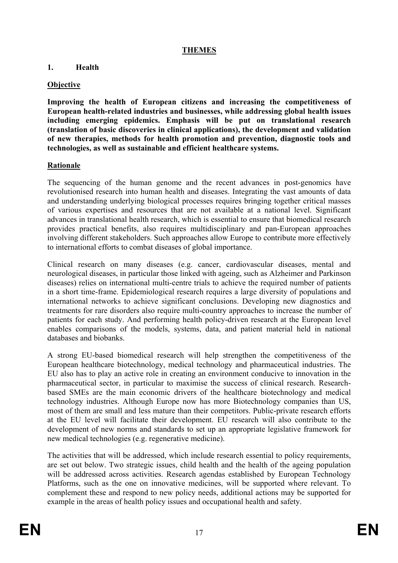### **THEMES**

#### **1. Health**

### **Objective**

**Improving the health of European citizens and increasing the competitiveness of European health-related industries and businesses, while addressing global health issues including emerging epidemics. Emphasis will be put on translational research (translation of basic discoveries in clinical applications), the development and validation of new therapies, methods for health promotion and prevention, diagnostic tools and technologies, as well as sustainable and efficient healthcare systems.** 

#### **Rationale**

The sequencing of the human genome and the recent advances in post-genomics have revolutionised research into human health and diseases. Integrating the vast amounts of data and understanding underlying biological processes requires bringing together critical masses of various expertises and resources that are not available at a national level. Significant advances in translational health research, which is essential to ensure that biomedical research provides practical benefits, also requires multidisciplinary and pan-European approaches involving different stakeholders. Such approaches allow Europe to contribute more effectively to international efforts to combat diseases of global importance.

Clinical research on many diseases (e.g. cancer, cardiovascular diseases, mental and neurological diseases, in particular those linked with ageing, such as Alzheimer and Parkinson diseases) relies on international multi-centre trials to achieve the required number of patients in a short time-frame. Epidemiological research requires a large diversity of populations and international networks to achieve significant conclusions. Developing new diagnostics and treatments for rare disorders also require multi-country approaches to increase the number of patients for each study. And performing health policy-driven research at the European level enables comparisons of the models, systems, data, and patient material held in national databases and biobanks.

A strong EU-based biomedical research will help strengthen the competitiveness of the European healthcare biotechnology, medical technology and pharmaceutical industries. The EU also has to play an active role in creating an environment conducive to innovation in the pharmaceutical sector, in particular to maximise the success of clinical research. Researchbased SMEs are the main economic drivers of the healthcare biotechnology and medical technology industries. Although Europe now has more Biotechnology companies than US, most of them are small and less mature than their competitors. Public-private research efforts at the EU level will facilitate their development. EU research will also contribute to the development of new norms and standards to set up an appropriate legislative framework for new medical technologies (e.g. regenerative medicine).

The activities that will be addressed, which include research essential to policy requirements, are set out below. Two strategic issues, child health and the health of the ageing population will be addressed across activities. Research agendas established by European Technology Platforms, such as the one on innovative medicines, will be supported where relevant. To complement these and respond to new policy needs, additional actions may be supported for example in the areas of health policy issues and occupational health and safety.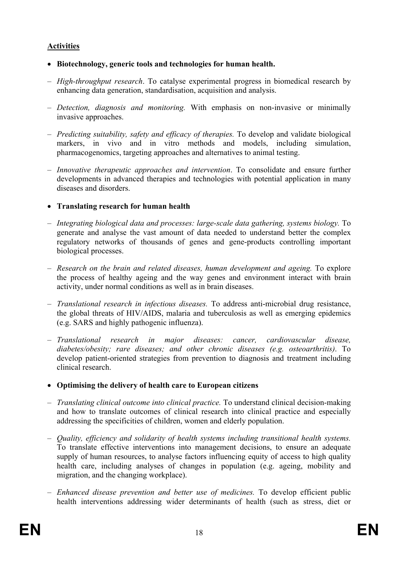### **Activities**

- **Biotechnology, generic tools and technologies for human health.**
- *High-throughput research*. To catalyse experimental progress in biomedical research by enhancing data generation, standardisation, acquisition and analysis.
- *Detection, diagnosis and monitoring.* With emphasis on non-invasive or minimally invasive approaches.
- *Predicting suitability, safety and efficacy of therapies.* To develop and validate biological markers, in vivo and in vitro methods and models, including simulation, pharmacogenomics, targeting approaches and alternatives to animal testing.
- *Innovative therapeutic approaches and intervention*. To consolidate and ensure further developments in advanced therapies and technologies with potential application in many diseases and disorders.
- **Translating research for human health**
- *Integrating biological data and processes: large-scale data gathering, systems biology.* To generate and analyse the vast amount of data needed to understand better the complex regulatory networks of thousands of genes and gene-products controlling important biological processes.
- *Research on the brain and related diseases, human development and ageing.* To explore the process of healthy ageing and the way genes and environment interact with brain activity, under normal conditions as well as in brain diseases.
- *Translational research in infectious diseases.* To address anti-microbial drug resistance, the global threats of HIV/AIDS, malaria and tuberculosis as well as emerging epidemics (e.g. SARS and highly pathogenic influenza).
- *Translational research in major diseases: cancer, cardiovascular disease, diabetes/obesity; rare diseases; and other chronic diseases (e.g. osteoarthritis)*. To develop patient-oriented strategies from prevention to diagnosis and treatment including clinical research.
- **Optimising the delivery of health care to European citizens**
- *Translating clinical outcome into clinical practice.* To understand clinical decision-making and how to translate outcomes of clinical research into clinical practice and especially addressing the specificities of children, women and elderly population.
- *Quality, efficiency and solidarity of health systems including transitional health systems.*  To translate effective interventions into management decisions, to ensure an adequate supply of human resources, to analyse factors influencing equity of access to high quality health care, including analyses of changes in population (e.g. ageing, mobility and migration, and the changing workplace).
- *Enhanced disease prevention and better use of medicines.* To develop efficient public health interventions addressing wider determinants of health (such as stress, diet or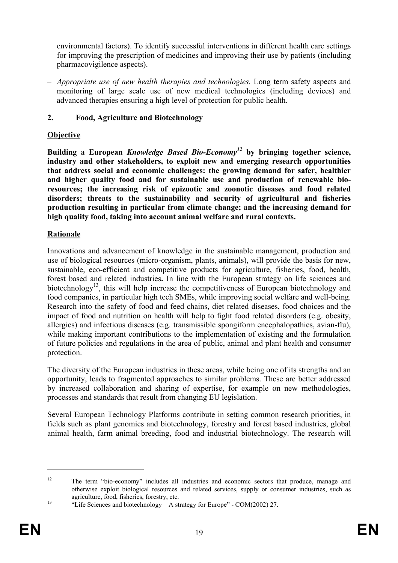environmental factors). To identify successful interventions in different health care settings for improving the prescription of medicines and improving their use by patients (including pharmacovigilence aspects).

– *Appropriate use of new health therapies and technologies.* Long term safety aspects and monitoring of large scale use of new medical technologies (including devices) and advanced therapies ensuring a high level of protection for public health.

### **2. Food, Agriculture and Biotechnology**

### **Objective**

**Building a European** *Knowledge Based Bio-Economy12* **by bringing together science, industry and other stakeholders, to exploit new and emerging research opportunities that address social and economic challenges: the growing demand for safer, healthier and higher quality food and for sustainable use and production of renewable bioresources; the increasing risk of epizootic and zoonotic diseases and food related disorders; threats to the sustainability and security of agricultural and fisheries production resulting in particular from climate change; and the increasing demand for high quality food, taking into account animal welfare and rural contexts.** 

### **Rationale**

Innovations and advancement of knowledge in the sustainable management, production and use of biological resources (micro-organism, plants, animals), will provide the basis for new, sustainable, eco-efficient and competitive products for agriculture, fisheries, food, health, forest based and related industries**.** In line with the European strategy on life sciences and biotechnology<sup>13</sup>, this will help increase the competitiveness of European biotechnology and food companies, in particular high tech SMEs, while improving social welfare and well-being. Research into the safety of food and feed chains, diet related diseases, food choices and the impact of food and nutrition on health will help to fight food related disorders (e.g. obesity, allergies) and infectious diseases (e.g. transmissible spongiform encephalopathies, avian-flu), while making important contributions to the implementation of existing and the formulation of future policies and regulations in the area of public, animal and plant health and consumer protection.

The diversity of the European industries in these areas, while being one of its strengths and an opportunity, leads to fragmented approaches to similar problems. These are better addressed by increased collaboration and sharing of expertise, for example on new methodologies, processes and standards that result from changing EU legislation.

Several European Technology Platforms contribute in setting common research priorities, in fields such as plant genomics and biotechnology, forestry and forest based industries, global animal health, farm animal breeding, food and industrial biotechnology. The research will

<sup>&</sup>lt;sup>12</sup> The term "bio-economy" includes all industries and economic sectors that produce, manage and otherwise exploit biological resources and related services, supply or consumer industries, such as agriculture, food, fisheries, forestry, etc.<br>
<sup>13</sup> "Life Sciences and biotechnology – A strategy for Europe" - COM(2002) 27.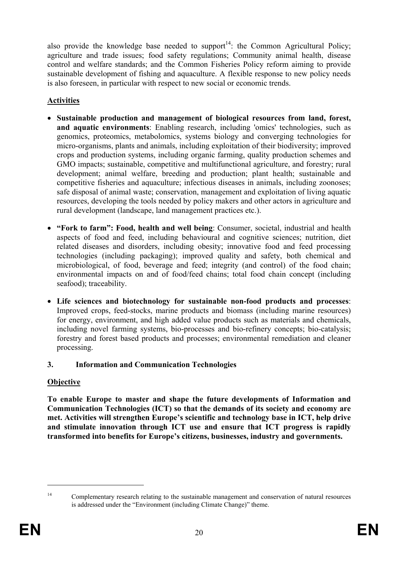also provide the knowledge base needed to support<sup>14</sup>: the Common Agricultural Policy; agriculture and trade issues; food safety regulations; Community animal health, disease control and welfare standards; and the Common Fisheries Policy reform aiming to provide sustainable development of fishing and aquaculture. A flexible response to new policy needs is also foreseen, in particular with respect to new social or economic trends.

# **Activities**

- **Sustainable production and management of biological resources from land, forest, and aquatic environments**: Enabling research, including 'omics' technologies, such as genomics, proteomics, metabolomics, systems biology and converging technologies for micro-organisms, plants and animals, including exploitation of their biodiversity; improved crops and production systems, including organic farming, quality production schemes and GMO impacts; sustainable, competitive and multifunctional agriculture, and forestry; rural development; animal welfare, breeding and production; plant health; sustainable and competitive fisheries and aquaculture; infectious diseases in animals, including zoonoses; safe disposal of animal waste; conservation, management and exploitation of living aquatic resources, developing the tools needed by policy makers and other actors in agriculture and rural development (landscape, land management practices etc.).
- **"Fork to farm": Food, health and well being**: Consumer, societal, industrial and health aspects of food and feed, including behavioural and cognitive sciences; nutrition, diet related diseases and disorders, including obesity; innovative food and feed processing technologies (including packaging); improved quality and safety, both chemical and microbiological, of food, beverage and feed; integrity (and control) of the food chain; environmental impacts on and of food/feed chains; total food chain concept (including seafood); traceability.
- **Life sciences and biotechnology for sustainable non-food products and processes**: Improved crops, feed-stocks, marine products and biomass (including marine resources) for energy, environment, and high added value products such as materials and chemicals, including novel farming systems, bio-processes and bio-refinery concepts; bio-catalysis; forestry and forest based products and processes; environmental remediation and cleaner processing.

# **3. Information and Communication Technologies**

# **Objective**

**To enable Europe to master and shape the future developments of Information and Communication Technologies (ICT) so that the demands of its society and economy are met. Activities will strengthen Europe's scientific and technology base in ICT, help drive and stimulate innovation through ICT use and ensure that ICT progress is rapidly transformed into benefits for Europe's citizens, businesses, industry and governments.** 

<sup>&</sup>lt;sup>14</sup> Complementary research relating to the sustainable management and conservation of natural resources is addressed under the "Environment (including Climate Change)" theme.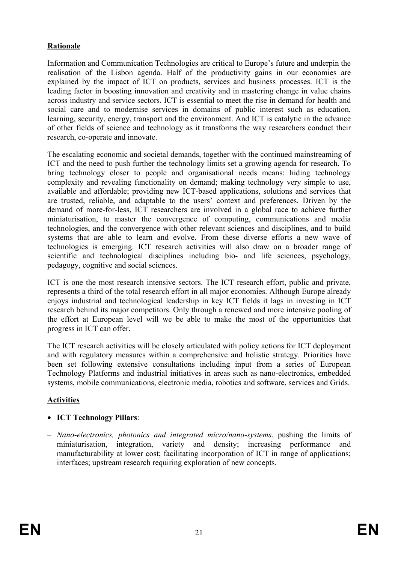### **Rationale**

Information and Communication Technologies are critical to Europe's future and underpin the realisation of the Lisbon agenda. Half of the productivity gains in our economies are explained by the impact of ICT on products, services and business processes. ICT is the leading factor in boosting innovation and creativity and in mastering change in value chains across industry and service sectors. ICT is essential to meet the rise in demand for health and social care and to modernise services in domains of public interest such as education, learning, security, energy, transport and the environment. And ICT is catalytic in the advance of other fields of science and technology as it transforms the way researchers conduct their research, co-operate and innovate.

The escalating economic and societal demands, together with the continued mainstreaming of ICT and the need to push further the technology limits set a growing agenda for research. To bring technology closer to people and organisational needs means: hiding technology complexity and revealing functionality on demand; making technology very simple to use, available and affordable; providing new ICT-based applications, solutions and services that are trusted, reliable, and adaptable to the users' context and preferences. Driven by the demand of more-for-less, ICT researchers are involved in a global race to achieve further miniaturisation, to master the convergence of computing, communications and media technologies, and the convergence with other relevant sciences and disciplines, and to build systems that are able to learn and evolve. From these diverse efforts a new wave of technologies is emerging. ICT research activities will also draw on a broader range of scientific and technological disciplines including bio- and life sciences, psychology, pedagogy, cognitive and social sciences.

ICT is one the most research intensive sectors. The ICT research effort, public and private, represents a third of the total research effort in all major economies. Although Europe already enjoys industrial and technological leadership in key ICT fields it lags in investing in ICT research behind its major competitors. Only through a renewed and more intensive pooling of the effort at European level will we be able to make the most of the opportunities that progress in ICT can offer.

The ICT research activities will be closely articulated with policy actions for ICT deployment and with regulatory measures within a comprehensive and holistic strategy. Priorities have been set following extensive consultations including input from a series of European Technology Platforms and industrial initiatives in areas such as nano-electronics, embedded systems, mobile communications, electronic media, robotics and software, services and Grids.

#### **Activities**

# • **ICT Technology Pillars**:

– *Nano-electronics, photonics and integrated micro/nano-systems*. pushing the limits of miniaturisation, integration, variety and density; increasing performance and manufacturability at lower cost; facilitating incorporation of ICT in range of applications; interfaces; upstream research requiring exploration of new concepts.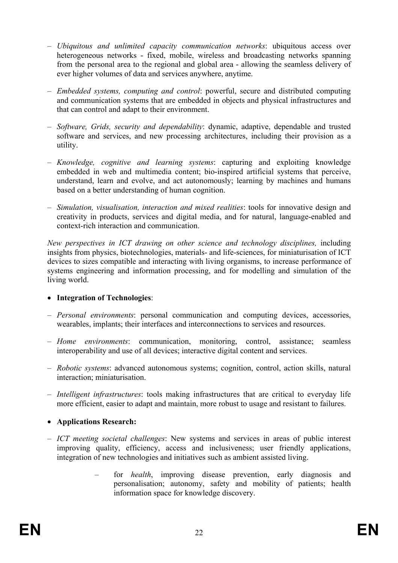- *Ubiquitous and unlimited capacity communication networks*: ubiquitous access over heterogeneous networks - fixed, mobile, wireless and broadcasting networks spanning from the personal area to the regional and global area - allowing the seamless delivery of ever higher volumes of data and services anywhere, anytime.
- *Embedded systems, computing and control*: powerful, secure and distributed computing and communication systems that are embedded in objects and physical infrastructures and that can control and adapt to their environment.
- *Software, Grids, security and dependability*: dynamic, adaptive, dependable and trusted software and services, and new processing architectures, including their provision as a utility.
- *Knowledge, cognitive and learning systems*: capturing and exploiting knowledge embedded in web and multimedia content; bio-inspired artificial systems that perceive, understand, learn and evolve, and act autonomously; learning by machines and humans based on a better understanding of human cognition.
- *Simulation, visualisation, interaction and mixed realities*: tools for innovative design and creativity in products, services and digital media, and for natural, language-enabled and context-rich interaction and communication.

*New perspectives in ICT drawing on other science and technology disciplines,* including insights from physics, biotechnologies, materials- and life-sciences, for miniaturisation of ICT devices to sizes compatible and interacting with living organisms, to increase performance of systems engineering and information processing, and for modelling and simulation of the living world.

#### • **Integration of Technologies**:

- *Personal environments*: personal communication and computing devices, accessories, wearables, implants; their interfaces and interconnections to services and resources.
- *Home environments*: communication, monitoring, control, assistance; seamless interoperability and use of all devices; interactive digital content and services.
- *Robotic systems*: advanced autonomous systems; cognition, control, action skills, natural interaction; miniaturisation.
- *Intelligent infrastructures*: tools making infrastructures that are critical to everyday life more efficient, easier to adapt and maintain, more robust to usage and resistant to failures.
- **Applications Research:**
- *ICT meeting societal challenges*: New systems and services in areas of public interest improving quality, efficiency, access and inclusiveness; user friendly applications, integration of new technologies and initiatives such as ambient assisted living.
	- for *health*, improving disease prevention, early diagnosis and personalisation; autonomy, safety and mobility of patients; health information space for knowledge discovery.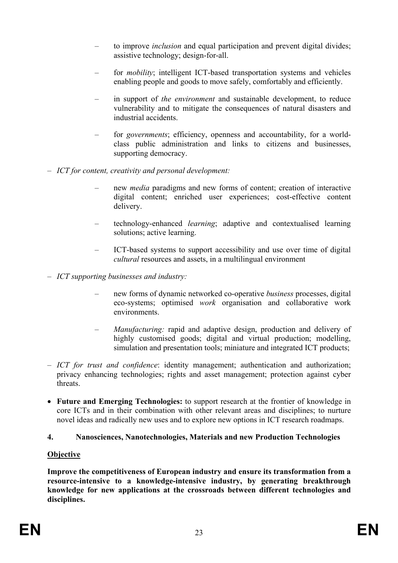- to improve *inclusion* and equal participation and prevent digital divides; assistive technology; design-for-all.
- for *mobility*; intelligent ICT-based transportation systems and vehicles enabling people and goods to move safely, comfortably and efficiently.
- in support of *the environment* and sustainable development, to reduce vulnerability and to mitigate the consequences of natural disasters and industrial accidents.
- for *governments*; efficiency, openness and accountability, for a worldclass public administration and links to citizens and businesses, supporting democracy.
- *ICT for content, creativity and personal development:* 
	- new *media* paradigms and new forms of content; creation of interactive digital content; enriched user experiences; cost-effective content delivery.
	- technology-enhanced *learning*; adaptive and contextualised learning solutions; active learning.
	- ICT-based systems to support accessibility and use over time of digital *cultural* resources and assets, in a multilingual environment
- *ICT supporting businesses and industry:*
	- new forms of dynamic networked co-operative *business* processes, digital eco-systems; optimised *work* organisation and collaborative work environments.
	- *Manufacturing:* rapid and adaptive design, production and delivery of highly customised goods; digital and virtual production; modelling, simulation and presentation tools; miniature and integrated ICT products;
- *ICT for trust and confidence*: identity management; authentication and authorization; privacy enhancing technologies; rights and asset management; protection against cyber threats.
- **Future and Emerging Technologies:** to support research at the frontier of knowledge in core ICTs and in their combination with other relevant areas and disciplines; to nurture novel ideas and radically new uses and to explore new options in ICT research roadmaps.

# **4. Nanosciences, Nanotechnologies, Materials and new Production Technologies**

# **Objective**

**Improve the competitiveness of European industry and ensure its transformation from a resource-intensive to a knowledge-intensive industry, by generating breakthrough knowledge for new applications at the crossroads between different technologies and disciplines.**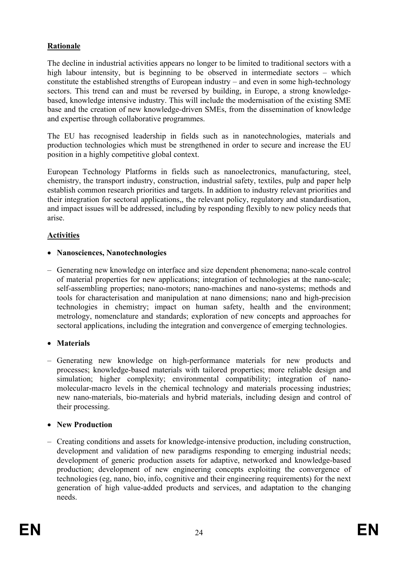# **Rationale**

The decline in industrial activities appears no longer to be limited to traditional sectors with a high labour intensity, but is beginning to be observed in intermediate sectors – which constitute the established strengths of European industry – and even in some high-technology sectors. This trend can and must be reversed by building, in Europe, a strong knowledgebased, knowledge intensive industry. This will include the modernisation of the existing SME base and the creation of new knowledge-driven SMEs, from the dissemination of knowledge and expertise through collaborative programmes.

The EU has recognised leadership in fields such as in nanotechnologies, materials and production technologies which must be strengthened in order to secure and increase the EU position in a highly competitive global context.

European Technology Platforms in fields such as nanoelectronics, manufacturing, steel, chemistry, the transport industry, construction, industrial safety, textiles, pulp and paper help establish common research priorities and targets. In addition to industry relevant priorities and their integration for sectoral applications,, the relevant policy, regulatory and standardisation, and impact issues will be addressed, including by responding flexibly to new policy needs that arise.

### **Activities**

### • **Nanosciences, Nanotechnologies**

– Generating new knowledge on interface and size dependent phenomena; nano-scale control of material properties for new applications; integration of technologies at the nano-scale; self-assembling properties; nano-motors; nano-machines and nano-systems; methods and tools for characterisation and manipulation at nano dimensions; nano and high-precision technologies in chemistry; impact on human safety, health and the environment; metrology, nomenclature and standards; exploration of new concepts and approaches for sectoral applications, including the integration and convergence of emerging technologies.

# • **Materials**

– Generating new knowledge on high-performance materials for new products and processes; knowledge-based materials with tailored properties; more reliable design and simulation; higher complexity; environmental compatibility; integration of nanomolecular-macro levels in the chemical technology and materials processing industries; new nano-materials, bio-materials and hybrid materials, including design and control of their processing.

# • **New Production**

– Creating conditions and assets for knowledge-intensive production, including construction, development and validation of new paradigms responding to emerging industrial needs; development of generic production assets for adaptive, networked and knowledge-based production; development of new engineering concepts exploiting the convergence of technologies (eg, nano, bio, info, cognitive and their engineering requirements) for the next generation of high value-added products and services, and adaptation to the changing needs.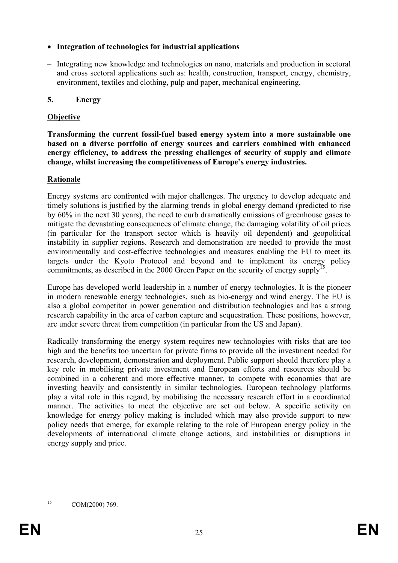### • **Integration of technologies for industrial applications**

– Integrating new knowledge and technologies on nano, materials and production in sectoral and cross sectoral applications such as: health, construction, transport, energy, chemistry, environment, textiles and clothing, pulp and paper, mechanical engineering.

# **5. Energy**

# **Objective**

**Transforming the current fossil-fuel based energy system into a more sustainable one based on a diverse portfolio of energy sources and carriers combined with enhanced energy efficiency, to address the pressing challenges of security of supply and climate change, whilst increasing the competitiveness of Europe's energy industries.** 

### **Rationale**

Energy systems are confronted with major challenges. The urgency to develop adequate and timely solutions is justified by the alarming trends in global energy demand (predicted to rise by 60% in the next 30 years), the need to curb dramatically emissions of greenhouse gases to mitigate the devastating consequences of climate change, the damaging volatility of oil prices (in particular for the transport sector which is heavily oil dependent) and geopolitical instability in supplier regions. Research and demonstration are needed to provide the most environmentally and cost-effective technologies and measures enabling the EU to meet its targets under the Kyoto Protocol and beyond and to implement its energy policy commitments, as described in the 2000 Green Paper on the security of energy supply<sup>15</sup>.

Europe has developed world leadership in a number of energy technologies. It is the pioneer in modern renewable energy technologies, such as bio-energy and wind energy. The EU is also a global competitor in power generation and distribution technologies and has a strong research capability in the area of carbon capture and sequestration. These positions, however, are under severe threat from competition (in particular from the US and Japan).

Radically transforming the energy system requires new technologies with risks that are too high and the benefits too uncertain for private firms to provide all the investment needed for research, development, demonstration and deployment. Public support should therefore play a key role in mobilising private investment and European efforts and resources should be combined in a coherent and more effective manner, to compete with economies that are investing heavily and consistently in similar technologies. European technology platforms play a vital role in this regard, by mobilising the necessary research effort in a coordinated manner. The activities to meet the objective are set out below. A specific activity on knowledge for energy policy making is included which may also provide support to new policy needs that emerge, for example relating to the role of European energy policy in the developments of international climate change actions, and instabilities or disruptions in energy supply and price.

15 COM(2000) 769.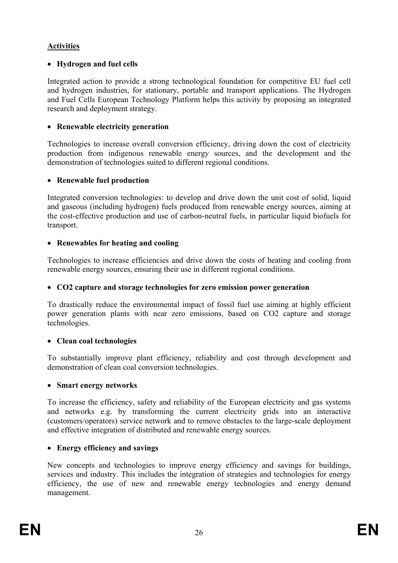### **Activities**

### • **Hydrogen and fuel cells**

Integrated action to provide a strong technological foundation for competitive EU fuel cell and hydrogen industries, for stationary, portable and transport applications. The Hydrogen and Fuel Cells European Technology Platform helps this activity by proposing an integrated research and deployment strategy.

### • **Renewable electricity generation**

Technologies to increase overall conversion efficiency, driving down the cost of electricity production from indigenous renewable energy sources, and the development and the demonstration of technologies suited to different regional conditions.

### • **Renewable fuel production**

Integrated conversion technologies: to develop and drive down the unit cost of solid, liquid and gaseous (including hydrogen) fuels produced from renewable energy sources, aiming at the cost-effective production and use of carbon-neutral fuels, in particular liquid biofuels for transport.

### • **Renewables for heating and cooling**

Technologies to increase efficiencies and drive down the costs of heating and cooling from renewable energy sources, ensuring their use in different regional conditions.

#### • **CO2 capture and storage technologies for zero emission power generation**

To drastically reduce the environmental impact of fossil fuel use aiming at highly efficient power generation plants with near zero emissions, based on CO2 capture and storage technologies.

#### • **Clean coal technologies**

To substantially improve plant efficiency, reliability and cost through development and demonstration of clean coal conversion technologies.

#### • **Smart energy networks**

To increase the efficiency, safety and reliability of the European electricity and gas systems and networks e.g. by transforming the current electricity grids into an interactive (customers/operators) service network and to remove obstacles to the large-scale deployment and effective integration of distributed and renewable energy sources.

# • **Energy efficiency and savings**

New concepts and technologies to improve energy efficiency and savings for buildings, services and industry. This includes the integration of strategies and technologies for energy efficiency, the use of new and renewable energy technologies and energy demand management.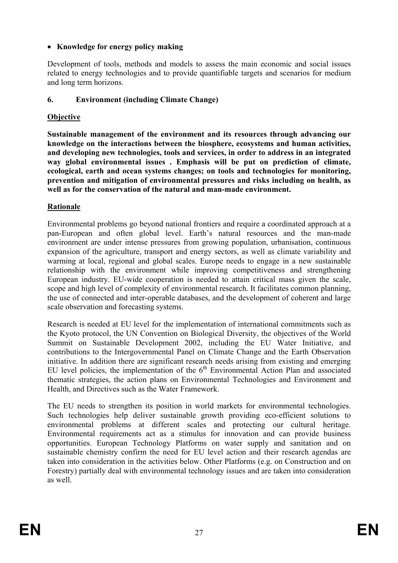# • **Knowledge for energy policy making**

Development of tools, methods and models to assess the main economic and social issues related to energy technologies and to provide quantifiable targets and scenarios for medium and long term horizons.

### **6. Environment (including Climate Change)**

### **Objective**

**Sustainable management of the environment and its resources through advancing our knowledge on the interactions between the biosphere, ecosystems and human activities, and developing new technologies, tools and services, in order to address in an integrated way global environmental issues . Emphasis will be put on prediction of climate, ecological, earth and ocean systems changes; on tools and technologies for monitoring, prevention and mitigation of environmental pressures and risks including on health, as well as for the conservation of the natural and man-made environment.** 

### **Rationale**

Environmental problems go beyond national frontiers and require a coordinated approach at a pan-European and often global level. Earth's natural resources and the man-made environment are under intense pressures from growing population, urbanisation, continuous expansion of the agriculture, transport and energy sectors, as well as climate variability and warming at local, regional and global scales. Europe needs to engage in a new sustainable relationship with the environment while improving competitiveness and strengthening European industry. EU-wide cooperation is needed to attain critical mass given the scale, scope and high level of complexity of environmental research. It facilitates common planning, the use of connected and inter-operable databases, and the development of coherent and large scale observation and forecasting systems.

Research is needed at EU level for the implementation of international commitments such as the Kyoto protocol, the UN Convention on Biological Diversity, the objectives of the World Summit on Sustainable Development 2002, including the EU Water Initiative, and contributions to the Intergovernmental Panel on Climate Change and the Earth Observation initiative. In addition there are significant research needs arising from existing and emerging EU level policies, the implementation of the  $6<sup>th</sup>$  Environmental Action Plan and associated thematic strategies, the action plans on Environmental Technologies and Environment and Health, and Directives such as the Water Framework.

The EU needs to strengthen its position in world markets for environmental technologies. Such technologies help deliver sustainable growth providing eco-efficient solutions to environmental problems at different scales and protecting our cultural heritage. Environmental requirements act as a stimulus for innovation and can provide business opportunities. European Technology Platforms on water supply and sanitation and on sustainable chemistry confirm the need for EU level action and their research agendas are taken into consideration in the activities below. Other Platforms (e.g. on Construction and on Forestry) partially deal with environmental technology issues and are taken into consideration as well.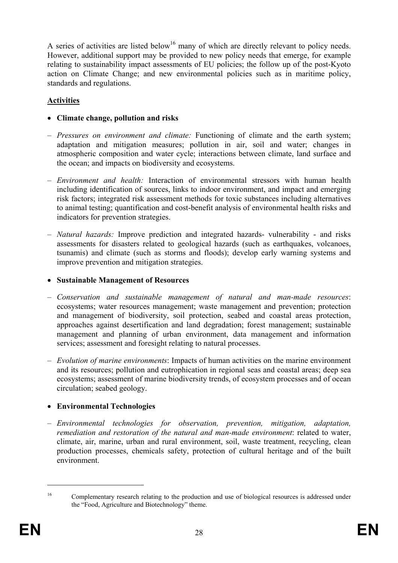A series of activities are listed below<sup>16</sup> many of which are directly relevant to policy needs. However, additional support may be provided to new policy needs that emerge, for example relating to sustainability impact assessments of EU policies; the follow up of the post-Kyoto action on Climate Change; and new environmental policies such as in maritime policy, standards and regulations.

# **Activities**

- **Climate change, pollution and risks**
- *Pressures on environment and climate:* Functioning of climate and the earth system; adaptation and mitigation measures; pollution in air, soil and water; changes in atmospheric composition and water cycle; interactions between climate, land surface and the ocean; and impacts on biodiversity and ecosystems.
- *Environment and health:* Interaction of environmental stressors with human health including identification of sources, links to indoor environment, and impact and emerging risk factors; integrated risk assessment methods for toxic substances including alternatives to animal testing; quantification and cost-benefit analysis of environmental health risks and indicators for prevention strategies.
- *Natural hazards:* Improve prediction and integrated hazards- vulnerability and risks assessments for disasters related to geological hazards (such as earthquakes, volcanoes, tsunamis) and climate (such as storms and floods); develop early warning systems and improve prevention and mitigation strategies.
- **Sustainable Management of Resources**
- *Conservation and sustainable management of natural and man-made resources*: ecosystems; water resources management; waste management and prevention; protection and management of biodiversity, soil protection, seabed and coastal areas protection, approaches against desertification and land degradation; forest management; sustainable management and planning of urban environment, data management and information services; assessment and foresight relating to natural processes.
- *Evolution of marine environments*: Impacts of human activities on the marine environment and its resources; pollution and eutrophication in regional seas and coastal areas; deep sea ecosystems; assessment of marine biodiversity trends, of ecosystem processes and of ocean circulation; seabed geology.

# • **Environmental Technologies**

– *Environmental technologies for observation, prevention, mitigation, adaptation, remediation and restoration of the natural and man-made environment*: related to water, climate, air, marine, urban and rural environment, soil, waste treatment, recycling, clean production processes, chemicals safety, protection of cultural heritage and of the built environment.

<sup>&</sup>lt;sup>16</sup> Complementary research relating to the production and use of biological resources is addressed under the "Food, Agriculture and Biotechnology" theme.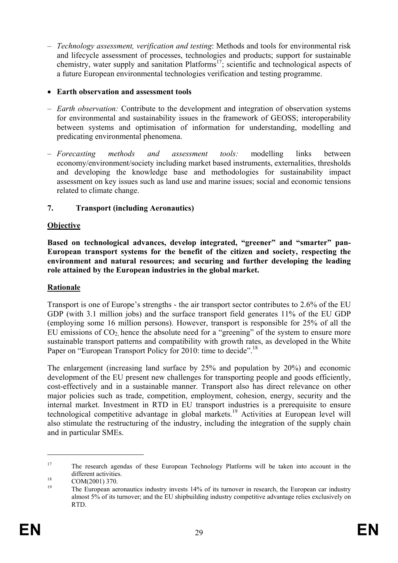– *Technology assessment, verification and testing*: Methods and tools for environmental risk and lifecycle assessment of processes, technologies and products; support for sustainable chemistry, water supply and sanitation Platforms<sup>17</sup>; scientific and technological aspects of a future European environmental technologies verification and testing programme.

#### • **Earth observation and assessment tools**

- *Earth observation:* Contribute to the development and integration of observation systems for environmental and sustainability issues in the framework of GEOSS; interoperability between systems and optimisation of information for understanding, modelling and predicating environmental phenomena.
- *Forecasting methods and assessment tools:* modelling links between economy/environment/society including market based instruments, externalities, thresholds and developing the knowledge base and methodologies for sustainability impact assessment on key issues such as land use and marine issues; social and economic tensions related to climate change.

#### **7. Transport (including Aeronautics)**

#### **Objective**

**Based on technological advances, develop integrated, "greener" and "smarter" pan-European transport systems for the benefit of the citizen and society, respecting the environment and natural resources; and securing and further developing the leading role attained by the European industries in the global market.** 

#### **Rationale**

Transport is one of Europe's strengths - the air transport sector contributes to 2.6% of the EU GDP (with 3.1 million jobs) and the surface transport field generates 11% of the EU GDP (employing some 16 million persons). However, transport is responsible for 25% of all the EU emissions of  $CO<sub>2</sub>$  hence the absolute need for a "greening" of the system to ensure more sustainable transport patterns and compatibility with growth rates, as developed in the White Paper on "European Transport Policy for 2010: time to decide".<sup>18</sup>

The enlargement (increasing land surface by 25% and population by 20%) and economic development of the EU present new challenges for transporting people and goods efficiently, cost-effectively and in a sustainable manner. Transport also has direct relevance on other major policies such as trade, competition, employment, cohesion, energy, security and the internal market. Investment in RTD in EU transport industries is a prerequisite to ensure technological competitive advantage in global markets.19 Activities at European level will also stimulate the restructuring of the industry, including the integration of the supply chain and in particular SMEs.

<u>.</u>

<sup>&</sup>lt;sup>17</sup> The research agendas of these European Technology Platforms will be taken into account in the different activities.<br>  $COM(2001)$  370.

<sup>19</sup> The European aeronautics industry invests 14% of its turnover in research, the European car industry almost 5% of its turnover; and the EU shipbuilding industry competitive advantage relies exclusively on RTD.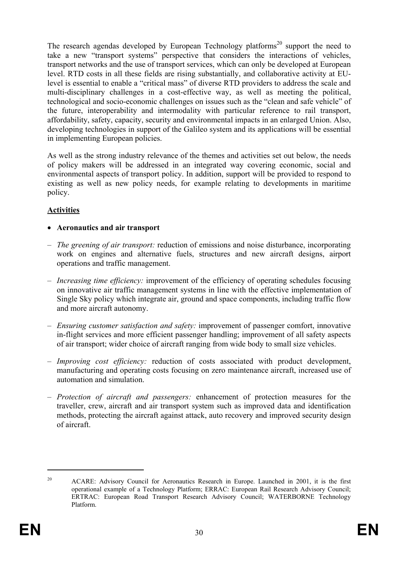The research agendas developed by European Technology platforms<sup>20</sup> support the need to take a new "transport systems" perspective that considers the interactions of vehicles, transport networks and the use of transport services, which can only be developed at European level. RTD costs in all these fields are rising substantially, and collaborative activity at EUlevel is essential to enable a "critical mass" of diverse RTD providers to address the scale and multi-disciplinary challenges in a cost-effective way, as well as meeting the political, technological and socio-economic challenges on issues such as the "clean and safe vehicle" of the future, interoperability and intermodality with particular reference to rail transport, affordability, safety, capacity, security and environmental impacts in an enlarged Union. Also, developing technologies in support of the Galileo system and its applications will be essential in implementing European policies.

As well as the strong industry relevance of the themes and activities set out below, the needs of policy makers will be addressed in an integrated way covering economic, social and environmental aspects of transport policy. In addition, support will be provided to respond to existing as well as new policy needs, for example relating to developments in maritime policy.

# **Activities**

#### • **Aeronautics and air transport**

- *The greening of air transport:* reduction of emissions and noise disturbance, incorporating work on engines and alternative fuels, structures and new aircraft designs, airport operations and traffic management.
- *Increasing time efficiency:* improvement of the efficiency of operating schedules focusing on innovative air traffic management systems in line with the effective implementation of Single Sky policy which integrate air, ground and space components, including traffic flow and more aircraft autonomy.
- *Ensuring customer satisfaction and safety:* improvement of passenger comfort, innovative in-flight services and more efficient passenger handling; improvement of all safety aspects of air transport; wider choice of aircraft ranging from wide body to small size vehicles.
- *Improving cost efficiency:* reduction of costs associated with product development, manufacturing and operating costs focusing on zero maintenance aircraft, increased use of automation and simulation.
- *Protection of aircraft and passengers:* enhancement of protection measures for the traveller, crew, aircraft and air transport system such as improved data and identification methods, protecting the aircraft against attack, auto recovery and improved security design of aircraft.

<sup>&</sup>lt;sup>20</sup> ACARE: Advisory Council for Aeronautics Research in Europe. Launched in 2001, it is the first operational example of a Technology Platform; ERRAC: European Rail Research Advisory Council; ERTRAC: European Road Transport Research Advisory Council; WATERBORNE Technology Platform.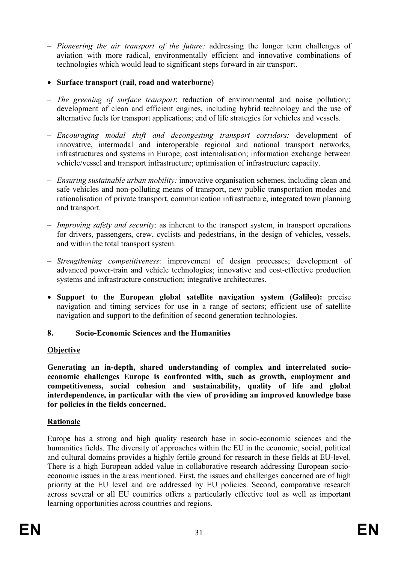- *Pioneering the air transport of the future:* addressing the longer term challenges of aviation with more radical, environmentally efficient and innovative combinations of technologies which would lead to significant steps forward in air transport.
- **Surface transport (rail, road and waterborne**)
- *The greening of surface transport*: reduction of environmental and noise pollution*;*; development of clean and efficient engines, including hybrid technology and the use of alternative fuels for transport applications; end of life strategies for vehicles and vessels.
- *Encouraging modal shift and decongesting transport corridors:* development of innovative, intermodal and interoperable regional and national transport networks, infrastructures and systems in Europe; cost internalisation; information exchange between vehicle/vessel and transport infrastructure; optimisation of infrastructure capacity.
- *Ensuring sustainable urban mobility:* innovative organisation schemes, including clean and safe vehicles and non-polluting means of transport, new public transportation modes and rationalisation of private transport, communication infrastructure, integrated town planning and transport.
- *Improving safety and security*: as inherent to the transport system, in transport operations for drivers, passengers, crew, cyclists and pedestrians, in the design of vehicles, vessels, and within the total transport system.
- *Strengthening competitiveness*: improvement of design processes; development of advanced power-train and vehicle technologies; innovative and cost-effective production systems and infrastructure construction; integrative architectures.
- **Support to the European global satellite navigation system (Galileo):** precise navigation and timing services for use in a range of sectors; efficient use of satellite navigation and support to the definition of second generation technologies.

# **8. Socio-Economic Sciences and the Humanities**

#### **Objective**

**Generating an in-depth, shared understanding of complex and interrelated socioeconomic challenges Europe is confronted with, such as growth, employment and competitiveness, social cohesion and sustainability, quality of life and global interdependence, in particular with the view of providing an improved knowledge base for policies in the fields concerned.**

# **Rationale**

Europe has a strong and high quality research base in socio-economic sciences and the humanities fields. The diversity of approaches within the EU in the economic, social, political and cultural domains provides a highly fertile ground for research in these fields at EU-level. There is a high European added value in collaborative research addressing European socioeconomic issues in the areas mentioned. First, the issues and challenges concerned are of high priority at the EU level and are addressed by EU policies. Second, comparative research across several or all EU countries offers a particularly effective tool as well as important learning opportunities across countries and regions.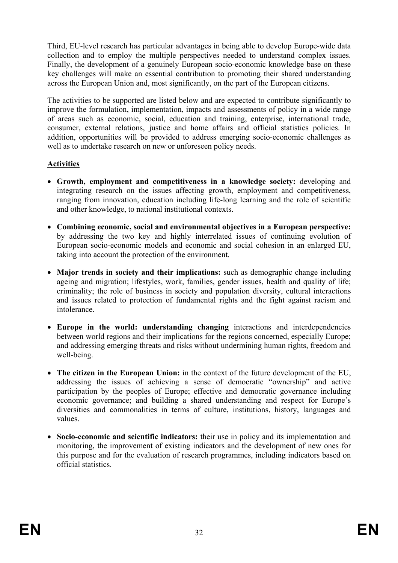Third, EU-level research has particular advantages in being able to develop Europe-wide data collection and to employ the multiple perspectives needed to understand complex issues. Finally, the development of a genuinely European socio-economic knowledge base on these key challenges will make an essential contribution to promoting their shared understanding across the European Union and, most significantly, on the part of the European citizens.

The activities to be supported are listed below and are expected to contribute significantly to improve the formulation, implementation, impacts and assessments of policy in a wide range of areas such as economic, social, education and training, enterprise, international trade, consumer, external relations, justice and home affairs and official statistics policies. In addition, opportunities will be provided to address emerging socio-economic challenges as well as to undertake research on new or unforeseen policy needs.

### **Activities**

- **Growth, employment and competitiveness in a knowledge society:** developing and integrating research on the issues affecting growth, employment and competitiveness, ranging from innovation, education including life-long learning and the role of scientific and other knowledge, to national institutional contexts.
- **Combining economic, social and environmental objectives in a European perspective:**  by addressing the two key and highly interrelated issues of continuing evolution of European socio-economic models and economic and social cohesion in an enlarged EU, taking into account the protection of the environment.
- **Major trends in society and their implications:** such as demographic change including ageing and migration; lifestyles, work, families, gender issues, health and quality of life; criminality; the role of business in society and population diversity, cultural interactions and issues related to protection of fundamental rights and the fight against racism and intolerance.
- **Europe in the world: understanding changing** interactions and interdependencies between world regions and their implications for the regions concerned, especially Europe; and addressing emerging threats and risks without undermining human rights, freedom and well-being.
- **The citizen in the European Union:** in the context of the future development of the EU, addressing the issues of achieving a sense of democratic "ownership" and active participation by the peoples of Europe; effective and democratic governance including economic governance; and building a shared understanding and respect for Europe's diversities and commonalities in terms of culture, institutions, history, languages and values.
- **Socio-economic and scientific indicators:** their use in policy and its implementation and monitoring, the improvement of existing indicators and the development of new ones for this purpose and for the evaluation of research programmes, including indicators based on official statistics.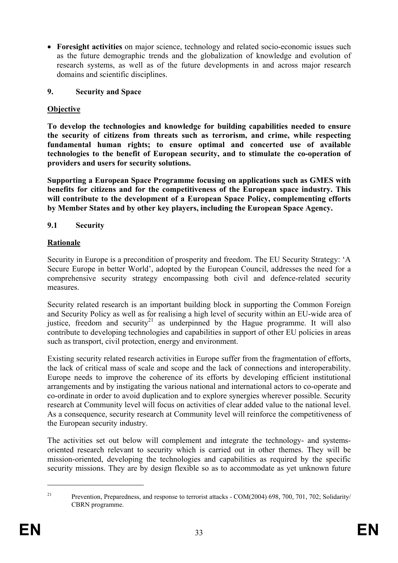• **Foresight activities** on major science, technology and related socio-economic issues such as the future demographic trends and the globalization of knowledge and evolution of research systems, as well as of the future developments in and across major research domains and scientific disciplines.

### **9. Security and Space**

# **Objective**

**To develop the technologies and knowledge for building capabilities needed to ensure the security of citizens from threats such as terrorism, and crime, while respecting fundamental human rights; to ensure optimal and concerted use of available technologies to the benefit of European security, and to stimulate the co-operation of providers and users for security solutions.** 

**Supporting a European Space Programme focusing on applications such as GMES with benefits for citizens and for the competitiveness of the European space industry. This will contribute to the development of a European Space Policy, complementing efforts by Member States and by other key players, including the European Space Agency.** 

# **9.1 Security**

# **Rationale**

Security in Europe is a precondition of prosperity and freedom. The EU Security Strategy: 'A Secure Europe in better World', adopted by the European Council, addresses the need for a comprehensive security strategy encompassing both civil and defence-related security measures.

Security related research is an important building block in supporting the Common Foreign and Security Policy as well as for realising a high level of security within an EU-wide area of justice, freedom and security<sup>21</sup> as underpinned by the Hague programme. It will also contribute to developing technologies and capabilities in support of other EU policies in areas such as transport, civil protection, energy and environment.

Existing security related research activities in Europe suffer from the fragmentation of efforts, the lack of critical mass of scale and scope and the lack of connections and interoperability. Europe needs to improve the coherence of its efforts by developing efficient institutional arrangements and by instigating the various national and international actors to co-operate and co-ordinate in order to avoid duplication and to explore synergies wherever possible. Security research at Community level will focus on activities of clear added value to the national level. As a consequence, security research at Community level will reinforce the competitiveness of the European security industry.

The activities set out below will complement and integrate the technology- and systemsoriented research relevant to security which is carried out in other themes. They will be mission-oriented, developing the technologies and capabilities as required by the specific security missions. They are by design flexible so as to accommodate as yet unknown future

<sup>&</sup>lt;sup>21</sup> Prevention, Preparedness, and response to terrorist attacks - COM(2004) 698, 700, 701, 702; Solidarity/ CBRN programme.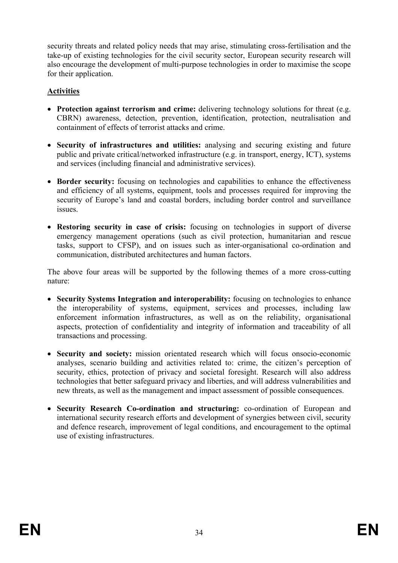security threats and related policy needs that may arise, stimulating cross-fertilisation and the take-up of existing technologies for the civil security sector, European security research will also encourage the development of multi-purpose technologies in order to maximise the scope for their application.

### **Activities**

- **Protection against terrorism and crime:** delivering technology solutions for threat (e.g. CBRN) awareness, detection, prevention, identification, protection, neutralisation and containment of effects of terrorist attacks and crime.
- **Security of infrastructures and utilities:** analysing and securing existing and future public and private critical/networked infrastructure (e.g. in transport, energy, ICT), systems and services (including financial and administrative services).
- **Border security:** focusing on technologies and capabilities to enhance the effectiveness and efficiency of all systems, equipment, tools and processes required for improving the security of Europe's land and coastal borders, including border control and surveillance issues.
- **Restoring security in case of crisis:** focusing on technologies in support of diverse emergency management operations (such as civil protection, humanitarian and rescue tasks, support to CFSP), and on issues such as inter-organisational co-ordination and communication, distributed architectures and human factors.

The above four areas will be supported by the following themes of a more cross-cutting nature:

- **Security Systems Integration and interoperability:** focusing on technologies to enhance the interoperability of systems, equipment, services and processes, including law enforcement information infrastructures, as well as on the reliability, organisational aspects, protection of confidentiality and integrity of information and traceability of all transactions and processing.
- **Security and society:** mission orientated research which will focus onsocio-economic analyses, scenario building and activities related to: crime, the citizen's perception of security, ethics, protection of privacy and societal foresight. Research will also address technologies that better safeguard privacy and liberties, and will address vulnerabilities and new threats, as well as the management and impact assessment of possible consequences.
- **Security Research Co-ordination and structuring:** co-ordination of European and international security research efforts and development of synergies between civil, security and defence research, improvement of legal conditions, and encouragement to the optimal use of existing infrastructures.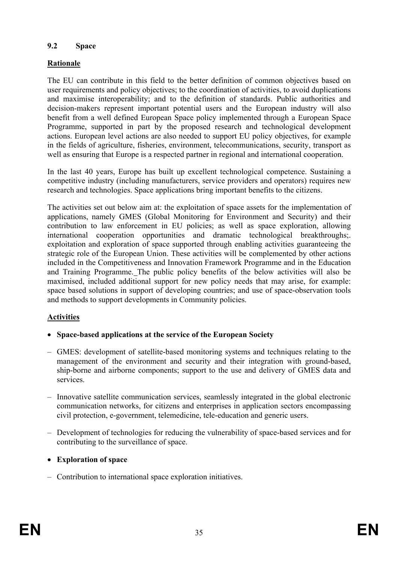#### **9.2 Space**

# **Rationale**

The EU can contribute in this field to the better definition of common objectives based on user requirements and policy objectives; to the coordination of activities, to avoid duplications and maximise interoperability; and to the definition of standards. Public authorities and decision-makers represent important potential users and the European industry will also benefit from a well defined European Space policy implemented through a European Space Programme, supported in part by the proposed research and technological development actions. European level actions are also needed to support EU policy objectives, for example in the fields of agriculture, fisheries, environment, telecommunications, security, transport as well as ensuring that Europe is a respected partner in regional and international cooperation.

In the last 40 years, Europe has built up excellent technological competence. Sustaining a competitive industry (including manufacturers, service providers and operators) requires new research and technologies. Space applications bring important benefits to the citizens.

The activities set out below aim at: the exploitation of space assets for the implementation of applications, namely GMES (Global Monitoring for Environment and Security) and their contribution to law enforcement in EU policies; as well as space exploration, allowing international cooperation opportunities and dramatic technological breakthroughs;. exploitation and exploration of space supported through enabling activities guaranteeing the strategic role of the European Union. These activities will be complemented by other actions included in the Competitiveness and Innovation Framework Programme and in the Education and Training Programme. The public policy benefits of the below activities will also be maximised, included additional support for new policy needs that may arise, for example: space based solutions in support of developing countries; and use of space-observation tools and methods to support developments in Community policies.

#### **Activities**

- **Space-based applications at the service of the European Society**
- GMES: development of satellite-based monitoring systems and techniques relating to the management of the environment and security and their integration with ground-based, ship-borne and airborne components; support to the use and delivery of GMES data and services.
- Innovative satellite communication services, seamlessly integrated in the global electronic communication networks, for citizens and enterprises in application sectors encompassing civil protection, e-government, telemedicine, tele-education and generic users.
- Development of technologies for reducing the vulnerability of space-based services and for contributing to the surveillance of space.
- **Exploration of space**
- Contribution to international space exploration initiatives.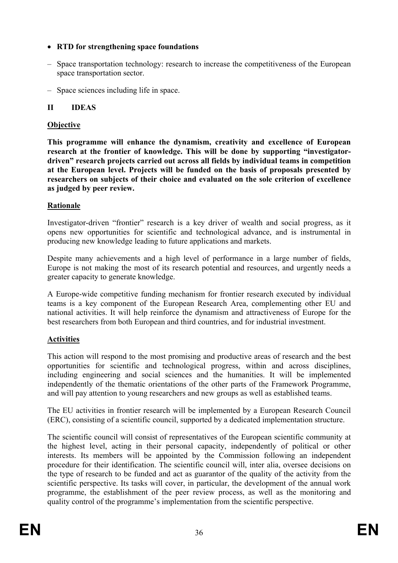### • **RTD for strengthening space foundations**

- Space transportation technology: research to increase the competitiveness of the European space transportation sector.
- Space sciences including life in space.

### **II IDEAS**

### **Objective**

**This programme will enhance the dynamism, creativity and excellence of European research at the frontier of knowledge. This will be done by supporting "investigatordriven" research projects carried out across all fields by individual teams in competition at the European level. Projects will be funded on the basis of proposals presented by researchers on subjects of their choice and evaluated on the sole criterion of excellence as judged by peer review.** 

### **Rationale**

Investigator-driven "frontier" research is a key driver of wealth and social progress, as it opens new opportunities for scientific and technological advance, and is instrumental in producing new knowledge leading to future applications and markets.

Despite many achievements and a high level of performance in a large number of fields, Europe is not making the most of its research potential and resources, and urgently needs a greater capacity to generate knowledge.

A Europe-wide competitive funding mechanism for frontier research executed by individual teams is a key component of the European Research Area, complementing other EU and national activities. It will help reinforce the dynamism and attractiveness of Europe for the best researchers from both European and third countries, and for industrial investment.

#### **Activities**

This action will respond to the most promising and productive areas of research and the best opportunities for scientific and technological progress, within and across disciplines, including engineering and social sciences and the humanities. It will be implemented independently of the thematic orientations of the other parts of the Framework Programme, and will pay attention to young researchers and new groups as well as established teams.

The EU activities in frontier research will be implemented by a European Research Council (ERC), consisting of a scientific council, supported by a dedicated implementation structure.

The scientific council will consist of representatives of the European scientific community at the highest level, acting in their personal capacity, independently of political or other interests. Its members will be appointed by the Commission following an independent procedure for their identification. The scientific council will, inter alia, oversee decisions on the type of research to be funded and act as guarantor of the quality of the activity from the scientific perspective. Its tasks will cover, in particular, the development of the annual work programme, the establishment of the peer review process, as well as the monitoring and quality control of the programme's implementation from the scientific perspective.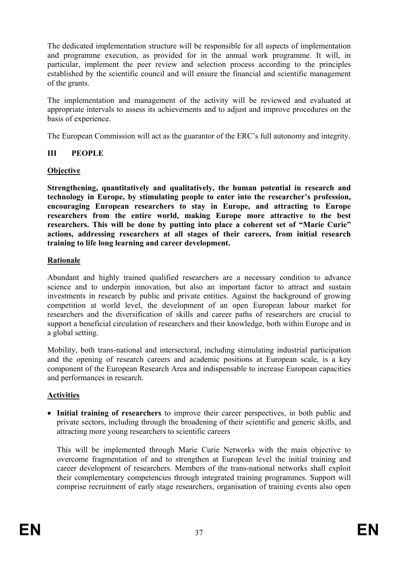The dedicated implementation structure will be responsible for all aspects of implementation and programme execution, as provided for in the annual work programme. It will, in particular, implement the peer review and selection process according to the principles established by the scientific council and will ensure the financial and scientific management of the grants.

The implementation and management of the activity will be reviewed and evaluated at appropriate intervals to assess its achievements and to adjust and improve procedures on the basis of experience.

The European Commission will act as the guarantor of the ERC's full autonomy and integrity.

## **III PEOPLE**

#### **Objective**

**Strengthening, quantitatively and qualitatively, the human potential in research and technology in Europe, by stimulating people to enter into the researcher's profession, encouraging European researchers to stay in Europe, and attracting to Europe researchers from the entire world, making Europe more attractive to the best researchers. This will be done by putting into place a coherent set of "Marie Curie" actions, addressing researchers at all stages of their careers, from initial research training to life long learning and career development.** 

#### **Rationale**

Abundant and highly trained qualified researchers are a necessary condition to advance science and to underpin innovation, but also an important factor to attract and sustain investments in research by public and private entities. Against the background of growing competition at world level, the development of an open European labour market for researchers and the diversification of skills and career paths of researchers are crucial to support a beneficial circulation of researchers and their knowledge, both within Europe and in a global setting.

Mobility, both trans-national and intersectoral, including stimulating industrial participation and the opening of research careers and academic positions at European scale, is a key component of the European Research Area and indispensable to increase European capacities and performances in research.

## **Activities**

• **Initial training of researchers** to improve their career perspectives, in both public and private sectors, including through the broadening of their scientific and generic skills, and attracting more young researchers to scientific careers

This will be implemented through Marie Curie Networks with the main objective to overcome fragmentation of and to strengthen at European level the initial training and career development of researchers. Members of the trans-national networks shall exploit their complementary competencies through integrated training programmes. Support will comprise recruitment of early stage researchers, organisation of training events also open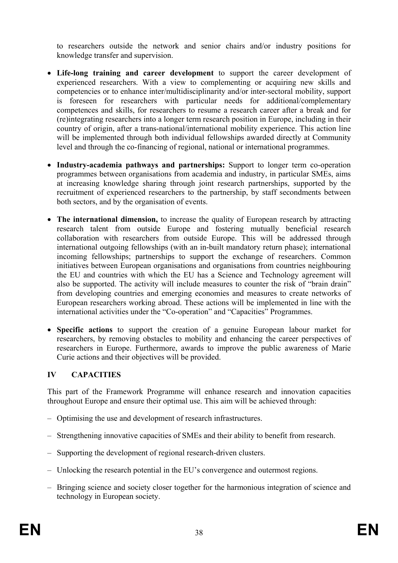to researchers outside the network and senior chairs and/or industry positions for knowledge transfer and supervision.

- **Life-long training and career development** to support the career development of experienced researchers. With a view to complementing or acquiring new skills and competencies or to enhance inter/multidisciplinarity and/or inter-sectoral mobility, support is foreseen for researchers with particular needs for additional/complementary competences and skills, for researchers to resume a research career after a break and for (re)integrating researchers into a longer term research position in Europe, including in their country of origin, after a trans-national/international mobility experience. This action line will be implemented through both individual fellowships awarded directly at Community level and through the co-financing of regional, national or international programmes.
- **Industry-academia pathways and partnerships:** Support to longer term co-operation programmes between organisations from academia and industry, in particular SMEs, aims at increasing knowledge sharing through joint research partnerships, supported by the recruitment of experienced researchers to the partnership, by staff secondments between both sectors, and by the organisation of events.
- The international dimension, to increase the quality of European research by attracting research talent from outside Europe and fostering mutually beneficial research collaboration with researchers from outside Europe. This will be addressed through international outgoing fellowships (with an in-built mandatory return phase); international incoming fellowships; partnerships to support the exchange of researchers. Common initiatives between European organisations and organisations from countries neighbouring the EU and countries with which the EU has a Science and Technology agreement will also be supported. The activity will include measures to counter the risk of "brain drain" from developing countries and emerging economies and measures to create networks of European researchers working abroad. These actions will be implemented in line with the international activities under the "Co-operation" and "Capacities" Programmes.
- **Specific actions** to support the creation of a genuine European labour market for researchers, by removing obstacles to mobility and enhancing the career perspectives of researchers in Europe. Furthermore, awards to improve the public awareness of Marie Curie actions and their objectives will be provided.

# **IV CAPACITIES**

This part of the Framework Programme will enhance research and innovation capacities throughout Europe and ensure their optimal use. This aim will be achieved through:

- Optimising the use and development of research infrastructures.
- Strengthening innovative capacities of SMEs and their ability to benefit from research.
- Supporting the development of regional research-driven clusters.
- Unlocking the research potential in the EU's convergence and outermost regions.
- Bringing science and society closer together for the harmonious integration of science and technology in European society.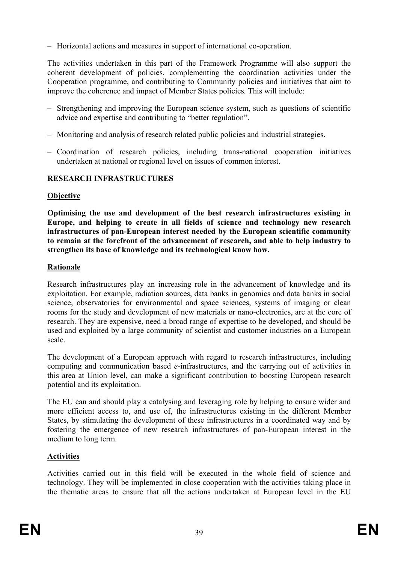– Horizontal actions and measures in support of international co-operation.

The activities undertaken in this part of the Framework Programme will also support the coherent development of policies, complementing the coordination activities under the Cooperation programme, and contributing to Community policies and initiatives that aim to improve the coherence and impact of Member States policies. This will include:

- Strengthening and improving the European science system, such as questions of scientific advice and expertise and contributing to "better regulation".
- Monitoring and analysis of research related public policies and industrial strategies.
- Coordination of research policies, including trans-national cooperation initiatives undertaken at national or regional level on issues of common interest.

## **RESEARCH INFRASTRUCTURES**

## **Objective**

**Optimising the use and development of the best research infrastructures existing in Europe, and helping to create in all fields of science and technology new research infrastructures of pan-European interest needed by the European scientific community to remain at the forefront of the advancement of research, and able to help industry to strengthen its base of knowledge and its technological know how.** 

## **Rationale**

Research infrastructures play an increasing role in the advancement of knowledge and its exploitation. For example, radiation sources, data banks in genomics and data banks in social science, observatories for environmental and space sciences, systems of imaging or clean rooms for the study and development of new materials or nano-electronics, are at the core of research. They are expensive, need a broad range of expertise to be developed, and should be used and exploited by a large community of scientist and customer industries on a European scale.

The development of a European approach with regard to research infrastructures, including computing and communication based *e*-infrastructures, and the carrying out of activities in this area at Union level, can make a significant contribution to boosting European research potential and its exploitation.

The EU can and should play a catalysing and leveraging role by helping to ensure wider and more efficient access to, and use of, the infrastructures existing in the different Member States, by stimulating the development of these infrastructures in a coordinated way and by fostering the emergence of new research infrastructures of pan-European interest in the medium to long term.

# **Activities**

Activities carried out in this field will be executed in the whole field of science and technology. They will be implemented in close cooperation with the activities taking place in the thematic areas to ensure that all the actions undertaken at European level in the EU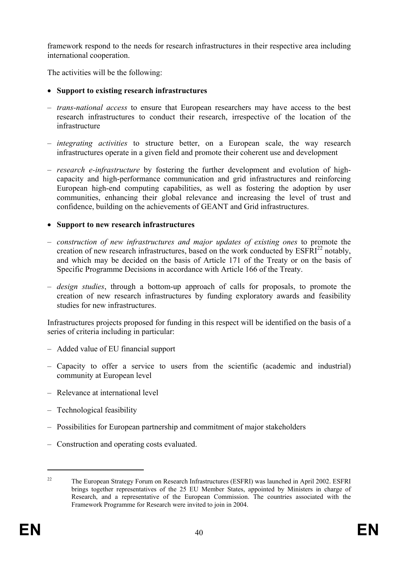framework respond to the needs for research infrastructures in their respective area including international cooperation.

The activities will be the following:

# • **Support to existing research infrastructures**

- *trans-national access* to ensure that European researchers may have access to the best research infrastructures to conduct their research, irrespective of the location of the infrastructure
- *integrating activities* to structure better, on a European scale, the way research infrastructures operate in a given field and promote their coherent use and development
- *research e-infrastructure* by fostering the further development and evolution of highcapacity and high-performance communication and grid infrastructures and reinforcing European high-end computing capabilities, as well as fostering the adoption by user communities, enhancing their global relevance and increasing the level of trust and confidence, building on the achievements of GEANT and Grid infrastructures.

# • **Support to new research infrastructures**

- *construction of new infrastructures and major updates of existing ones* to promote the creation of new research infrastructures, based on the work conducted by  $ESFRI<sup>22</sup>$  notably, and which may be decided on the basis of Article 171 of the Treaty or on the basis of Specific Programme Decisions in accordance with Article 166 of the Treaty.
- *design studies*, through a bottom-up approach of calls for proposals, to promote the creation of new research infrastructures by funding exploratory awards and feasibility studies for new infrastructures.

Infrastructures projects proposed for funding in this respect will be identified on the basis of a series of criteria including in particular:

- Added value of EU financial support
- Capacity to offer a service to users from the scientific (academic and industrial) community at European level
- Relevance at international level
- Technological feasibility
- Possibilities for European partnership and commitment of major stakeholders
- Construction and operating costs evaluated.

1

<sup>&</sup>lt;sup>22</sup> The European Strategy Forum on Research Infrastructures (ESFRI) was launched in April 2002. ESFRI brings together representatives of the 25 EU Member States, appointed by Ministers in charge of Research, and a representative of the European Commission. The countries associated with the Framework Programme for Research were invited to join in 2004.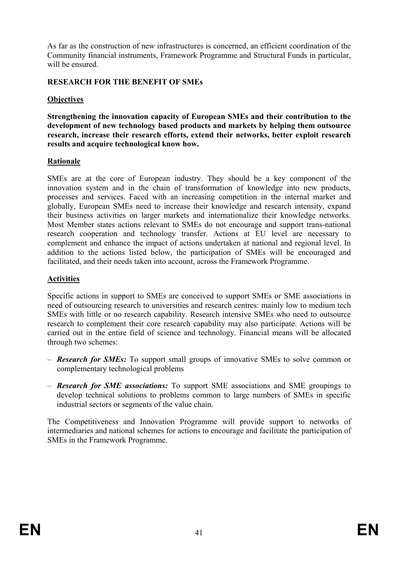As far as the construction of new infrastructures is concerned, an efficient coordination of the Community financial instruments, Framework Programme and Structural Funds in particular, will be ensured.

## **RESEARCH FOR THE BENEFIT OF SMEs**

## **Objectives**

**Strengthening the innovation capacity of European SMEs and their contribution to the development of new technology based products and markets by helping them outsource research, increase their research efforts, extend their networks, better exploit research results and acquire technological know how.** 

## **Rationale**

SMEs are at the core of European industry. They should be a key component of the innovation system and in the chain of transformation of knowledge into new products, processes and services. Faced with an increasing competition in the internal market and globally, European SMEs need to increase their knowledge and research intensity, expand their business activities on larger markets and internationalize their knowledge networks. Most Member states actions relevant to SMEs do not encourage and support trans-national research cooperation and technology transfer. Actions at EU level are necessary to complement and enhance the impact of actions undertaken at national and regional level. In addition to the actions listed below, the participation of SMEs will be encouraged and facilitated, and their needs taken into account, across the Framework Programme.

## **Activities**

Specific actions in support to SMEs are conceived to support SMEs or SME associations in need of outsourcing research to universities and research centres: mainly low to medium tech SMEs with little or no research capability. Research intensive SMEs who need to outsource research to complement their core research capability may also participate. Actions will be carried out in the entire field of science and technology. Financial means will be allocated through two schemes:

- *Research for SMEs:* To support small groups of innovative SMEs to solve common or complementary technological problems
- *Research for SME associations:* To support SME associations and SME groupings to develop technical solutions to problems common to large numbers of SMEs in specific industrial sectors or segments of the value chain.

The Competitiveness and Innovation Programme will provide support to networks of intermediaries and national schemes for actions to encourage and facilitate the participation of SMEs in the Framework Programme.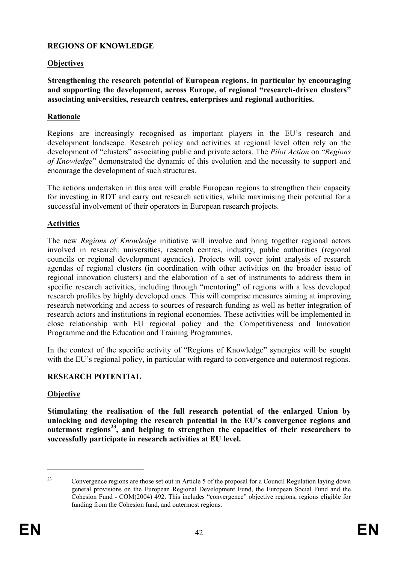#### **REGIONS OF KNOWLEDGE**

#### **Objectives**

**Strengthening the research potential of European regions, in particular by encouraging and supporting the development, across Europe, of regional "research-driven clusters" associating universities, research centres, enterprises and regional authorities.** 

#### **Rationale**

Regions are increasingly recognised as important players in the EU's research and development landscape. Research policy and activities at regional level often rely on the development of "clusters" associating public and private actors. The *Pilot Action* on "*Regions of Knowledge*" demonstrated the dynamic of this evolution and the necessity to support and encourage the development of such structures.

The actions undertaken in this area will enable European regions to strengthen their capacity for investing in RDT and carry out research activities, while maximising their potential for a successful involvement of their operators in European research projects.

#### **Activities**

The new *Regions of Knowledge* initiative will involve and bring together regional actors involved in research: universities, research centres, industry, public authorities (regional councils or regional development agencies). Projects will cover joint analysis of research agendas of regional clusters (in coordination with other activities on the broader issue of regional innovation clusters) and the elaboration of a set of instruments to address them in specific research activities, including through "mentoring" of regions with a less developed research profiles by highly developed ones. This will comprise measures aiming at improving research networking and access to sources of research funding as well as better integration of research actors and institutions in regional economies. These activities will be implemented in close relationship with EU regional policy and the Competitiveness and Innovation Programme and the Education and Training Programmes.

In the context of the specific activity of "Regions of Knowledge" synergies will be sought with the EU's regional policy, in particular with regard to convergence and outermost regions.

#### **RESEARCH POTENTIAL**

#### **Objective**

**Stimulating the realisation of the full research potential of the enlarged Union by unlocking and developing the research potential in the EU's convergence regions and outermost regions23, and helping to strengthen the capacities of their researchers to successfully participate in research activities at EU level.** 

1

<sup>23</sup> Convergence regions are those set out in Article 5 of the proposal for a Council Regulation laying down general provisions on the European Regional Development Fund, the European Social Fund and the Cohesion Fund - COM(2004) 492. This includes "convergence" objective regions, regions eligible for funding from the Cohesion fund, and outermost regions.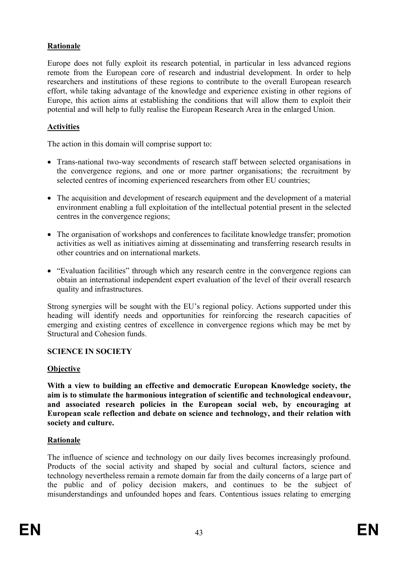## **Rationale**

Europe does not fully exploit its research potential, in particular in less advanced regions remote from the European core of research and industrial development. In order to help researchers and institutions of these regions to contribute to the overall European research effort, while taking advantage of the knowledge and experience existing in other regions of Europe, this action aims at establishing the conditions that will allow them to exploit their potential and will help to fully realise the European Research Area in the enlarged Union.

## **Activities**

The action in this domain will comprise support to:

- Trans-national two-way secondments of research staff between selected organisations in the convergence regions, and one or more partner organisations; the recruitment by selected centres of incoming experienced researchers from other EU countries;
- The acquisition and development of research equipment and the development of a material environment enabling a full exploitation of the intellectual potential present in the selected centres in the convergence regions;
- The organisation of workshops and conferences to facilitate knowledge transfer; promotion activities as well as initiatives aiming at disseminating and transferring research results in other countries and on international markets.
- "Evaluation facilities" through which any research centre in the convergence regions can obtain an international independent expert evaluation of the level of their overall research quality and infrastructures.

Strong synergies will be sought with the EU's regional policy. Actions supported under this heading will identify needs and opportunities for reinforcing the research capacities of emerging and existing centres of excellence in convergence regions which may be met by Structural and Cohesion funds.

## **SCIENCE IN SOCIETY**

## **Objective**

**With a view to building an effective and democratic European Knowledge society, the aim is to stimulate the harmonious integration of scientific and technological endeavour, and associated research policies in the European social web, by encouraging at European scale reflection and debate on science and technology, and their relation with society and culture.** 

## **Rationale**

The influence of science and technology on our daily lives becomes increasingly profound. Products of the social activity and shaped by social and cultural factors, science and technology nevertheless remain a remote domain far from the daily concerns of a large part of the public and of policy decision makers, and continues to be the subject of misunderstandings and unfounded hopes and fears. Contentious issues relating to emerging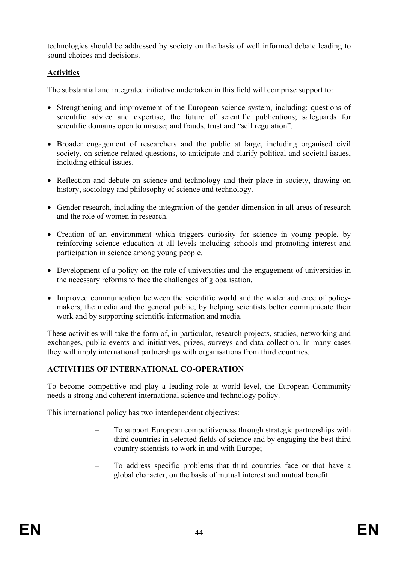technologies should be addressed by society on the basis of well informed debate leading to sound choices and decisions.

# **Activities**

The substantial and integrated initiative undertaken in this field will comprise support to:

- Strengthening and improvement of the European science system, including: questions of scientific advice and expertise; the future of scientific publications; safeguards for scientific domains open to misuse; and frauds, trust and "self regulation".
- Broader engagement of researchers and the public at large, including organised civil society, on science-related questions, to anticipate and clarify political and societal issues, including ethical issues.
- Reflection and debate on science and technology and their place in society, drawing on history, sociology and philosophy of science and technology.
- Gender research, including the integration of the gender dimension in all areas of research and the role of women in research.
- Creation of an environment which triggers curiosity for science in young people, by reinforcing science education at all levels including schools and promoting interest and participation in science among young people.
- Development of a policy on the role of universities and the engagement of universities in the necessary reforms to face the challenges of globalisation.
- Improved communication between the scientific world and the wider audience of policymakers, the media and the general public, by helping scientists better communicate their work and by supporting scientific information and media.

These activities will take the form of, in particular, research projects, studies, networking and exchanges, public events and initiatives, prizes, surveys and data collection. In many cases they will imply international partnerships with organisations from third countries.

# **ACTIVITIES OF INTERNATIONAL CO-OPERATION**

To become competitive and play a leading role at world level, the European Community needs a strong and coherent international science and technology policy.

This international policy has two interdependent objectives:

- To support European competitiveness through strategic partnerships with third countries in selected fields of science and by engaging the best third country scientists to work in and with Europe;
- To address specific problems that third countries face or that have a global character, on the basis of mutual interest and mutual benefit.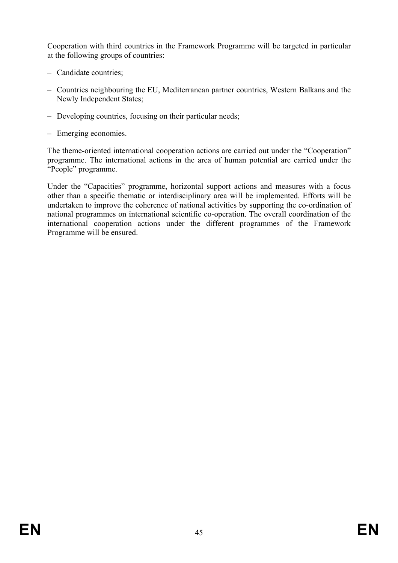Cooperation with third countries in the Framework Programme will be targeted in particular at the following groups of countries:

- Candidate countries;
- Countries neighbouring the EU, Mediterranean partner countries, Western Balkans and the Newly Independent States;
- Developing countries, focusing on their particular needs;
- Emerging economies.

The theme-oriented international cooperation actions are carried out under the "Cooperation" programme. The international actions in the area of human potential are carried under the "People" programme.

Under the "Capacities" programme, horizontal support actions and measures with a focus other than a specific thematic or interdisciplinary area will be implemented. Efforts will be undertaken to improve the coherence of national activities by supporting the co-ordination of national programmes on international scientific co-operation. The overall coordination of the international cooperation actions under the different programmes of the Framework Programme will be ensured.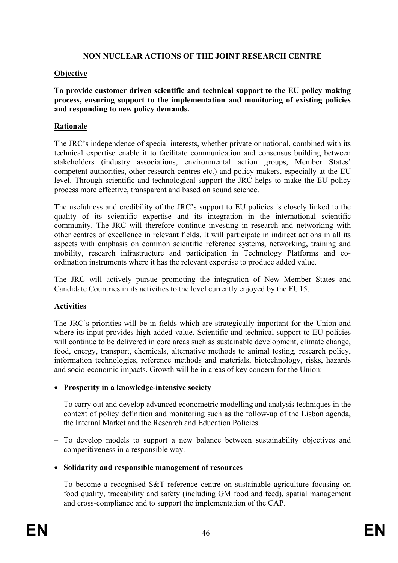## **NON NUCLEAR ACTIONS OF THE JOINT RESEARCH CENTRE**

## **Objective**

**To provide customer driven scientific and technical support to the EU policy making process, ensuring support to the implementation and monitoring of existing policies and responding to new policy demands.** 

## **Rationale**

The JRC's independence of special interests, whether private or national, combined with its technical expertise enable it to facilitate communication and consensus building between stakeholders (industry associations, environmental action groups, Member States' competent authorities, other research centres etc.) and policy makers, especially at the EU level. Through scientific and technological support the JRC helps to make the EU policy process more effective, transparent and based on sound science.

The usefulness and credibility of the JRC's support to EU policies is closely linked to the quality of its scientific expertise and its integration in the international scientific community. The JRC will therefore continue investing in research and networking with other centres of excellence in relevant fields. It will participate in indirect actions in all its aspects with emphasis on common scientific reference systems, networking, training and mobility, research infrastructure and participation in Technology Platforms and coordination instruments where it has the relevant expertise to produce added value.

The JRC will actively pursue promoting the integration of New Member States and Candidate Countries in its activities to the level currently enjoyed by the EU15.

## **Activities**

The JRC's priorities will be in fields which are strategically important for the Union and where its input provides high added value. Scientific and technical support to EU policies will continue to be delivered in core areas such as sustainable development, climate change, food, energy, transport, chemicals, alternative methods to animal testing, research policy, information technologies, reference methods and materials, biotechnology, risks, hazards and socio-economic impacts. Growth will be in areas of key concern for the Union:

- **Prosperity in a knowledge-intensive society**
- To carry out and develop advanced econometric modelling and analysis techniques in the context of policy definition and monitoring such as the follow-up of the Lisbon agenda, the Internal Market and the Research and Education Policies.
- To develop models to support a new balance between sustainability objectives and competitiveness in a responsible way.
- **Solidarity and responsible management of resources**
- To become a recognised S&T reference centre on sustainable agriculture focusing on food quality, traceability and safety (including GM food and feed), spatial management and cross-compliance and to support the implementation of the CAP.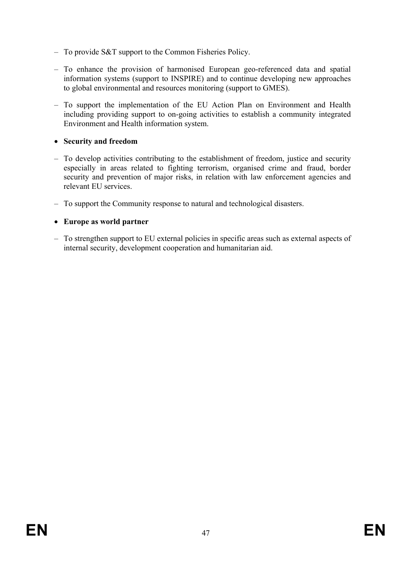- To provide S&T support to the Common Fisheries Policy.
- To enhance the provision of harmonised European geo-referenced data and spatial information systems (support to INSPIRE) and to continue developing new approaches to global environmental and resources monitoring (support to GMES).
- To support the implementation of the EU Action Plan on Environment and Health including providing support to on-going activities to establish a community integrated Environment and Health information system.

## • **Security and freedom**

- To develop activities contributing to the establishment of freedom, justice and security especially in areas related to fighting terrorism, organised crime and fraud, border security and prevention of major risks, in relation with law enforcement agencies and relevant EU services.
- To support the Community response to natural and technological disasters.

## • **Europe as world partner**

– To strengthen support to EU external policies in specific areas such as external aspects of internal security, development cooperation and humanitarian aid.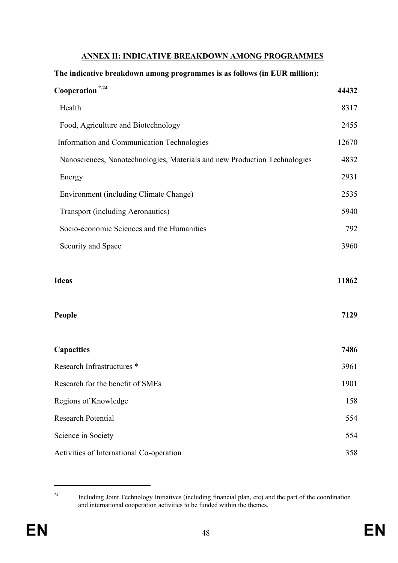#### **ANNEX II: INDICATIVE BREAKDOWN AMONG PROGRAMMES**

#### **The indicative breakdown among programmes is as follows (in EUR million):**

| Cooperation <sup>*,24</sup>                                               | 44432         |
|---------------------------------------------------------------------------|---------------|
| Health                                                                    | 8317          |
| Food, Agriculture and Biotechnology                                       | 2455          |
| Information and Communication Technologies                                | 12670         |
| Nanosciences, Nanotechnologies, Materials and new Production Technologies | 4832          |
| Energy                                                                    | 2931          |
| Environment (including Climate Change)                                    | 2535          |
| <b>Transport (including Aeronautics)</b>                                  | 5940          |
| Socio-economic Sciences and the Humanities                                | 792           |
| Security and Space                                                        | 3960          |
| <b>Ideas</b><br>People                                                    | 11862<br>7129 |
| Capacities                                                                | 7486          |
| Research Infrastructures *                                                | 3961          |
| Research for the benefit of SMEs                                          | 1901          |
| Regions of Knowledge                                                      | 158           |
| <b>Research Potential</b>                                                 | 554           |
| Science in Society                                                        | 554           |
| Activities of International Co-operation                                  | 358           |

<sup>&</sup>lt;sup>24</sup> Including Joint Technology Initiatives (including financial plan, etc) and the part of the coordination and international cooperation activities to be funded within the themes.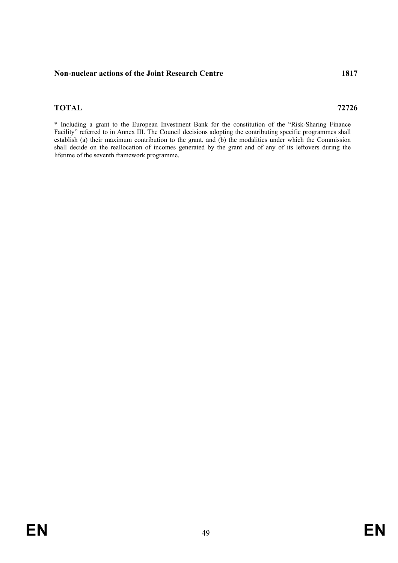#### **Non-nuclear actions of the Joint Research Centre 1817**

#### **TOTAL 72726**

\* Including a grant to the European Investment Bank for the constitution of the "Risk-Sharing Finance Facility" referred to in Annex III. The Council decisions adopting the contributing specific programmes shall establish (a) their maximum contribution to the grant, and (b) the modalities under which the Commission shall decide on the reallocation of incomes generated by the grant and of any of its leftovers during the lifetime of the seventh framework programme.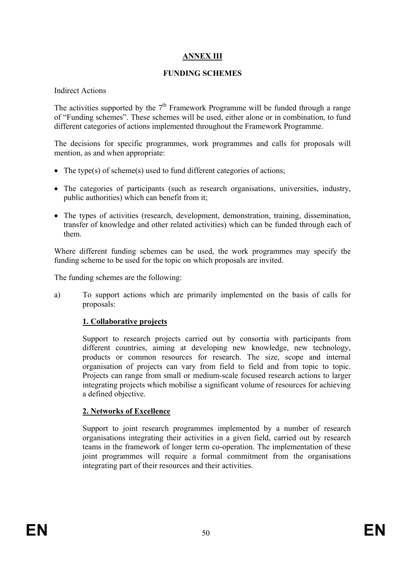# **ANNEX III**

#### **FUNDING SCHEMES**

Indirect Actions

The activities supported by the  $7<sup>th</sup>$  Framework Programme will be funded through a range of "Funding schemes". These schemes will be used, either alone or in combination, to fund different categories of actions implemented throughout the Framework Programme.

The decisions for specific programmes, work programmes and calls for proposals will mention, as and when appropriate:

- The type(s) of scheme(s) used to fund different categories of actions;
- The categories of participants (such as research organisations, universities, industry, public authorities) which can benefit from it;
- The types of activities (research, development, demonstration, training, dissemination, transfer of knowledge and other related activities) which can be funded through each of them.

Where different funding schemes can be used, the work programmes may specify the funding scheme to be used for the topic on which proposals are invited.

The funding schemes are the following:

a) To support actions which are primarily implemented on the basis of calls for proposals:

## **1. Collaborative projects**

Support to research projects carried out by consortia with participants from different countries, aiming at developing new knowledge, new technology, products or common resources for research. The size, scope and internal organisation of projects can vary from field to field and from topic to topic. Projects can range from small or medium-scale focused research actions to larger integrating projects which mobilise a significant volume of resources for achieving a defined objective.

## **2. Networks of Excellence**

Support to joint research programmes implemented by a number of research organisations integrating their activities in a given field, carried out by research teams in the framework of longer term co-operation. The implementation of these joint programmes will require a formal commitment from the organisations integrating part of their resources and their activities.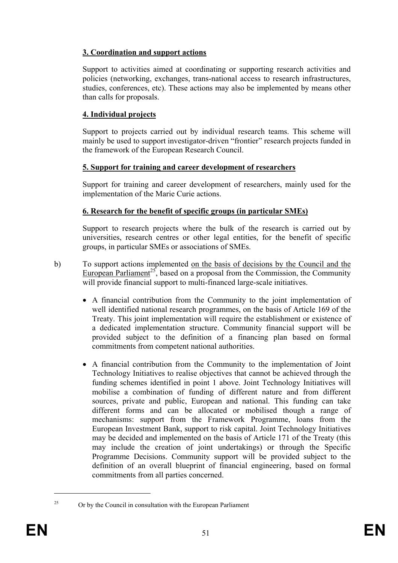# **3. Coordination and support actions**

Support to activities aimed at coordinating or supporting research activities and policies (networking, exchanges, trans-national access to research infrastructures, studies, conferences, etc). These actions may also be implemented by means other than calls for proposals.

## **4. Individual projects**

Support to projects carried out by individual research teams. This scheme will mainly be used to support investigator-driven "frontier" research projects funded in the framework of the European Research Council.

#### **5. Support for training and career development of researchers**

Support for training and career development of researchers, mainly used for the implementation of the Marie Curie actions.

## **6. Research for the benefit of specific groups (in particular SMEs)**

Support to research projects where the bulk of the research is carried out by universities, research centres or other legal entities, for the benefit of specific groups, in particular SMEs or associations of SMEs.

- b) To support actions implemented on the basis of decisions by the Council and the European Parliament<sup>25</sup>, based on a proposal from the Commission, the Community will provide financial support to multi-financed large-scale initiatives.
	- A financial contribution from the Community to the joint implementation of well identified national research programmes, on the basis of Article 169 of the Treaty. This joint implementation will require the establishment or existence of a dedicated implementation structure. Community financial support will be provided subject to the definition of a financing plan based on formal commitments from competent national authorities.
	- A financial contribution from the Community to the implementation of Joint Technology Initiatives to realise objectives that cannot be achieved through the funding schemes identified in point 1 above. Joint Technology Initiatives will mobilise a combination of funding of different nature and from different sources, private and public, European and national. This funding can take different forms and can be allocated or mobilised though a range of mechanisms: support from the Framework Programme, loans from the European Investment Bank, support to risk capital. Joint Technology Initiatives may be decided and implemented on the basis of Article 171 of the Treaty (this may include the creation of joint undertakings) or through the Specific Programme Decisions. Community support will be provided subject to the definition of an overall blueprint of financial engineering, based on formal commitments from all parties concerned.

 $\overline{a}$ 

 $25$  Or by the Council in consultation with the European Parliament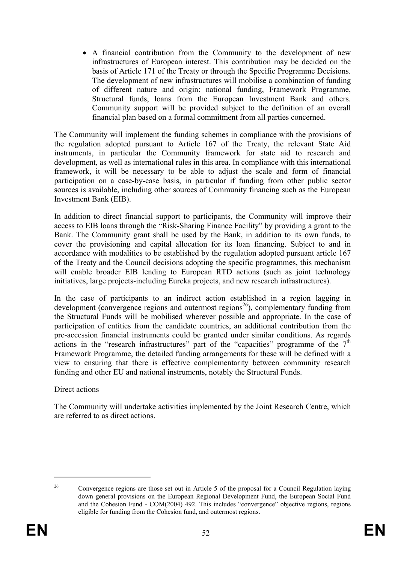• A financial contribution from the Community to the development of new infrastructures of European interest. This contribution may be decided on the basis of Article 171 of the Treaty or through the Specific Programme Decisions. The development of new infrastructures will mobilise a combination of funding of different nature and origin: national funding, Framework Programme, Structural funds, loans from the European Investment Bank and others. Community support will be provided subject to the definition of an overall financial plan based on a formal commitment from all parties concerned.

The Community will implement the funding schemes in compliance with the provisions of the regulation adopted pursuant to Article 167 of the Treaty, the relevant State Aid instruments, in particular the Community framework for state aid to research and development, as well as international rules in this area. In compliance with this international framework, it will be necessary to be able to adjust the scale and form of financial participation on a case-by-case basis, in particular if funding from other public sector sources is available, including other sources of Community financing such as the European Investment Bank (EIB).

In addition to direct financial support to participants, the Community will improve their access to EIB loans through the "Risk-Sharing Finance Facility" by providing a grant to the Bank. The Community grant shall be used by the Bank, in addition to its own funds, to cover the provisioning and capital allocation for its loan financing. Subject to and in accordance with modalities to be established by the regulation adopted pursuant article 167 of the Treaty and the Council decisions adopting the specific programmes, this mechanism will enable broader EIB lending to European RTD actions (such as joint technology initiatives, large projects-including Eureka projects, and new research infrastructures).

In the case of participants to an indirect action established in a region lagging in development (convergence regions and outermost regions<sup>26</sup>), complementary funding from the Structural Funds will be mobilised wherever possible and appropriate. In the case of participation of entities from the candidate countries, an additional contribution from the pre-accession financial instruments could be granted under similar conditions. As regards actions in the "research infrastructures" part of the "capacities" programme of the  $7<sup>th</sup>$ Framework Programme, the detailed funding arrangements for these will be defined with a view to ensuring that there is effective complementarity between community research funding and other EU and national instruments, notably the Structural Funds.

Direct actions

The Community will undertake activities implemented by the Joint Research Centre, which are referred to as direct actions.

<sup>&</sup>lt;sup>26</sup> Convergence regions are those set out in Article 5 of the proposal for a Council Regulation laying down general provisions on the European Regional Development Fund, the European Social Fund and the Cohesion Fund - COM(2004) 492. This includes "convergence" objective regions, regions eligible for funding from the Cohesion fund, and outermost regions.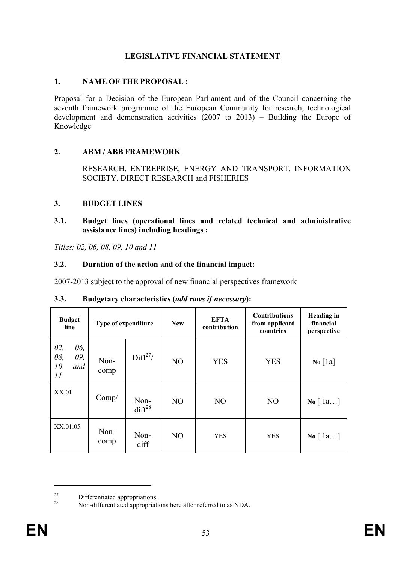# **LEGISLATIVE FINANCIAL STATEMENT**

#### **1. NAME OF THE PROPOSAL :**

Proposal for a Decision of the European Parliament and of the Council concerning the seventh framework programme of the European Community for research, technological development and demonstration activities (2007 to 2013) – Building the Europe of Knowledge

## **2. ABM / ABB FRAMEWORK**

RESEARCH, ENTREPRISE, ENERGY AND TRANSPORT. INFORMATION SOCIETY. DIRECT RESEARCH and FISHERIES

## **3. BUDGET LINES**

#### **3.1. Budget lines (operational lines and related technical and administrative assistance lines) including headings :**

*Titles: 02, 06, 08, 09, 10 and 11*

## **3.2. Duration of the action and of the financial impact:**

2007-2013 subject to the approval of new financial perspectives framework

| <b>Budget</b><br>line                       | Type of expenditure |                      | <b>New</b>     | <b>EFTA</b><br>contribution | <b>Contributions</b><br>from applicant<br>countries | <b>Heading</b> in<br>financial<br>perspective |
|---------------------------------------------|---------------------|----------------------|----------------|-----------------------------|-----------------------------------------------------|-----------------------------------------------|
| 06,<br>02,<br>08,<br>09,<br>10<br>and<br>11 | Non-<br>comp        | Diff <sup>27</sup> / | NO             | <b>YES</b>                  | <b>YES</b>                                          | $\text{No} \left[ \text{1a} \right]$          |
| XX.01                                       | Comp/               | Non-<br>$diff^{28}$  | N <sub>O</sub> | N <sub>O</sub>              | N <sub>O</sub>                                      | $\mathbf{No} \mid 1a$                         |
| XX.01.05                                    | Non-<br>comp        | Non-<br>diff         | N <sub>O</sub> | <b>YES</b>                  | <b>YES</b>                                          | $\mathbf{No}$ [ $1a$ ]                        |

## **3.3. Budgetary characteristics (***add rows if necessary***):**

 $27 \over 28$  Differentiated appropriations.

Non-differentiated appropriations here after referred to as NDA.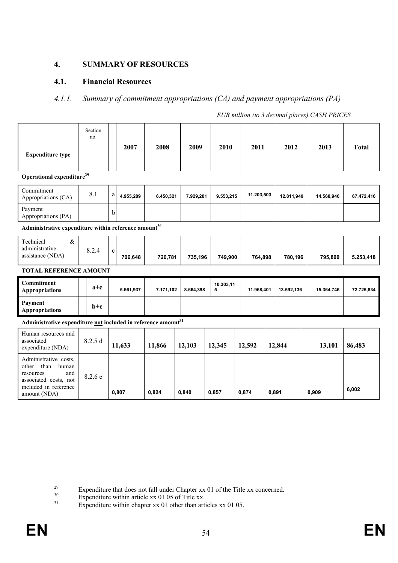## **4. SUMMARY OF RESOURCES**

## **4.1. Financial Resources**

#### *4.1.1. Summary of commitment appropriations (CA) and payment appropriations (PA)*

| <b>Expenditure type</b>                                                                                                               | Section<br>no. |             | 2007      | 2008      | 2009      | 2010           | 2011       |       | 2012       |       | 2013       | <b>Total</b> |
|---------------------------------------------------------------------------------------------------------------------------------------|----------------|-------------|-----------|-----------|-----------|----------------|------------|-------|------------|-------|------------|--------------|
| Operational expenditure <sup>29</sup>                                                                                                 |                |             |           |           |           |                |            |       |            |       |            |              |
| Commitment<br>Appropriations (CA)                                                                                                     | 8.1            | $\rm{a}$    | 4.955,289 | 6.450,321 | 7.929,201 | 9.553,215      | 11.203,503 |       | 12.811,940 |       | 14.568,946 | 67.472,416   |
| Payment<br>Appropriations (PA)                                                                                                        |                | b           |           |           |           |                |            |       |            |       |            |              |
| Administrative expenditure within reference amount $^{30}$                                                                            |                |             |           |           |           |                |            |       |            |       |            |              |
| $\&$<br>Technical<br>administrative<br>assistance (NDA)                                                                               | 8.2.4          | $\mathbf c$ | 706,648   | 720,781   | 735,196   | 749,900        | 764,898    |       | 780,196    |       | 795,800    | 5.253,418    |
| <b>TOTAL REFERENCE AMOUNT</b>                                                                                                         |                |             |           |           |           |                |            |       |            |       |            |              |
| <b>Commitment</b><br><b>Appropriations</b>                                                                                            | $a+c$          |             | 5.661,937 | 7.171,102 | 8.664,398 | 10.303,11<br>5 | 11.968,401 |       | 13.592,136 |       | 15.364,746 | 72.725,834   |
| Payment<br><b>Appropriations</b>                                                                                                      | $b+c$          |             |           |           |           |                |            |       |            |       |            |              |
| Administrative expenditure not included in reference amount <sup>31</sup>                                                             |                |             |           |           |           |                |            |       |            |       |            |              |
| Human resources and<br>associated<br>expenditure (NDA)                                                                                | 8.2.5 d        |             | 11,633    | 11,866    | 12,103    | 12,345         | 12,592     |       | 12,844     |       | 13,101     | 86,483       |
| Administrative costs,<br>than<br>human<br>other<br>and<br>resources<br>associated costs, not<br>included in reference<br>amount (NDA) | 8.2.6 e        |             | 0,807     | 0,824     | 0,840     | 0,857          | 0,874      | 0,891 |            | 0.909 |            | 6,002        |

*EUR million (to 3 decimal places) CASH PRICES* 

<sup>&</sup>lt;sup>29</sup><br>Expenditure that does not fall under Chapter xx 01 of the Title xx concerned.<br>Expenditure within article xx 01 of Title xx.<br>Expenditure within about xx 01 other than articles xx 01 05

Expenditure within chapter xx 01 other than articles xx 01 05.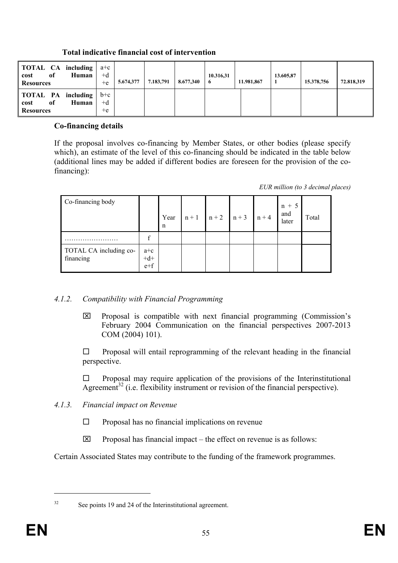| <b>TOTAL CA including</b><br>of<br>Human<br>cost<br><b>Resources</b> | $a+c$<br>$+d$<br>$+e$ | 5.674,377 | 7.183,791 | 8.677,340 | 10.316,31<br>-6 | 11.981,867 | 13.605,87 | 15.378,756 | 72.818,319 |
|----------------------------------------------------------------------|-----------------------|-----------|-----------|-----------|-----------------|------------|-----------|------------|------------|
| <b>TOTAL PA</b> including<br>of<br>Human<br>cost<br><b>Resources</b> | $b+c$<br>$+d$<br>$+e$ |           |           |           |                 |            |           |            |            |

## **Total indicative financial cost of intervention**

#### **Co-financing details**

If the proposal involves co-financing by Member States, or other bodies (please specify which), an estimate of the level of this co-financing should be indicated in the table below (additional lines may be added if different bodies are foreseen for the provision of the cofinancing):

*EUR million (to 3 decimal places)* 

| Co-financing body                   |                         | Year<br>n | $n+1$ $n+2$ $n+3$ | $n + 4$ | $n + 5$<br>and<br>later | Total |
|-------------------------------------|-------------------------|-----------|-------------------|---------|-------------------------|-------|
|                                     |                         |           |                   |         |                         |       |
| TOTAL CA including co-<br>financing | $a+c$<br>$+d+$<br>$e+f$ |           |                   |         |                         |       |

## *4.1.2. Compatibility with Financial Programming*

 $\boxtimes$  Proposal is compatible with next financial programming (Commission's February 2004 Communication on the financial perspectives 2007-2013 COM (2004) 101).

 $\Box$  Proposal will entail reprogramming of the relevant heading in the financial perspective.

 $\Box$  Proposal may require application of the provisions of the Interinstitutional Agreement<sup>32</sup> (i.e. flexibility instrument or revision of the financial perspective).

# *4.1.3. Financial impact on Revenue*

- $\square$  Proposal has no financial implications on revenue
- $\boxtimes$  Proposal has financial impact the effect on revenue is as follows:

Certain Associated States may contribute to the funding of the framework programmes.

<sup>32</sup> See points 19 and 24 of the Interinstitutional agreement.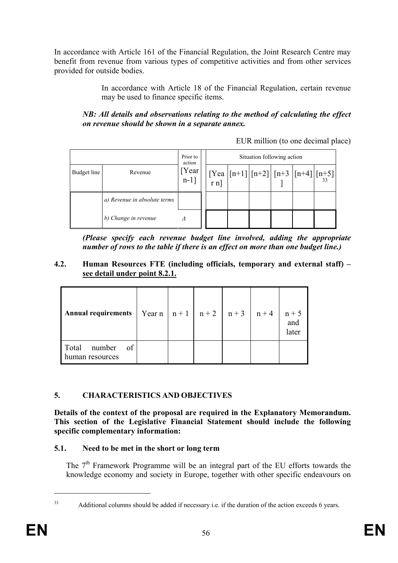In accordance with Article 161 of the Financial Regulation, the Joint Research Centre may benefit from revenue from various types of competitive activities and from other services provided for outside bodies.

> In accordance with Article 18 of the Financial Regulation, certain revenue may be used to finance specific items.

*NB: All details and observations relating to the method of calculating the effect on revenue should be shown in a separate annex.* 

EUR million (to one decimal place)

|             |                              | Prior to<br>action |                                                                                                                                                                                          | Situation following action |  |  |
|-------------|------------------------------|--------------------|------------------------------------------------------------------------------------------------------------------------------------------------------------------------------------------|----------------------------|--|--|
| Budget line | Revenue                      | [Year<br>$n-1$ ]   | $\begin{bmatrix} \text{Yea} \\ \text{r n} \end{bmatrix}$ [n+1] $\begin{bmatrix} \text{n+1} \\ \text{1} \end{bmatrix}$ [n+3] $\begin{bmatrix} \text{n+4} \\ \text{1} \end{bmatrix}$ [n+5] |                            |  |  |
|             | a) Revenue in absolute terms |                    |                                                                                                                                                                                          |                            |  |  |
|             | b) Change in revenue         |                    |                                                                                                                                                                                          |                            |  |  |

*(Please specify each revenue budget line involved, adding the appropriate number of rows to the table if there is an effect on more than one budget line.)* 

## **4.2. Human Resources FTE (including officials, temporary and external staff) – see detail under point 8.2.1.**

| <b>Annual requirements</b>              | $\vert$ Year n $\vert$ n + 1 $\vert$ n + 2 $\vert$ n + 3 $\vert$ n + 4 $\vert$ |  |  | $n + 5$<br>and<br>later |
|-----------------------------------------|--------------------------------------------------------------------------------|--|--|-------------------------|
| Total number<br>of 1<br>human resources |                                                                                |  |  |                         |

# **5. CHARACTERISTICS AND OBJECTIVES**

**Details of the context of the proposal are required in the Explanatory Memorandum. This section of the Legislative Financial Statement should include the following specific complementary information:** 

## **5.1. Need to be met in the short or long term**

The 7<sup>th</sup> Framework Programme will be an integral part of the EU efforts towards the knowledge economy and society in Europe, together with other specific endeavours on

<sup>&</sup>lt;sup>33</sup> Additional columns should be added if necessary i.e. if the duration of the action exceeds 6 years.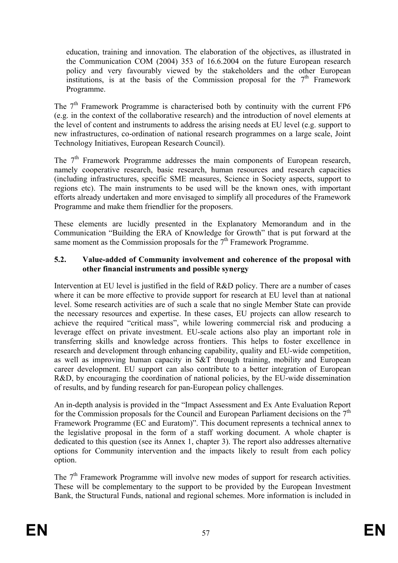education, training and innovation. The elaboration of the objectives, as illustrated in the Communication COM (2004) 353 of 16.6.2004 on the future European research policy and very favourably viewed by the stakeholders and the other European institutions, is at the basis of the Commission proposal for the  $7<sup>th</sup>$  Framework Programme.

The  $7<sup>th</sup>$  Framework Programme is characterised both by continuity with the current FP6 (e.g. in the context of the collaborative research) and the introduction of novel elements at the level of content and instruments to address the arising needs at EU level (e.g. support to new infrastructures, co-ordination of national research programmes on a large scale, Joint Technology Initiatives, European Research Council).

The 7<sup>th</sup> Framework Programme addresses the main components of European research, namely cooperative research, basic research, human resources and research capacities (including infrastructures, specific SME measures, Science in Society aspects, support to regions etc). The main instruments to be used will be the known ones, with important efforts already undertaken and more envisaged to simplify all procedures of the Framework Programme and make them friendlier for the proposers.

These elements are lucidly presented in the Explanatory Memorandum and in the Communication "Building the ERA of Knowledge for Growth" that is put forward at the same moment as the Commission proposals for the  $7<sup>th</sup>$  Framework Programme.

#### **5.2. Value-added of Community involvement and coherence of the proposal with other financial instruments and possible synergy**

Intervention at EU level is justified in the field of R&D policy. There are a number of cases where it can be more effective to provide support for research at EU level than at national level. Some research activities are of such a scale that no single Member State can provide the necessary resources and expertise. In these cases, EU projects can allow research to achieve the required "critical mass", while lowering commercial risk and producing a leverage effect on private investment. EU-scale actions also play an important role in transferring skills and knowledge across frontiers. This helps to foster excellence in research and development through enhancing capability, quality and EU-wide competition, as well as improving human capacity in S&T through training, mobility and European career development. EU support can also contribute to a better integration of European R&D, by encouraging the coordination of national policies, by the EU-wide dissemination of results, and by funding research for pan-European policy challenges.

An in-depth analysis is provided in the "Impact Assessment and Ex Ante Evaluation Report for the Commission proposals for the Council and European Parliament decisions on the  $7<sup>th</sup>$ Framework Programme (EC and Euratom)". This document represents a technical annex to the legislative proposal in the form of a staff working document. A whole chapter is dedicated to this question (see its Annex 1, chapter 3). The report also addresses alternative options for Community intervention and the impacts likely to result from each policy option.

The  $7<sup>th</sup>$  Framework Programme will involve new modes of support for research activities. These will be complementary to the support to be provided by the European Investment Bank, the Structural Funds, national and regional schemes. More information is included in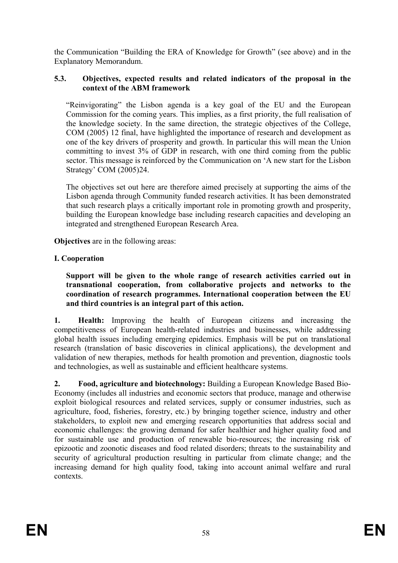the Communication "Building the ERA of Knowledge for Growth" (see above) and in the Explanatory Memorandum.

#### **5.3. Objectives, expected results and related indicators of the proposal in the context of the ABM framework**

"Reinvigorating" the Lisbon agenda is a key goal of the EU and the European Commission for the coming years. This implies, as a first priority, the full realisation of the knowledge society. In the same direction, the strategic objectives of the College, COM (2005) 12 final, have highlighted the importance of research and development as one of the key drivers of prosperity and growth. In particular this will mean the Union committing to invest 3% of GDP in research, with one third coming from the public sector. This message is reinforced by the Communication on 'A new start for the Lisbon Strategy' COM (2005)24.

The objectives set out here are therefore aimed precisely at supporting the aims of the Lisbon agenda through Community funded research activities. It has been demonstrated that such research plays a critically important role in promoting growth and prosperity, building the European knowledge base including research capacities and developing an integrated and strengthened European Research Area.

**Objectives** are in the following areas:

## **I. Cooperation**

**Support will be given to the whole range of research activities carried out in transnational cooperation, from collaborative projects and networks to the coordination of research programmes. International cooperation between the EU and third countries is an integral part of this action.** 

**1. Health:** Improving the health of European citizens and increasing the competitiveness of European health-related industries and businesses, while addressing global health issues including emerging epidemics. Emphasis will be put on translational research (translation of basic discoveries in clinical applications), the development and validation of new therapies, methods for health promotion and prevention, diagnostic tools and technologies, as well as sustainable and efficient healthcare systems.

**2. Food, agriculture and biotechnology:** Building a European Knowledge Based Bio-Economy (includes all industries and economic sectors that produce, manage and otherwise exploit biological resources and related services, supply or consumer industries, such as agriculture, food, fisheries, forestry, etc.) by bringing together science, industry and other stakeholders, to exploit new and emerging research opportunities that address social and economic challenges: the growing demand for safer healthier and higher quality food and for sustainable use and production of renewable bio-resources; the increasing risk of epizootic and zoonotic diseases and food related disorders; threats to the sustainability and security of agricultural production resulting in particular from climate change; and the increasing demand for high quality food, taking into account animal welfare and rural contexts.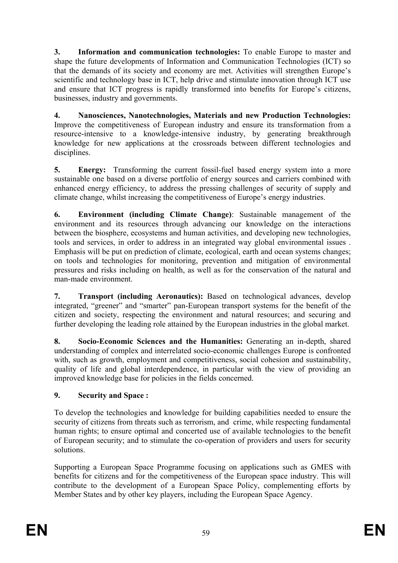**3. Information and communication technologies:** To enable Europe to master and shape the future developments of Information and Communication Technologies (ICT) so that the demands of its society and economy are met. Activities will strengthen Europe's scientific and technology base in ICT, help drive and stimulate innovation through ICT use and ensure that ICT progress is rapidly transformed into benefits for Europe's citizens, businesses, industry and governments.

**4. Nanosciences, Nanotechnologies, Materials and new Production Technologies:**  Improve the competitiveness of European industry and ensure its transformation from a resource-intensive to a knowledge-intensive industry, by generating breakthrough knowledge for new applications at the crossroads between different technologies and disciplines.

**5.** Energy: Transforming the current fossil-fuel based energy system into a more sustainable one based on a diverse portfolio of energy sources and carriers combined with enhanced energy efficiency, to address the pressing challenges of security of supply and climate change, whilst increasing the competitiveness of Europe's energy industries.

**6. Environment (including Climate Change)**: Sustainable management of the environment and its resources through advancing our knowledge on the interactions between the biosphere, ecosystems and human activities, and developing new technologies, tools and services, in order to address in an integrated way global environmental issues . Emphasis will be put on prediction of climate, ecological, earth and ocean systems changes; on tools and technologies for monitoring, prevention and mitigation of environmental pressures and risks including on health, as well as for the conservation of the natural and man-made environment.

**7. Transport (including Aeronautics):** Based on technological advances, develop integrated, "greener" and "smarter" pan-European transport systems for the benefit of the citizen and society, respecting the environment and natural resources; and securing and further developing the leading role attained by the European industries in the global market.

**8. Socio-Economic Sciences and the Humanities:** Generating an in-depth, shared understanding of complex and interrelated socio-economic challenges Europe is confronted with, such as growth, employment and competitiveness, social cohesion and sustainability, quality of life and global interdependence, in particular with the view of providing an improved knowledge base for policies in the fields concerned.

# **9. Security and Space :**

To develop the technologies and knowledge for building capabilities needed to ensure the security of citizens from threats such as terrorism, and crime, while respecting fundamental human rights; to ensure optimal and concerted use of available technologies to the benefit of European security; and to stimulate the co-operation of providers and users for security solutions.

Supporting a European Space Programme focusing on applications such as GMES with benefits for citizens and for the competitiveness of the European space industry. This will contribute to the development of a European Space Policy, complementing efforts by Member States and by other key players, including the European Space Agency.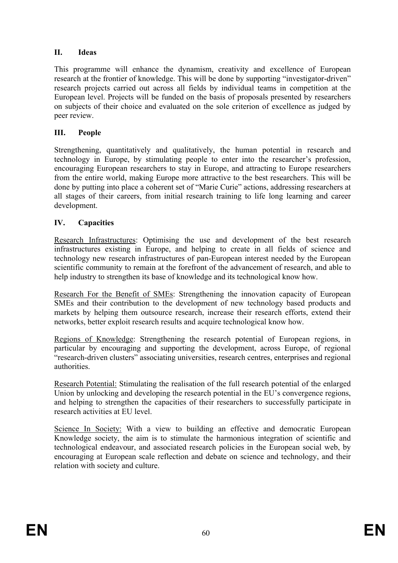# **II. Ideas**

This programme will enhance the dynamism, creativity and excellence of European research at the frontier of knowledge. This will be done by supporting "investigator-driven" research projects carried out across all fields by individual teams in competition at the European level. Projects will be funded on the basis of proposals presented by researchers on subjects of their choice and evaluated on the sole criterion of excellence as judged by peer review.

## **III. People**

Strengthening, quantitatively and qualitatively, the human potential in research and technology in Europe, by stimulating people to enter into the researcher's profession, encouraging European researchers to stay in Europe, and attracting to Europe researchers from the entire world, making Europe more attractive to the best researchers. This will be done by putting into place a coherent set of "Marie Curie" actions, addressing researchers at all stages of their careers, from initial research training to life long learning and career development.

## **IV. Capacities**

Research Infrastructures: Optimising the use and development of the best research infrastructures existing in Europe, and helping to create in all fields of science and technology new research infrastructures of pan-European interest needed by the European scientific community to remain at the forefront of the advancement of research, and able to help industry to strengthen its base of knowledge and its technological know how.

Research For the Benefit of SMEs: Strengthening the innovation capacity of European SMEs and their contribution to the development of new technology based products and markets by helping them outsource research, increase their research efforts, extend their networks, better exploit research results and acquire technological know how.

Regions of Knowledge: Strengthening the research potential of European regions, in particular by encouraging and supporting the development, across Europe, of regional "research-driven clusters" associating universities, research centres, enterprises and regional authorities.

Research Potential: Stimulating the realisation of the full research potential of the enlarged Union by unlocking and developing the research potential in the EU's convergence regions, and helping to strengthen the capacities of their researchers to successfully participate in research activities at EU level.

Science In Society: With a view to building an effective and democratic European Knowledge society, the aim is to stimulate the harmonious integration of scientific and technological endeavour, and associated research policies in the European social web, by encouraging at European scale reflection and debate on science and technology, and their relation with society and culture.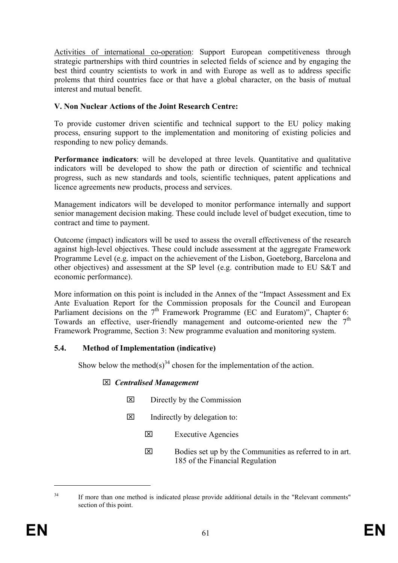Activities of international co-operation: Support European competitiveness through strategic partnerships with third countries in selected fields of science and by engaging the best third country scientists to work in and with Europe as well as to address specific prolems that third countries face or that have a global character, on the basis of mutual interest and mutual benefit.

## **V. Non Nuclear Actions of the Joint Research Centre:**

To provide customer driven scientific and technical support to the EU policy making process, ensuring support to the implementation and monitoring of existing policies and responding to new policy demands.

**Performance indicators**: will be developed at three levels. Quantitative and qualitative indicators will be developed to show the path or direction of scientific and technical progress, such as new standards and tools, scientific techniques, patent applications and licence agreements new products, process and services.

Management indicators will be developed to monitor performance internally and support senior management decision making. These could include level of budget execution, time to contract and time to payment.

Outcome (impact) indicators will be used to assess the overall effectiveness of the research against high-level objectives. These could include assessment at the aggregate Framework Programme Level (e.g. impact on the achievement of the Lisbon, Goeteborg, Barcelona and other objectives) and assessment at the SP level (e.g. contribution made to EU S&T and economic performance).

More information on this point is included in the Annex of the "Impact Assessment and Ex Ante Evaluation Report for the Commission proposals for the Council and European Parliament decisions on the  $7<sup>th</sup>$  Framework Programme (EC and Euratom)", Chapter 6: Towards an effective, user-friendly management and outcome-oriented new the  $7<sup>th</sup>$ Framework Programme, Section 3: New programme evaluation and monitoring system.

## **5.4. Method of Implementation (indicative)**

Show below the method(s)<sup>34</sup> chosen for the implementation of the action.

## ⌧ *Centralised Management*

- $\boxtimes$  Directly by the Commission
- $\boxtimes$  Indirectly by delegation to:
	- ⌧ Executive Agencies
	- $\boxtimes$  Bodies set up by the Communities as referred to in art. 185 of the Financial Regulation

<sup>&</sup>lt;sup>34</sup> If more than one method is indicated please provide additional details in the "Relevant comments" section of this point.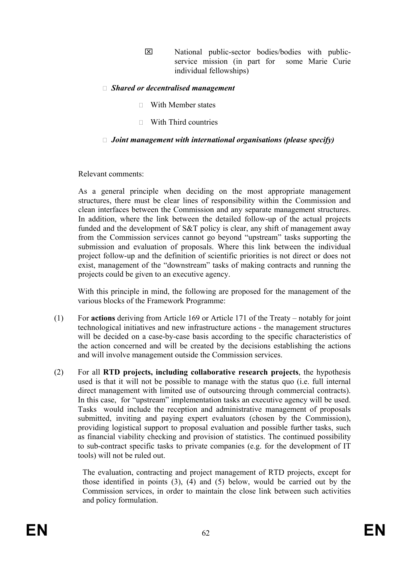⌧ National public-sector bodies/bodies with publicservice mission (in part for some Marie Curie individual fellowships)

## ٱ *Shared or decentralised management*

- $\Box$  With Member states
- $\neg$  With Third countries

#### □ *Joint management with international organisations (please specify)*

Relevant comments:

As a general principle when deciding on the most appropriate management structures, there must be clear lines of responsibility within the Commission and clean interfaces between the Commission and any separate management structures. In addition, where the link between the detailed follow-up of the actual projects funded and the development of S&T policy is clear, any shift of management away from the Commission services cannot go beyond "upstream" tasks supporting the submission and evaluation of proposals. Where this link between the individual project follow-up and the definition of scientific priorities is not direct or does not exist, management of the "downstream" tasks of making contracts and running the projects could be given to an executive agency.

With this principle in mind, the following are proposed for the management of the various blocks of the Framework Programme:

- (1) For **actions** deriving from Article 169 or Article 171 of the Treaty notably for joint technological initiatives and new infrastructure actions - the management structures will be decided on a case-by-case basis according to the specific characteristics of the action concerned and will be created by the decisions establishing the actions and will involve management outside the Commission services.
- (2) For all **RTD projects, including collaborative research projects**, the hypothesis used is that it will not be possible to manage with the status quo (i.e. full internal direct management with limited use of outsourcing through commercial contracts). In this case, for "upstream" implementation tasks an executive agency will be used. Tasks would include the reception and administrative management of proposals submitted, inviting and paying expert evaluators (chosen by the Commission), providing logistical support to proposal evaluation and possible further tasks, such as financial viability checking and provision of statistics. The continued possibility to sub-contract specific tasks to private companies (e.g. for the development of IT tools) will not be ruled out.

The evaluation, contracting and project management of RTD projects, except for those identified in points  $(3)$ ,  $(4)$  and  $(5)$  below, would be carried out by the Commission services, in order to maintain the close link between such activities and policy formulation.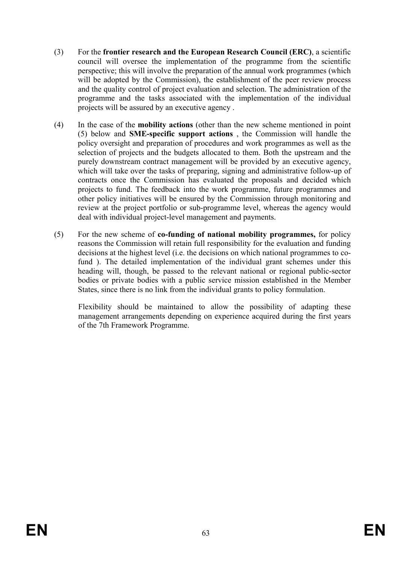- (3) For the **frontier research and the European Research Council (ERC)**, a scientific council will oversee the implementation of the programme from the scientific perspective; this will involve the preparation of the annual work programmes (which will be adopted by the Commission), the establishment of the peer review process and the quality control of project evaluation and selection. The administration of the programme and the tasks associated with the implementation of the individual projects will be assured by an executive agency .
- (4) In the case of the **mobility actions** (other than the new scheme mentioned in point (5) below and **SME-specific support actions** , the Commission will handle the policy oversight and preparation of procedures and work programmes as well as the selection of projects and the budgets allocated to them. Both the upstream and the purely downstream contract management will be provided by an executive agency, which will take over the tasks of preparing, signing and administrative follow-up of contracts once the Commission has evaluated the proposals and decided which projects to fund. The feedback into the work programme, future programmes and other policy initiatives will be ensured by the Commission through monitoring and review at the project portfolio or sub-programme level, whereas the agency would deal with individual project-level management and payments.
- (5) For the new scheme of **co-funding of national mobility programmes,** for policy reasons the Commission will retain full responsibility for the evaluation and funding decisions at the highest level (i.e. the decisions on which national programmes to cofund ). The detailed implementation of the individual grant schemes under this heading will, though, be passed to the relevant national or regional public-sector bodies or private bodies with a public service mission established in the Member States, since there is no link from the individual grants to policy formulation.

Flexibility should be maintained to allow the possibility of adapting these management arrangements depending on experience acquired during the first years of the 7th Framework Programme.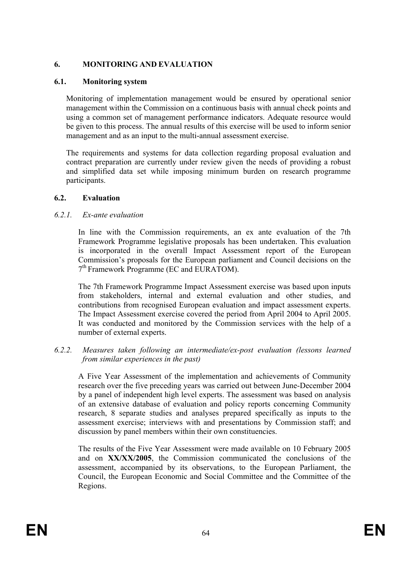## **6. MONITORING AND EVALUATION**

## **6.1. Monitoring system**

Monitoring of implementation management would be ensured by operational senior management within the Commission on a continuous basis with annual check points and using a common set of management performance indicators. Adequate resource would be given to this process. The annual results of this exercise will be used to inform senior management and as an input to the multi-annual assessment exercise.

The requirements and systems for data collection regarding proposal evaluation and contract preparation are currently under review given the needs of providing a robust and simplified data set while imposing minimum burden on research programme participants.

## **6.2. Evaluation**

## *6.2.1. Ex-ante evaluation*

In line with the Commission requirements, an ex ante evaluation of the 7th Framework Programme legislative proposals has been undertaken. This evaluation is incorporated in the overall Impact Assessment report of the European Commission's proposals for the European parliament and Council decisions on the 7th Framework Programme (EC and EURATOM).

The 7th Framework Programme Impact Assessment exercise was based upon inputs from stakeholders, internal and external evaluation and other studies, and contributions from recognised European evaluation and impact assessment experts. The Impact Assessment exercise covered the period from April 2004 to April 2005. It was conducted and monitored by the Commission services with the help of a number of external experts.

#### *6.2.2. Measures taken following an intermediate/ex-post evaluation (lessons learned from similar experiences in the past)*

A Five Year Assessment of the implementation and achievements of Community research over the five preceding years was carried out between June-December 2004 by a panel of independent high level experts. The assessment was based on analysis of an extensive database of evaluation and policy reports concerning Community research, 8 separate studies and analyses prepared specifically as inputs to the assessment exercise; interviews with and presentations by Commission staff; and discussion by panel members within their own constituencies.

The results of the Five Year Assessment were made available on 10 February 2005 and on **XX/XX/2005**, the Commission communicated the conclusions of the assessment, accompanied by its observations, to the European Parliament, the Council, the European Economic and Social Committee and the Committee of the Regions.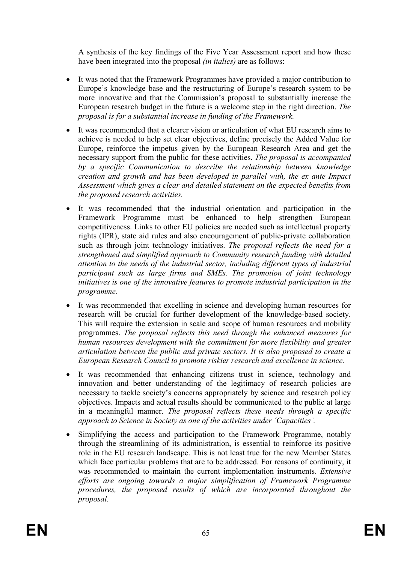A synthesis of the key findings of the Five Year Assessment report and how these have been integrated into the proposal *(in italics)* are as follows:

- It was noted that the Framework Programmes have provided a major contribution to Europe's knowledge base and the restructuring of Europe's research system to be more innovative and that the Commission's proposal to substantially increase the European research budget in the future is a welcome step in the right direction. *The proposal is for a substantial increase in funding of the Framework.*
- It was recommended that a clearer vision or articulation of what EU research aims to achieve is needed to help set clear objectives, define precisely the Added Value for Europe, reinforce the impetus given by the European Research Area and get the necessary support from the public for these activities. *The proposal is accompanied by a specific Communication to describe the relationship between knowledge creation and growth and has been developed in parallel with, the ex ante Impact Assessment which gives a clear and detailed statement on the expected benefits from the proposed research activities.*
- It was recommended that the industrial orientation and participation in the Framework Programme must be enhanced to help strengthen European competitiveness. Links to other EU policies are needed such as intellectual property rights (IPR), state aid rules and also encouragement of public-private collaboration such as through joint technology initiatives. *The proposal reflects the need for a strengthened and simplified approach to Community research funding with detailed attention to the needs of the industrial sector, including different types of industrial participant such as large firms and SMEs. The promotion of joint technology initiatives is one of the innovative features to promote industrial participation in the programme.*
- It was recommended that excelling in science and developing human resources for research will be crucial for further development of the knowledge-based society. This will require the extension in scale and scope of human resources and mobility programmes. *The proposal reflects this need through the enhanced measures for human resources development with the commitment for more flexibility and greater articulation between the public and private sectors. It is also proposed to create a European Research Council to promote riskier research and excellence in science.*
- It was recommended that enhancing citizens trust in science, technology and innovation and better understanding of the legitimacy of research policies are necessary to tackle society's concerns appropriately by science and research policy objectives. Impacts and actual results should be communicated to the public at large in a meaningful manner. *The proposal reflects these needs through a specific approach to Science in Society as one of the activities under 'Capacities'.*
- Simplifying the access and participation to the Framework Programme, notably through the streamlining of its administration, is essential to reinforce its positive role in the EU research landscape. This is not least true for the new Member States which face particular problems that are to be addressed. For reasons of continuity, it was recommended to maintain the current implementation instruments*. Extensive efforts are ongoing towards a major simplification of Framework Programme procedures, the proposed results of which are incorporated throughout the proposal.*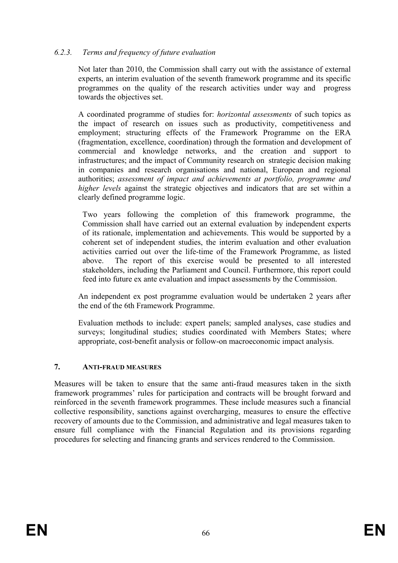## *6.2.3. Terms and frequency of future evaluation*

Not later than 2010, the Commission shall carry out with the assistance of external experts, an interim evaluation of the seventh framework programme and its specific programmes on the quality of the research activities under way and progress towards the objectives set.

A coordinated programme of studies for: *horizontal assessments* of such topics as the impact of research on issues such as productivity, competitiveness and employment; structuring effects of the Framework Programme on the ERA (fragmentation, excellence, coordination) through the formation and development of commercial and knowledge networks, and the creation and support to infrastructures; and the impact of Community research on strategic decision making in companies and research organisations and national, European and regional authorities; *assessment of impact and achievements at portfolio, programme and higher levels* against the strategic objectives and indicators that are set within a clearly defined programme logic.

 Two years following the completion of this framework programme, the Commission shall have carried out an external evaluation by independent experts of its rationale, implementation and achievements. This would be supported by a coherent set of independent studies, the interim evaluation and other evaluation activities carried out over the life-time of the Framework Programme, as listed above. The report of this exercise would be presented to all interested stakeholders, including the Parliament and Council. Furthermore, this report could feed into future ex ante evaluation and impact assessments by the Commission.

An independent ex post programme evaluation would be undertaken 2 years after the end of the 6th Framework Programme.

Evaluation methods to include: expert panels; sampled analyses, case studies and surveys; longitudinal studies; studies coordinated with Members States; where appropriate, cost-benefit analysis or follow-on macroeconomic impact analysis.

#### **7. ANTI-FRAUD MEASURES**

Measures will be taken to ensure that the same anti-fraud measures taken in the sixth framework programmes' rules for participation and contracts will be brought forward and reinforced in the seventh framework programmes. These include measures such a financial collective responsibility, sanctions against overcharging, measures to ensure the effective recovery of amounts due to the Commission, and administrative and legal measures taken to ensure full compliance with the Financial Regulation and its provisions regarding procedures for selecting and financing grants and services rendered to the Commission.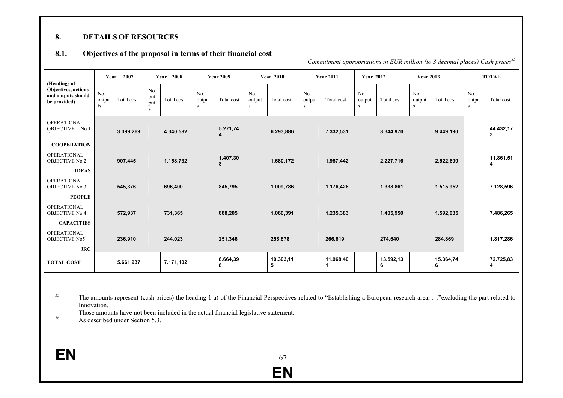#### **8.DETAILS OF RESOURCES**

#### **8.1.Objectives of the proposal in terms of their financial cost**

*Commitment appropriations in EUR million (to 3 decimal places) Cash prices<sup>35</sup>*

|                                                                                   | Year               | 2007       |                        | 2008<br>Year |                    | <b>Year 2009</b> |                    | <b>Year 2010</b> |                    | <b>Year 2011</b> | <b>Year 2012</b>   |                | <b>Year 2013</b>   |                |                    | <b>TOTAL</b>   |
|-----------------------------------------------------------------------------------|--------------------|------------|------------------------|--------------|--------------------|------------------|--------------------|------------------|--------------------|------------------|--------------------|----------------|--------------------|----------------|--------------------|----------------|
| (Headings of<br><b>Objectives</b> , actions<br>and outputs should<br>be provided) | No.<br>outpu<br>ts | Total cost | No.<br>out<br>put<br>S | Total cost   | No.<br>output<br>S | Total cost       | No.<br>output<br>s | Total cost       | No.<br>output<br>S | Total cost       | No.<br>output<br>S | Total cost     | No.<br>output<br>S | Total cost     | No.<br>output<br>S | Total cost     |
| <b>OPERATIONAL</b><br>OBJECTIVE No.1<br>36<br><b>COOPERATION</b>                  |                    | 3.399,269  |                        | 4.340,582    |                    | 5.271,74<br>4    |                    | 6.293,886        |                    | 7.332,531        |                    | 8.344,970      |                    | 9.449,190      |                    | 44.432,17<br>3 |
| OPERATIONAL<br><b>OBJECTIVE No.2</b><br><b>IDEAS</b>                              |                    | 907,445    |                        | 1.158,732    |                    | 1.407,30<br>8    |                    | 1.680,172        |                    | 1.957,442        |                    | 2.227,716      |                    | 2.522,699      |                    | 11.861,51<br>4 |
| <b>OPERATIONAL</b><br>OBJECTIVE No.31<br><b>PEOPLE</b>                            |                    | 545,376    |                        | 696,400      |                    | 845,795          |                    | 1.009,786        |                    | 1.176,426        |                    | 1.338,861      |                    | 1.515,952      |                    | 7.128,596      |
| <b>OPERATIONAL</b><br>OBJECTIVE No.4 <sup>1</sup><br><b>CAPACITIES</b>            |                    | 572,937    |                        | 731,365      |                    | 888,205          |                    | 1.060,391        |                    | 1.235,383        |                    | 1.405,950      |                    | 1.592,035      |                    | 7.486,265      |
| OPERATIONAL<br>OBJECTIVE No5 <sup>1</sup><br><b>JRC</b>                           |                    | 236,910    |                        | 244,023      |                    | 251,346          |                    | 258,878          |                    | 266,619          |                    | 274,640        |                    | 284,869        |                    | 1.817,286      |
| <b>TOTAL COST</b>                                                                 |                    | 5.661,937  |                        | 7.171,102    |                    | 8.664,39<br>8    |                    | 10.303,11<br>5   |                    | 11.968,40        |                    | 13.592,13<br>6 |                    | 15.364,74<br>6 |                    | 72.725,83<br>4 |

<sup>35</sup> The amounts represent (cash prices) the heading 1 a) of the Financial Perspectives related to "Establishing a European research area, ..."excluding the part related to Innovation.

Those amounts have not been included in the actual financial legislative statement.

36 As described under Section 5.3.

**EN**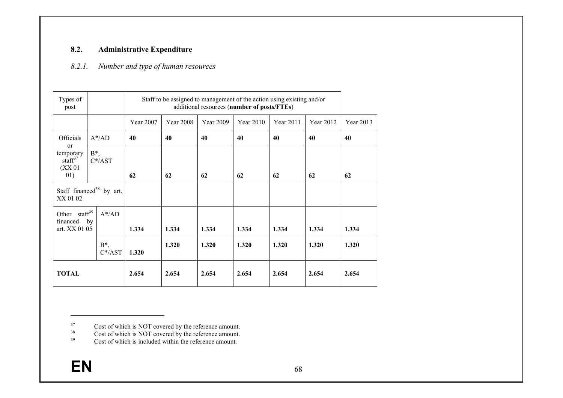#### **8.2.Administrative Expenditure**

#### *8.2.1.Number and type of human resources*

| Types of<br>post                                                                  |                                      |           | Staff to be assigned to management of the action using existing and/or<br>additional resources (number of posts/FTEs) |           |           |           |           |           |  |  |  |  |  |
|-----------------------------------------------------------------------------------|--------------------------------------|-----------|-----------------------------------------------------------------------------------------------------------------------|-----------|-----------|-----------|-----------|-----------|--|--|--|--|--|
|                                                                                   |                                      | Year 2007 | <b>Year 2008</b>                                                                                                      | Year 2009 | Year 2010 | Year 2011 | Year 2012 | Year 2013 |  |  |  |  |  |
| Officials                                                                         | $A^*$ /AD                            | 40        | 40                                                                                                                    | 40        | 40        | 40        | 40        | 40        |  |  |  |  |  |
| $\alpha$<br>temporary<br>$\sqrt{\text{staff}}^{37}$<br>(XX <sub>01</sub> )<br>01) | $B^*$<br>$C^*$ /AST                  | 62        | 62                                                                                                                    | 62        | 62        | 62        | 62        | 62        |  |  |  |  |  |
| XX 01 02                                                                          | Staff financed <sup>38</sup> by art. |           |                                                                                                                       |           |           |           |           |           |  |  |  |  |  |
| Other staff <sup>39</sup><br>financed<br>art. XX 01 05                            | $A^*$ /AD<br>by                      | 1.334     | 1.334                                                                                                                 | 1.334     | 1.334     | 1.334     | 1.334     | 1.334     |  |  |  |  |  |
|                                                                                   | $B^*,$<br>$C^*$ /AST                 | 1.320     | 1.320                                                                                                                 | 1.320     | 1.320     | 1.320     | 1.320     | 1.320     |  |  |  |  |  |
| <b>TOTAL</b>                                                                      |                                      | 2.654     | 2.654                                                                                                                 | 2.654     | 2.654     | 2.654     | 2.654     | 2.654     |  |  |  |  |  |

<sup>&</sup>lt;sup>37</sup> Cost of which is NOT covered by the reference amount.

<sup>&</sup>lt;sup>38</sup> Cost of which is NOT covered by the reference amount.

<sup>&</sup>lt;sup>39</sup> Cost of which is included within the reference amount.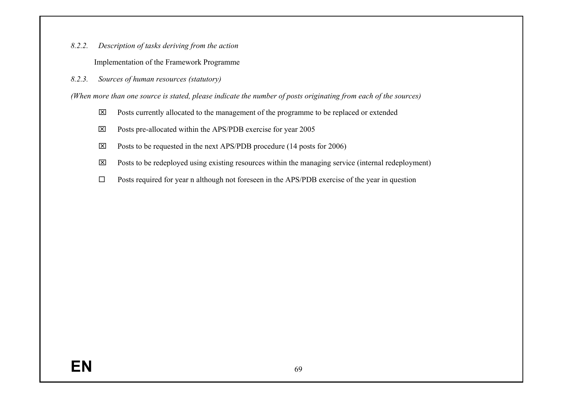*8.2.2.Description of tasks deriving from the action* 

Implementation of the Framework Programme

*8.2.3.Sources of human resources (statutory)* 

*(When more than one source is stated, please indicate the number of posts originating from each of the sources)* 

- ⌧ Posts currently allocated to the management of the programme to be replaced or extended
- ⌧ Posts pre-allocated within the APS/PDB exercise for year 2005
- $\boxtimes$  Posts to be requested in the next APS/PDB procedure (14 posts for 2006)
- $\boxtimes$  Posts to be redeployed using existing resources within the managing service (internal redeployment)
- $\square$  Posts required for year n although not foreseen in the APS/PDB exercise of the year in question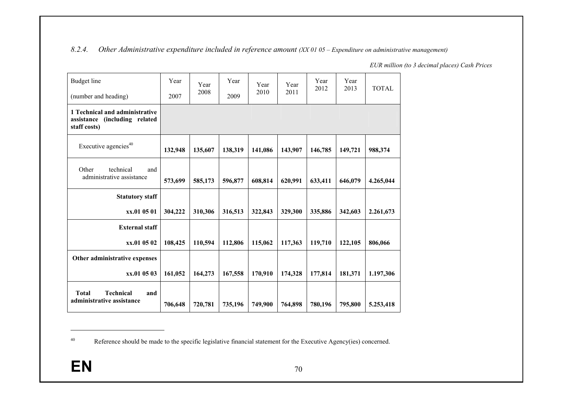#### *8.2.4.Other Administrative expenditure included in reference amount (XX 01 05 – Expenditure on administrative management)*

| Budget line<br>(number and heading)                                                | Year<br>2007 | Year<br>2008 | Year<br>2009 | Year<br>2010 | Year<br>2011 | Year<br>2012 | Year<br>2013 | <b>TOTAL</b> |
|------------------------------------------------------------------------------------|--------------|--------------|--------------|--------------|--------------|--------------|--------------|--------------|
| 1 Technical and administrative<br>assistance<br>(including related<br>staff costs) |              |              |              |              |              |              |              |              |
| Executive agencies <sup>40</sup>                                                   | 132,948      | 135,607      | 138,319      | 141,086      | 143,907      | 146,785      | 149,721      | 988,374      |
| Other<br>technical<br>and<br>administrative assistance                             | 573,699      | 585,173      | 596,877      | 608,814      | 620,991      | 633,411      | 646,079      | 4.265,044    |
| <b>Statutory staff</b>                                                             |              |              |              |              |              |              |              |              |
| xx.01 05 01                                                                        | 304,222      | 310,306      | 316,513      | 322,843      | 329,300      | 335,886      | 342,603      | 2.261,673    |
| <b>External staff</b>                                                              |              |              |              |              |              |              |              |              |
| xx.01 05 02                                                                        | 108,425      | 110,594      | 112,806      | 115,062      | 117,363      | 119,710      | 122,105      | 806,066      |
| Other administrative expenses                                                      |              |              |              |              |              |              |              |              |
| xx.01 05 03                                                                        | 161,052      | 164,273      | 167,558      | 170,910      | 174,328      | 177,814      | 181,371      | 1.197,306    |
| <b>Total</b><br><b>Technical</b><br>and<br>administrative assistance               | 706,648      | 720,781      | 735,196      | 749,900      | 764,898      | 780,196      | 795,800      | 5.253,418    |

*EUR million (to 3 decimal places) Cash Prices* 

<sup>&</sup>lt;sup>40</sup> Reference should be made to the specific legislative financial statement for the Executive Agency(ies) concerned.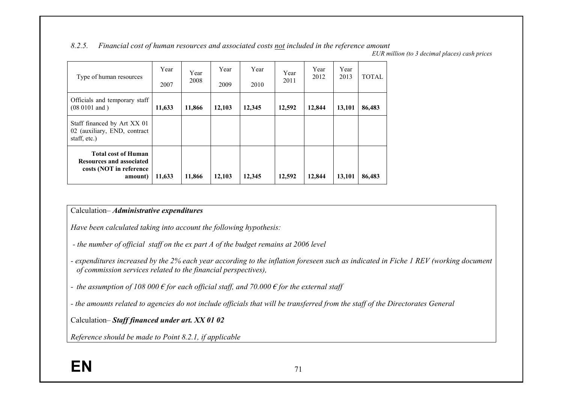#### *8.2.5.Financial cost of human resources and associated costs not included in the reference amount*

*EUR million (to 3 decimal places) cash prices* 

| Type of human resources                                                                             | Year<br>2007 | Year<br>2008 | Year<br>2009 | Year<br>2010 | Year<br>2011 | Year<br>2012 | Year<br>2013 | <b>TOTAL</b> |
|-----------------------------------------------------------------------------------------------------|--------------|--------------|--------------|--------------|--------------|--------------|--------------|--------------|
| Officials and temporary staff<br>$(08 0101$ and $)$                                                 | 11,633       | 11,866       | 12,103       | 12,345       | 12,592       | 12,844       | 13,101       | 86,483       |
| Staff financed by Art XX 01<br>02 (auxiliary, END, contract<br>staff, etc.)                         |              |              |              |              |              |              |              |              |
| <b>Total cost of Human</b><br><b>Resources and associated</b><br>costs (NOT in reference<br>amount) | 11,633       | 11,866       | 12,103       | 12,345       | 12,592       | 12,844       | 13,101       | 86,483       |

#### Calculation– *Administrative expenditures*

*Have been calculated taking into account the following hypothesis:* 

- *the number of official staff on the ex part A of the budget remains at 2006 level*
- *expenditures increased by the 2% each year according to the inflation foreseen such as indicated in Fiche 1 REV (working document of commission services related to the financial perspectives),*
- *the assumption of 108 000 € for each official staff, and 70.000 € for the external staff*
- *the amounts related to agencies do not include officials that will be transferred from the staff of the Directorates General*

Calculation– *Staff financed under art. XX 01 02*

*Reference should be made to Point 8.2.1, if applicable*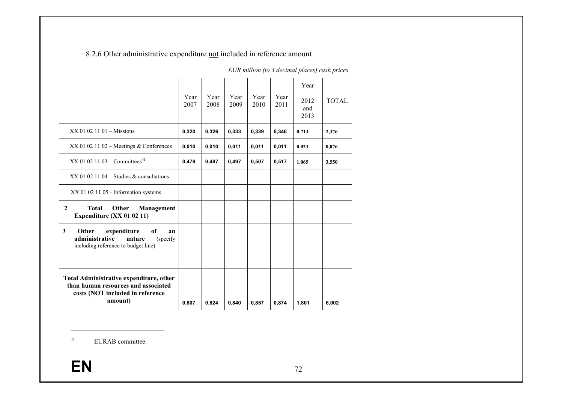8.2.6 Other administrative expenditure not included in reference amount

|                                                                                                                                  | Year<br>2007 | Year<br>2008 | Year<br>2009 | Year<br>2010 | Year<br>2011 | Year<br>2012<br>and<br>2013 | <b>TOTAL</b> |
|----------------------------------------------------------------------------------------------------------------------------------|--------------|--------------|--------------|--------------|--------------|-----------------------------|--------------|
| $XX$ 01 02 11 01 – Missions                                                                                                      | 0,320        | 0,326        | 0,333        | 0,339        | 0,346        | 0.713                       | 2,376        |
| XX 01 02 11 02 - Meetings & Conferences                                                                                          | 0,010        | 0,010        | 0,011        | 0,011        | 0,011        | 0.023                       | 0,076        |
| $XX$ 01 02 11 03 – Committees <sup>41</sup>                                                                                      | 0,478        | 0,487        | 0,497        | 0,507        | 0,517        | 1.065                       | 3,550        |
| $XX$ 01 02 11 04 – Studies & consultations                                                                                       |              |              |              |              |              |                             |              |
| XX 01 02 11 05 - Information systems                                                                                             |              |              |              |              |              |                             |              |
| <b>Total</b><br>$\mathbf{2}$<br>Other<br>Management<br>Expenditure (XX 01 02 11)                                                 |              |              |              |              |              |                             |              |
| $\mathbf{3}$<br>expenditure<br>Other<br>of<br>an<br>administrative<br>nature<br>(specify)<br>including reference to budget line) |              |              |              |              |              |                             |              |
| Total Administrative expenditure, other<br>than human resources and associated<br>costs (NOT included in reference<br>amount)    | 0.807        | 0,824        | 0.840        | 0,857        | 0.874        | 1.801                       | 6,002        |

*EUR million (to 3 decimal places) cash prices* 

<sup>41</sup> EURAB committee.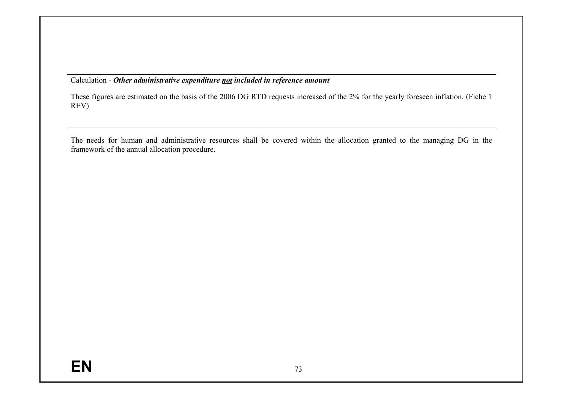Calculation - *Other administrative expenditure not included in reference amount*

These figures are estimated on the basis of the 2006 DG RTD requests increased of the 2% for the yearly foreseen inflation. (Fiche 1 REV)

The needs for human and administrative resources shall be covered within the allocation granted to the managing DG in the framework of the annual allocation procedure.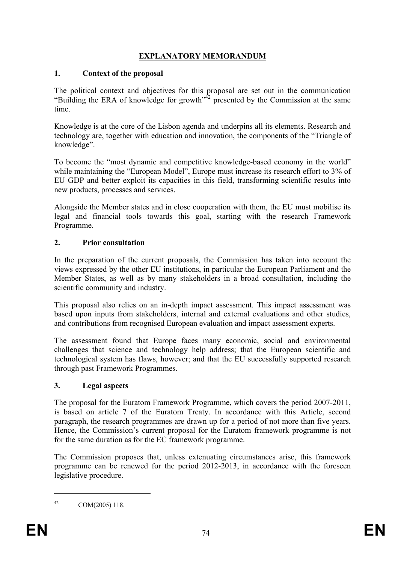# **EXPLANATORY MEMORANDUM**

# **1. Context of the proposal**

The political context and objectives for this proposal are set out in the communication "Building the ERA of knowledge for growth"<sup> $42$ </sup> presented by the Commission at the same time.

Knowledge is at the core of the Lisbon agenda and underpins all its elements. Research and technology are, together with education and innovation, the components of the "Triangle of knowledge".

To become the "most dynamic and competitive knowledge-based economy in the world" while maintaining the "European Model", Europe must increase its research effort to 3% of EU GDP and better exploit its capacities in this field, transforming scientific results into new products, processes and services.

Alongside the Member states and in close cooperation with them, the EU must mobilise its legal and financial tools towards this goal, starting with the research Framework Programme.

# **2. Prior consultation**

In the preparation of the current proposals, the Commission has taken into account the views expressed by the other EU institutions, in particular the European Parliament and the Member States, as well as by many stakeholders in a broad consultation, including the scientific community and industry.

This proposal also relies on an in-depth impact assessment. This impact assessment was based upon inputs from stakeholders, internal and external evaluations and other studies, and contributions from recognised European evaluation and impact assessment experts.

The assessment found that Europe faces many economic, social and environmental challenges that science and technology help address; that the European scientific and technological system has flaws, however; and that the EU successfully supported research through past Framework Programmes.

# **3. Legal aspects**

The proposal for the Euratom Framework Programme, which covers the period 2007-2011, is based on article 7 of the Euratom Treaty. In accordance with this Article, second paragraph, the research programmes are drawn up for a period of not more than five years. Hence, the Commission's current proposal for the Euratom framework programme is not for the same duration as for the EC framework programme.

The Commission proposes that, unless extenuating circumstances arise, this framework programme can be renewed for the period 2012-2013, in accordance with the foreseen legislative procedure.

<sup>42</sup> COM(2005) 118.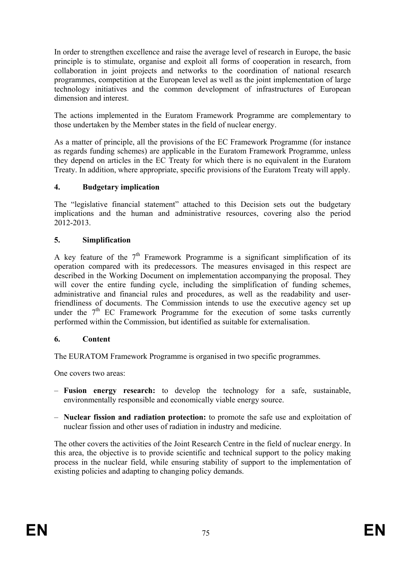In order to strengthen excellence and raise the average level of research in Europe, the basic principle is to stimulate, organise and exploit all forms of cooperation in research, from collaboration in joint projects and networks to the coordination of national research programmes, competition at the European level as well as the joint implementation of large technology initiatives and the common development of infrastructures of European dimension and interest.

The actions implemented in the Euratom Framework Programme are complementary to those undertaken by the Member states in the field of nuclear energy.

As a matter of principle, all the provisions of the EC Framework Programme (for instance as regards funding schemes) are applicable in the Euratom Framework Programme, unless they depend on articles in the EC Treaty for which there is no equivalent in the Euratom Treaty. In addition, where appropriate, specific provisions of the Euratom Treaty will apply.

## **4. Budgetary implication**

The "legislative financial statement" attached to this Decision sets out the budgetary implications and the human and administrative resources, covering also the period 2012-2013.

## **5. Simplification**

A key feature of the  $7<sup>th</sup>$  Framework Programme is a significant simplification of its operation compared with its predecessors. The measures envisaged in this respect are described in the Working Document on implementation accompanying the proposal. They will cover the entire funding cycle, including the simplification of funding schemes, administrative and financial rules and procedures, as well as the readability and userfriendliness of documents. The Commission intends to use the executive agency set up under the 7<sup>th</sup> EC Framework Programme for the execution of some tasks currently performed within the Commission, but identified as suitable for externalisation.

## **6. Content**

The EURATOM Framework Programme is organised in two specific programmes.

One covers two areas:

- **Fusion energy research:** to develop the technology for a safe, sustainable, environmentally responsible and economically viable energy source.
- **Nuclear fission and radiation protection:** to promote the safe use and exploitation of nuclear fission and other uses of radiation in industry and medicine.

The other covers the activities of the Joint Research Centre in the field of nuclear energy. In this area, the objective is to provide scientific and technical support to the policy making process in the nuclear field, while ensuring stability of support to the implementation of existing policies and adapting to changing policy demands.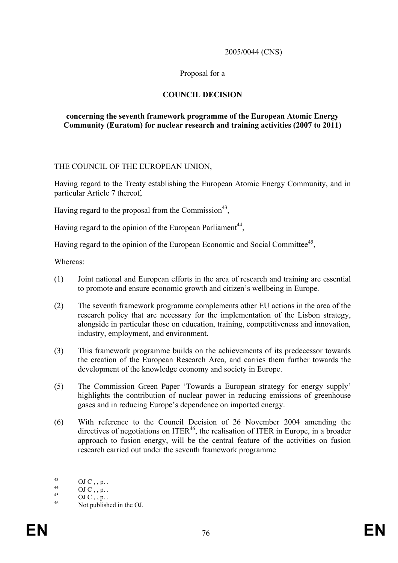2005/0044 (CNS)

### Proposal for a

## **COUNCIL DECISION**

#### **concerning the seventh framework programme of the European Atomic Energy Community (Euratom) for nuclear research and training activities (2007 to 2011)**

#### THE COUNCIL OF THE EUROPEAN UNION,

Having regard to the Treaty establishing the European Atomic Energy Community, and in particular Article 7 thereof,

Having regard to the proposal from the Commission<sup>43</sup>,

Having regard to the opinion of the European Parliament<sup>44</sup>,

Having regard to the opinion of the European Economic and Social Committee<sup>45</sup>,

Whereas:

- (1) Joint national and European efforts in the area of research and training are essential to promote and ensure economic growth and citizen's wellbeing in Europe.
- (2) The seventh framework programme complements other EU actions in the area of the research policy that are necessary for the implementation of the Lisbon strategy, alongside in particular those on education, training, competitiveness and innovation, industry, employment, and environment.
- (3) This framework programme builds on the achievements of its predecessor towards the creation of the European Research Area, and carries them further towards the development of the knowledge economy and society in Europe.
- (5) The Commission Green Paper 'Towards a European strategy for energy supply' highlights the contribution of nuclear power in reducing emissions of greenhouse gases and in reducing Europe's dependence on imported energy.
- (6) With reference to the Council Decision of 26 November 2004 amending the directives of negotiations on  $ITER^{46}$ , the realisation of ITER in Europe, in a broader approach to fusion energy, will be the central feature of the activities on fusion research carried out under the seventh framework programme

 $^{43}_{44}$  OJ C, , p. .

 $^{44}$  OJ C , , p. .

 $\frac{45}{46}$  OJ C, , p. .

Not published in the OJ.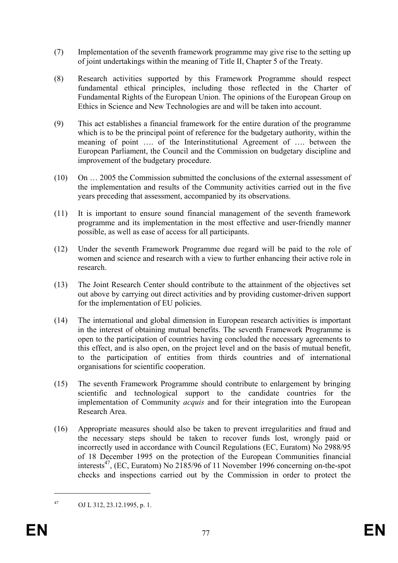- (7) Implementation of the seventh framework programme may give rise to the setting up of joint undertakings within the meaning of Title II, Chapter 5 of the Treaty.
- (8) Research activities supported by this Framework Programme should respect fundamental ethical principles, including those reflected in the Charter of Fundamental Rights of the European Union. The opinions of the European Group on Ethics in Science and New Technologies are and will be taken into account.
- (9) This act establishes a financial framework for the entire duration of the programme which is to be the principal point of reference for the budgetary authority, within the meaning of point …. of the Interinstitutional Agreement of …. between the European Parliament, the Council and the Commission on budgetary discipline and improvement of the budgetary procedure.
- (10) On … 2005 the Commission submitted the conclusions of the external assessment of the implementation and results of the Community activities carried out in the five years preceding that assessment, accompanied by its observations.
- (11) It is important to ensure sound financial management of the seventh framework programme and its implementation in the most effective and user-friendly manner possible, as well as ease of access for all participants.
- (12) Under the seventh Framework Programme due regard will be paid to the role of women and science and research with a view to further enhancing their active role in research.
- (13) The Joint Research Center should contribute to the attainment of the objectives set out above by carrying out direct activities and by providing customer-driven support for the implementation of EU policies.
- (14) The international and global dimension in European research activities is important in the interest of obtaining mutual benefits. The seventh Framework Programme is open to the participation of countries having concluded the necessary agreements to this effect, and is also open, on the project level and on the basis of mutual benefit, to the participation of entities from thirds countries and of international organisations for scientific cooperation.
- (15) The seventh Framework Programme should contribute to enlargement by bringing scientific and technological support to the candidate countries for the implementation of Community *acquis* and for their integration into the European Research Area.
- (16) Appropriate measures should also be taken to prevent irregularities and fraud and the necessary steps should be taken to recover funds lost, wrongly paid or incorrectly used in accordance with Council Regulations (EC, Euratom) No 2988/95 of 18 December 1995 on the protection of the European Communities financial interests<sup>47</sup>, (EC, Euratom) No 2185/96 of 11 November 1996 concerning on-the-spot checks and inspections carried out by the Commission in order to protect the

<sup>47</sup> OJ L 312, 23.12.1995, p. 1.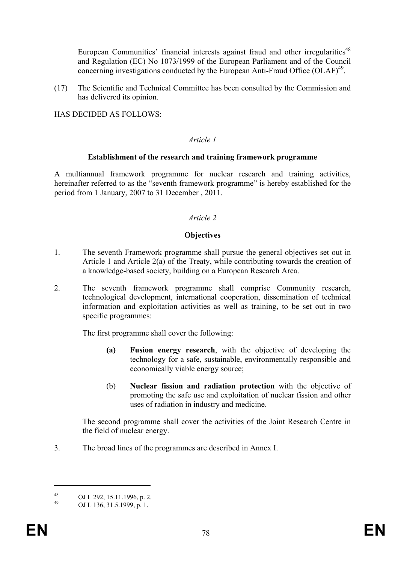European Communities' financial interests against fraud and other irregularities<sup>48</sup> and Regulation (EC) No 1073/1999 of the European Parliament and of the Council concerning investigations conducted by the European Anti-Fraud Office  $(OLAF)^{49}$ .

(17) The Scientific and Technical Committee has been consulted by the Commission and has delivered its opinion.

HAS DECIDED AS FOLLOWS:

#### *Article 1*

#### **Establishment of the research and training framework programme**

A multiannual framework programme for nuclear research and training activities, hereinafter referred to as the "seventh framework programme" is hereby established for the period from 1 January, 2007 to 31 December , 2011.

#### *Article 2*

#### **Objectives**

- 1. The seventh Framework programme shall pursue the general objectives set out in Article 1 and Article 2(a) of the Treaty, while contributing towards the creation of a knowledge-based society, building on a European Research Area.
- 2. The seventh framework programme shall comprise Community research, technological development, international cooperation, dissemination of technical information and exploitation activities as well as training, to be set out in two specific programmes:

The first programme shall cover the following:

- **(a) Fusion energy research**, with the objective of developing the technology for a safe, sustainable, environmentally responsible and economically viable energy source;
- (b) **Nuclear fission and radiation protection** with the objective of promoting the safe use and exploitation of nuclear fission and other uses of radiation in industry and medicine.

The second programme shall cover the activities of the Joint Research Centre in the field of nuclear energy.

3. The broad lines of the programmes are described in Annex I.

 $^{48}$  OJ L 292, 15.11.1996, p. 2.<br>  $^{49}$  OJ L 126, 21.5, 1000, p. 1.

OJ L 136, 31.5.1999, p. 1.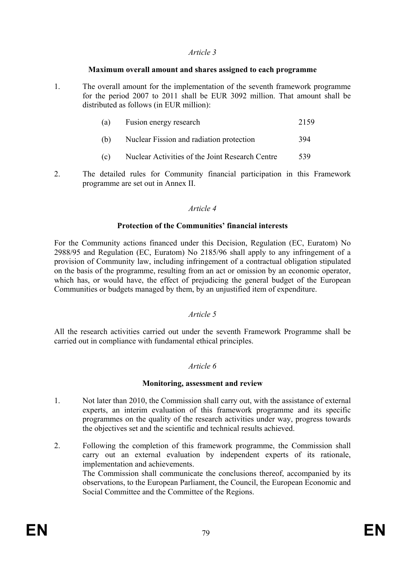### *Article 3*

### **Maximum overall amount and shares assigned to each programme**

1. The overall amount for the implementation of the seventh framework programme for the period 2007 to 2011 shall be EUR 3092 million. That amount shall be distributed as follows (in EUR million):

| (a) | Fusion energy research                          | 2159 |
|-----|-------------------------------------------------|------|
| (b) | Nuclear Fission and radiation protection        | 394  |
| (c) | Nuclear Activities of the Joint Research Centre | 539  |

2. The detailed rules for Community financial participation in this Framework programme are set out in Annex II.

## *Article 4*

## **Protection of the Communities' financial interests**

For the Community actions financed under this Decision, Regulation (EC, Euratom) No 2988/95 and Regulation (EC, Euratom) No 2185/96 shall apply to any infringement of a provision of Community law, including infringement of a contractual obligation stipulated on the basis of the programme, resulting from an act or omission by an economic operator, which has, or would have, the effect of prejudicing the general budget of the European Communities or budgets managed by them, by an unjustified item of expenditure.

## *Article 5*

All the research activities carried out under the seventh Framework Programme shall be carried out in compliance with fundamental ethical principles.

## *Article 6*

## **Monitoring, assessment and review**

- 1. Not later than 2010, the Commission shall carry out, with the assistance of external experts, an interim evaluation of this framework programme and its specific programmes on the quality of the research activities under way, progress towards the objectives set and the scientific and technical results achieved.
- 2. Following the completion of this framework programme, the Commission shall carry out an external evaluation by independent experts of its rationale, implementation and achievements. The Commission shall communicate the conclusions thereof, accompanied by its observations, to the European Parliament, the Council, the European Economic and Social Committee and the Committee of the Regions.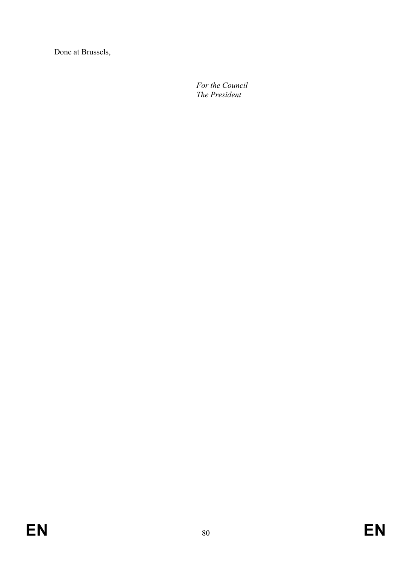Done at Brussels,

 *For the Council The President*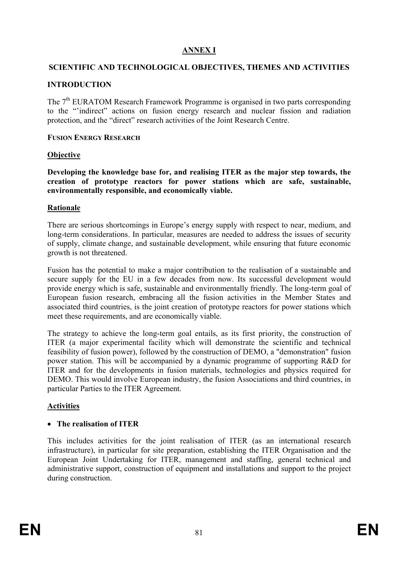# **ANNEX I**

# **SCIENTIFIC AND TECHNOLOGICAL OBJECTIVES, THEMES AND ACTIVITIES**

## **INTRODUCTION**

The 7<sup>th</sup> EURATOM Research Framework Programme is organised in two parts corresponding to the "'indirect" actions on fusion energy research and nuclear fission and radiation protection, and the "direct" research activities of the Joint Research Centre.

### **FUSION ENERGY RESEARCH**

## **Objective**

**Developing the knowledge base for, and realising ITER as the major step towards, the creation of prototype reactors for power stations which are safe, sustainable, environmentally responsible, and economically viable.** 

### **Rationale**

There are serious shortcomings in Europe's energy supply with respect to near, medium, and long-term considerations. In particular, measures are needed to address the issues of security of supply, climate change, and sustainable development, while ensuring that future economic growth is not threatened.

Fusion has the potential to make a major contribution to the realisation of a sustainable and secure supply for the EU in a few decades from now. Its successful development would provide energy which is safe, sustainable and environmentally friendly. The long-term goal of European fusion research, embracing all the fusion activities in the Member States and associated third countries, is the joint creation of prototype reactors for power stations which meet these requirements, and are economically viable.

The strategy to achieve the long-term goal entails, as its first priority, the construction of ITER (a major experimental facility which will demonstrate the scientific and technical feasibility of fusion power), followed by the construction of DEMO, a "demonstration" fusion power station. This will be accompanied by a dynamic programme of supporting R&D for ITER and for the developments in fusion materials, technologies and physics required for DEMO. This would involve European industry, the fusion Associations and third countries, in particular Parties to the ITER Agreement.

## **Activities**

## • **The realisation of ITER**

This includes activities for the joint realisation of ITER (as an international research infrastructure), in particular for site preparation, establishing the ITER Organisation and the European Joint Undertaking for ITER, management and staffing, general technical and administrative support, construction of equipment and installations and support to the project during construction.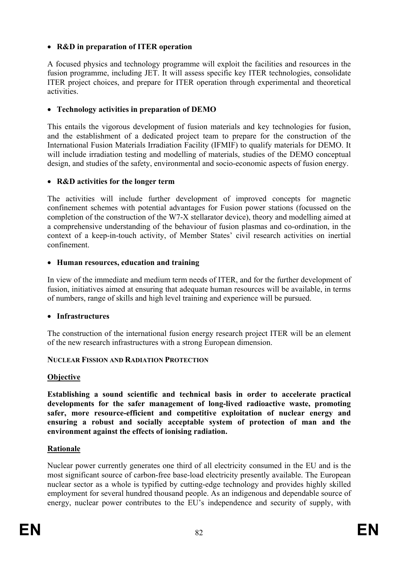# • **R&D in preparation of ITER operation**

A focused physics and technology programme will exploit the facilities and resources in the fusion programme, including JET. It will assess specific key ITER technologies, consolidate ITER project choices, and prepare for ITER operation through experimental and theoretical activities.

### • **Technology activities in preparation of DEMO**

This entails the vigorous development of fusion materials and key technologies for fusion, and the establishment of a dedicated project team to prepare for the construction of the International Fusion Materials Irradiation Facility (IFMIF) to qualify materials for DEMO. It will include irradiation testing and modelling of materials, studies of the DEMO conceptual design, and studies of the safety, environmental and socio-economic aspects of fusion energy.

### • **R&D activities for the longer term**

The activities will include further development of improved concepts for magnetic confinement schemes with potential advantages for Fusion power stations (focussed on the completion of the construction of the W7-X stellarator device), theory and modelling aimed at a comprehensive understanding of the behaviour of fusion plasmas and co-ordination, in the context of a keep-in-touch activity, of Member States' civil research activities on inertial confinement.

### • **Human resources, education and training**

In view of the immediate and medium term needs of ITER, and for the further development of fusion, initiatives aimed at ensuring that adequate human resources will be available, in terms of numbers, range of skills and high level training and experience will be pursued.

## • **Infrastructures**

The construction of the international fusion energy research project ITER will be an element of the new research infrastructures with a strong European dimension.

## **NUCLEAR FISSION AND RADIATION PROTECTION**

#### **Objective**

**Establishing a sound scientific and technical basis in order to accelerate practical developments for the safer management of long-lived radioactive waste, promoting safer, more resource-efficient and competitive exploitation of nuclear energy and ensuring a robust and socially acceptable system of protection of man and the environment against the effects of ionising radiation.** 

## **Rationale**

Nuclear power currently generates one third of all electricity consumed in the EU and is the most significant source of carbon-free base-load electricity presently available. The European nuclear sector as a whole is typified by cutting-edge technology and provides highly skilled employment for several hundred thousand people. As an indigenous and dependable source of energy, nuclear power contributes to the EU's independence and security of supply, with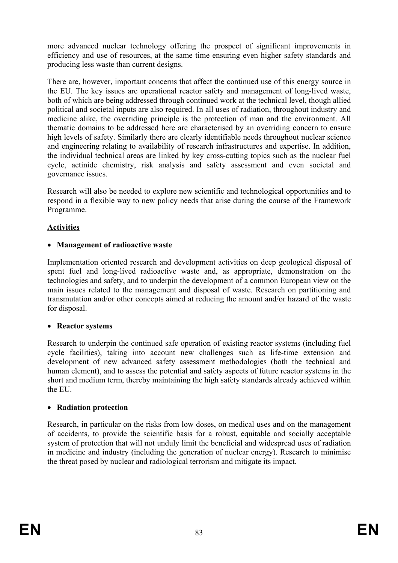more advanced nuclear technology offering the prospect of significant improvements in efficiency and use of resources, at the same time ensuring even higher safety standards and producing less waste than current designs.

There are, however, important concerns that affect the continued use of this energy source in the EU. The key issues are operational reactor safety and management of long-lived waste, both of which are being addressed through continued work at the technical level, though allied political and societal inputs are also required. In all uses of radiation, throughout industry and medicine alike, the overriding principle is the protection of man and the environment. All thematic domains to be addressed here are characterised by an overriding concern to ensure high levels of safety. Similarly there are clearly identifiable needs throughout nuclear science and engineering relating to availability of research infrastructures and expertise. In addition, the individual technical areas are linked by key cross-cutting topics such as the nuclear fuel cycle, actinide chemistry, risk analysis and safety assessment and even societal and governance issues.

Research will also be needed to explore new scientific and technological opportunities and to respond in a flexible way to new policy needs that arise during the course of the Framework Programme.

# **Activities**

## • **Management of radioactive waste**

Implementation oriented research and development activities on deep geological disposal of spent fuel and long-lived radioactive waste and, as appropriate, demonstration on the technologies and safety, and to underpin the development of a common European view on the main issues related to the management and disposal of waste. Research on partitioning and transmutation and/or other concepts aimed at reducing the amount and/or hazard of the waste for disposal.

## • **Reactor systems**

Research to underpin the continued safe operation of existing reactor systems (including fuel cycle facilities), taking into account new challenges such as life-time extension and development of new advanced safety assessment methodologies (both the technical and human element), and to assess the potential and safety aspects of future reactor systems in the short and medium term, thereby maintaining the high safety standards already achieved within the EU.

## • **Radiation protection**

Research, in particular on the risks from low doses, on medical uses and on the management of accidents, to provide the scientific basis for a robust, equitable and socially acceptable system of protection that will not unduly limit the beneficial and widespread uses of radiation in medicine and industry (including the generation of nuclear energy). Research to minimise the threat posed by nuclear and radiological terrorism and mitigate its impact.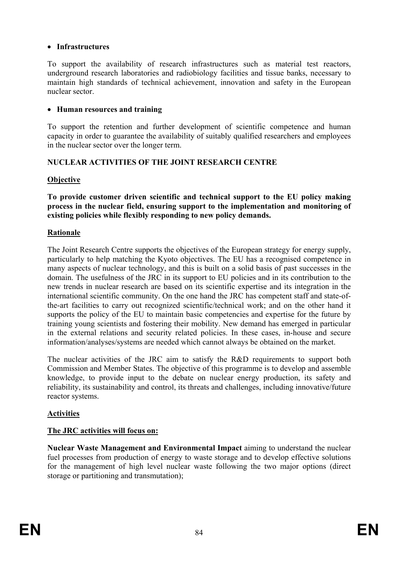# • **Infrastructures**

To support the availability of research infrastructures such as material test reactors, underground research laboratories and radiobiology facilities and tissue banks, necessary to maintain high standards of technical achievement, innovation and safety in the European nuclear sector.

## • **Human resources and training**

To support the retention and further development of scientific competence and human capacity in order to guarantee the availability of suitably qualified researchers and employees in the nuclear sector over the longer term.

# **NUCLEAR ACTIVITIES OF THE JOINT RESEARCH CENTRE**

# **Objective**

**To provide customer driven scientific and technical support to the EU policy making process in the nuclear field, ensuring support to the implementation and monitoring of existing policies while flexibly responding to new policy demands.** 

# **Rationale**

The Joint Research Centre supports the objectives of the European strategy for energy supply, particularly to help matching the Kyoto objectives. The EU has a recognised competence in many aspects of nuclear technology, and this is built on a solid basis of past successes in the domain. The usefulness of the JRC in its support to EU policies and in its contribution to the new trends in nuclear research are based on its scientific expertise and its integration in the international scientific community. On the one hand the JRC has competent staff and state-ofthe-art facilities to carry out recognized scientific/technical work; and on the other hand it supports the policy of the EU to maintain basic competencies and expertise for the future by training young scientists and fostering their mobility. New demand has emerged in particular in the external relations and security related policies. In these cases, in-house and secure information/analyses/systems are needed which cannot always be obtained on the market.

The nuclear activities of the JRC aim to satisfy the R&D requirements to support both Commission and Member States. The objective of this programme is to develop and assemble knowledge, to provide input to the debate on nuclear energy production, its safety and reliability, its sustainability and control, its threats and challenges, including innovative/future reactor systems.

# **Activities**

## **The JRC activities will focus on:**

**Nuclear Waste Management and Environmental Impact** aiming to understand the nuclear fuel processes from production of energy to waste storage and to develop effective solutions for the management of high level nuclear waste following the two major options (direct storage or partitioning and transmutation);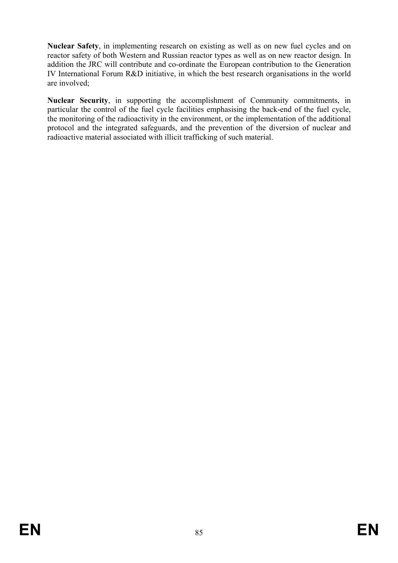**Nuclear Safety**, in implementing research on existing as well as on new fuel cycles and on reactor safety of both Western and Russian reactor types as well as on new reactor design. In addition the JRC will contribute and co-ordinate the European contribution to the Generation IV International Forum R&D initiative, in which the best research organisations in the world are involved;

**Nuclear Security**, in supporting the accomplishment of Community commitments, in particular the control of the fuel cycle facilities emphasising the back-end of the fuel cycle, the monitoring of the radioactivity in the environment, or the implementation of the additional protocol and the integrated safeguards, and the prevention of the diversion of nuclear and radioactive material associated with illicit trafficking of such material.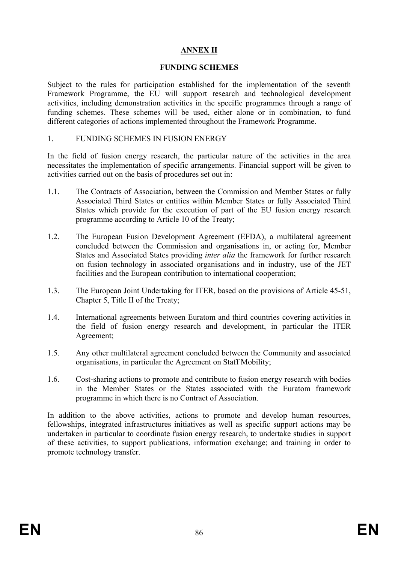# **ANNEX II**

# **FUNDING SCHEMES**

Subject to the rules for participation established for the implementation of the seventh Framework Programme, the EU will support research and technological development activities, including demonstration activities in the specific programmes through a range of funding schemes. These schemes will be used, either alone or in combination, to fund different categories of actions implemented throughout the Framework Programme.

### 1. FUNDING SCHEMES IN FUSION ENERGY

In the field of fusion energy research, the particular nature of the activities in the area necessitates the implementation of specific arrangements. Financial support will be given to activities carried out on the basis of procedures set out in:

- 1.1. The Contracts of Association, between the Commission and Member States or fully Associated Third States or entities within Member States or fully Associated Third States which provide for the execution of part of the EU fusion energy research programme according to Article 10 of the Treaty;
- 1.2. The European Fusion Development Agreement (EFDA), a multilateral agreement concluded between the Commission and organisations in, or acting for, Member States and Associated States providing *inter alia* the framework for further research on fusion technology in associated organisations and in industry, use of the JET facilities and the European contribution to international cooperation;
- 1.3. The European Joint Undertaking for ITER, based on the provisions of Article 45-51, Chapter 5, Title II of the Treaty;
- 1.4. International agreements between Euratom and third countries covering activities in the field of fusion energy research and development, in particular the ITER Agreement;
- 1.5. Any other multilateral agreement concluded between the Community and associated organisations, in particular the Agreement on Staff Mobility;
- 1.6. Cost-sharing actions to promote and contribute to fusion energy research with bodies in the Member States or the States associated with the Euratom framework programme in which there is no Contract of Association.

In addition to the above activities, actions to promote and develop human resources, fellowships, integrated infrastructures initiatives as well as specific support actions may be undertaken in particular to coordinate fusion energy research, to undertake studies in support of these activities, to support publications, information exchange; and training in order to promote technology transfer.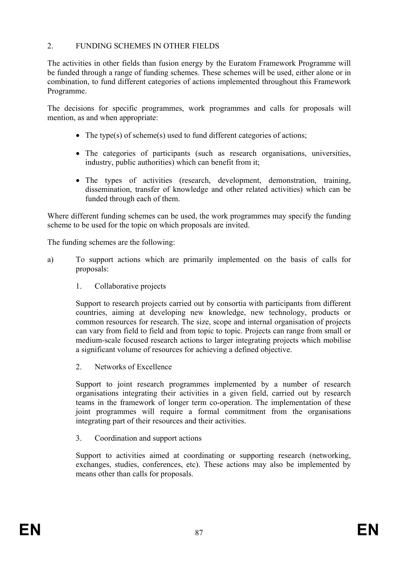## 2. FUNDING SCHEMES IN OTHER FIELDS

The activities in other fields than fusion energy by the Euratom Framework Programme will be funded through a range of funding schemes. These schemes will be used, either alone or in combination, to fund different categories of actions implemented throughout this Framework Programme.

The decisions for specific programmes, work programmes and calls for proposals will mention, as and when appropriate:

- The type(s) of scheme(s) used to fund different categories of actions;
- The categories of participants (such as research organisations, universities, industry, public authorities) which can benefit from it;
- The types of activities (research, development, demonstration, training, dissemination, transfer of knowledge and other related activities) which can be funded through each of them.

Where different funding schemes can be used, the work programmes may specify the funding scheme to be used for the topic on which proposals are invited.

The funding schemes are the following:

- a) To support actions which are primarily implemented on the basis of calls for proposals:
	- 1. Collaborative projects

Support to research projects carried out by consortia with participants from different countries, aiming at developing new knowledge, new technology, products or common resources for research. The size, scope and internal organisation of projects can vary from field to field and from topic to topic. Projects can range from small or medium-scale focused research actions to larger integrating projects which mobilise a significant volume of resources for achieving a defined objective.

2. Networks of Excellence

Support to joint research programmes implemented by a number of research organisations integrating their activities in a given field, carried out by research teams in the framework of longer term co-operation. The implementation of these joint programmes will require a formal commitment from the organisations integrating part of their resources and their activities.

3. Coordination and support actions

Support to activities aimed at coordinating or supporting research (networking, exchanges, studies, conferences, etc). These actions may also be implemented by means other than calls for proposals.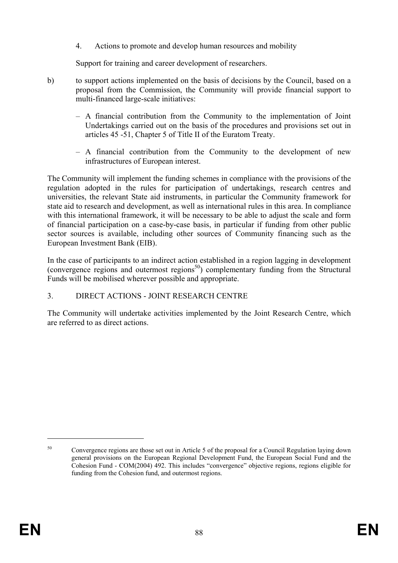4. Actions to promote and develop human resources and mobility

Support for training and career development of researchers.

- b) to support actions implemented on the basis of decisions by the Council, based on a proposal from the Commission, the Community will provide financial support to multi-financed large-scale initiatives:
	- A financial contribution from the Community to the implementation of Joint Undertakings carried out on the basis of the procedures and provisions set out in articles 45 -51, Chapter 5 of Title II of the Euratom Treaty.
	- A financial contribution from the Community to the development of new infrastructures of European interest.

The Community will implement the funding schemes in compliance with the provisions of the regulation adopted in the rules for participation of undertakings, research centres and universities, the relevant State aid instruments, in particular the Community framework for state aid to research and development, as well as international rules in this area. In compliance with this international framework, it will be necessary to be able to adjust the scale and form of financial participation on a case-by-case basis, in particular if funding from other public sector sources is available, including other sources of Community financing such as the European Investment Bank (EIB).

In the case of participants to an indirect action established in a region lagging in development (convergence regions and outermost regions<sup>50</sup>) complementary funding from the Structural Funds will be mobilised wherever possible and appropriate.

## 3. DIRECT ACTIONS - JOINT RESEARCH CENTRE

The Community will undertake activities implemented by the Joint Research Centre, which are referred to as direct actions.

<u>.</u>

<sup>&</sup>lt;sup>50</sup> Convergence regions are those set out in Article 5 of the proposal for a Council Regulation laying down general provisions on the European Regional Development Fund, the European Social Fund and the Cohesion Fund - COM(2004) 492. This includes "convergence" objective regions, regions eligible for funding from the Cohesion fund, and outermost regions.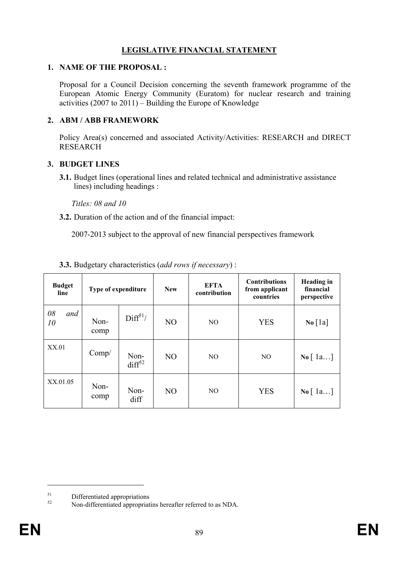# **LEGISLATIVE FINANCIAL STATEMENT**

## **1. NAME OF THE PROPOSAL :**

Proposal for a Council Decision concerning the seventh framework programme of the European Atomic Energy Community (Euratom) for nuclear research and training activities (2007 to 2011) – Building the Europe of Knowledge

## **2. ABM / ABB FRAMEWORK**

Policy Area(s) concerned and associated Activity/Activities: RESEARCH and DIRECT RESEARCH

## **3. BUDGET LINES**

**3.1.** Budget lines (operational lines and related technical and administrative assistance lines) including headings :

*Titles: 08 and 10* 

**3.2.** Duration of the action and of the financial impact:

2007-2013 subject to the approval of new financial perspectives framework

| <b>Budget</b><br>line | <b>Type of expenditure</b> |                            | <b>New</b><br>contribution |                | <b>Contributions</b><br>from applicant<br>countries | <b>Heading</b> in<br>financial<br>perspective |
|-----------------------|----------------------------|----------------------------|----------------------------|----------------|-----------------------------------------------------|-----------------------------------------------|
| 08<br>and<br>10       | Non-<br>comp               | Diff <sup>51</sup> /       | N <sub>O</sub>             | N <sub>O</sub> | <b>YES</b>                                          | $\bf{No}$ [1a]                                |
| XX.01                 | Comp/                      | Non-<br>diff <sup>52</sup> | N <sub>O</sub>             | NO.            | N <sub>O</sub>                                      | $\mathbf{No} \mid 1a$                         |
| XX.01.05              | Non-<br>comp               | Non-<br>diff               | NO                         | N <sub>O</sub> | <b>YES</b>                                          | $\mathbf{No} \mid 1a$                         |

## **3.3.** Budgetary characteristics (*add rows if necessary*) :

 $51$  Differentiated appropriations

<sup>52</sup> Non-differentiated appropriatins hereafter referred to as NDA.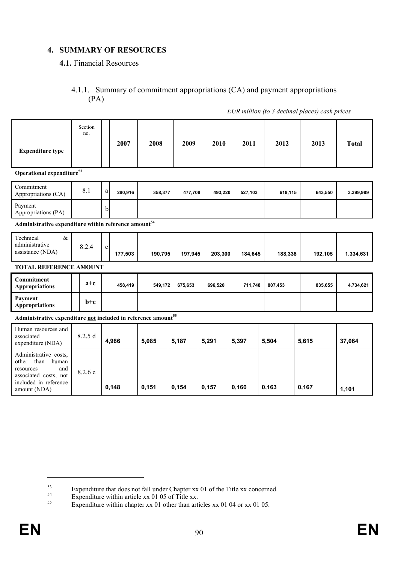# **4. SUMMARY OF RESOURCES**

## **4.1.** Financial Resources

## 4.1.1. Summary of commitment appropriations (CA) and payment appropriations (PA)

*EUR million (to 3 decimal places) cash prices* 

| <b>Expenditure type</b>                                                                                                               | Section<br>no. |             | 2007    | 2008    | 2009    | 2010    | 2011    | 2012    | 2013    | <b>Total</b> |
|---------------------------------------------------------------------------------------------------------------------------------------|----------------|-------------|---------|---------|---------|---------|---------|---------|---------|--------------|
| Operational expenditure <sup>53</sup>                                                                                                 |                |             |         |         |         |         |         |         |         |              |
| Commitment<br>Appropriations (CA)                                                                                                     | 8.1            | a           | 280,916 | 358,377 | 477,708 | 493,220 | 527,103 | 619,115 | 643,550 | 3.399,989    |
| Payment<br>Appropriations (PA)                                                                                                        |                | b           |         |         |         |         |         |         |         |              |
| Administrative expenditure within reference amount <sup>54</sup>                                                                      |                |             |         |         |         |         |         |         |         |              |
| Technical<br>$\&$<br>administrative<br>assistance (NDA)                                                                               | 8.2.4          | $\mathbf c$ | 177,503 | 190,795 | 197,945 | 203,300 | 184,645 | 188,338 | 192,105 | 1.334,631    |
| <b>TOTAL REFERENCE AMOUNT</b>                                                                                                         |                |             |         |         |         |         |         |         |         |              |
| <b>Commitment</b><br><b>Appropriations</b>                                                                                            | $a+c$          |             | 458,419 | 549,172 | 675,653 | 696,520 | 711,748 | 807,453 | 835,655 | 4.734,621    |
| Payment<br><b>Appropriations</b>                                                                                                      | $b+c$          |             |         |         |         |         |         |         |         |              |
| Administrative expenditure not included in reference amount <sup>55</sup>                                                             |                |             |         |         |         |         |         |         |         |              |
| Human resources and<br>associated<br>expenditure (NDA)                                                                                | 8.2.5d         |             | 4,986   | 5,085   | 5,187   | 5,291   | 5,397   | 5,504   | 5,615   | 37,064       |
| Administrative costs,<br>than<br>other<br>human<br>and<br>resources<br>associated costs, not<br>included in reference<br>amount (NDA) | 8.2.6 e        |             | 0,148   | 0,151   | 0,154   | 0,157   | 0,160   | 0,163   | 0,167   | 1,101        |

Expenditure that does not fall under Chapter xx 01 of the Title xx concerned.<br>Expenditure within article xx 01 05 of Title xx.

<sup>&</sup>lt;sup>55</sup> Expenditure within chapter xx 01 other than articles xx 01 04 or xx 01 05.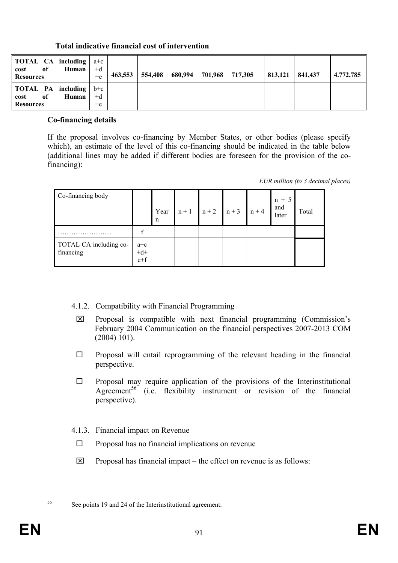| <b>TOTAL</b> CA including $a+c$<br>Human<br><sub>of</sub><br>cost<br><b>Resources</b> | $+d$<br>$+e$          | 463,553 | 554,408 | 680,994 | 701,968 | 717,305 | 813,121 | 841,437 | 4.772,785 |
|---------------------------------------------------------------------------------------|-----------------------|---------|---------|---------|---------|---------|---------|---------|-----------|
| TOTAL PA including<br>Human<br>0f<br>cost<br><b>Resources</b>                         | $b+c$<br>$+d$<br>$+e$ |         |         |         |         |         |         |         |           |

# **Total indicative financial cost of intervention**

### **Co-financing details**

If the proposal involves co-financing by Member States, or other bodies (please specify which), an estimate of the level of this co-financing should be indicated in the table below (additional lines may be added if different bodies are foreseen for the provision of the cofinancing):

*EUR million (to 3 decimal places)* 

| Co-financing body                   |                     | Year<br>n | $n + 1$ | $n+2$ $n+3$ | $n + 4$ | $n + 5$<br>and<br>later | Total |
|-------------------------------------|---------------------|-----------|---------|-------------|---------|-------------------------|-------|
|                                     |                     |           |         |             |         |                         |       |
| TOTAL CA including co-<br>financing | $a+c$<br>+d+<br>e+f |           |         |             |         |                         |       |

- 4.1.2. Compatibility with Financial Programming
- $\boxtimes$  Proposal is compatible with next financial programming (Commission's February 2004 Communication on the financial perspectives 2007-2013 COM (2004) 101).
- $\Box$  Proposal will entail reprogramming of the relevant heading in the financial perspective.
- $\Box$  Proposal may require application of the provisions of the Interinstitutional Agreement<sup>56</sup> (i.e. flexibility instrument or revision of the financial perspective).
- 4.1.3. Financial impact on Revenue
	- $\Box$  Proposal has no financial implications on revenue
- $\boxtimes$  Proposal has financial impact the effect on revenue is as follows:

<sup>56</sup> See points 19 and 24 of the Interinstitutional agreement.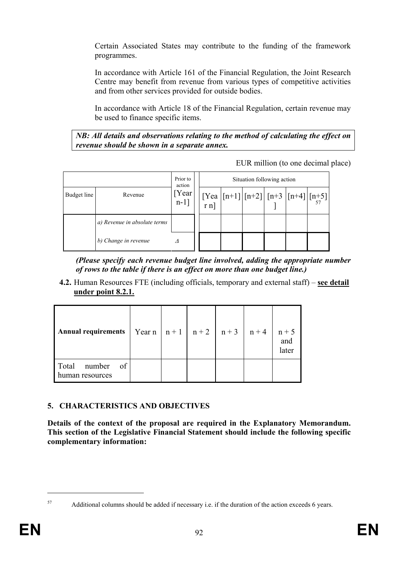Certain Associated States may contribute to the funding of the framework programmes.

In accordance with Article 161 of the Financial Regulation, the Joint Research Centre may benefit from revenue from various types of competitive activities and from other services provided for outside bodies.

In accordance with Article 18 of the Financial Regulation, certain revenue may be used to finance specific items.

*NB: All details and observations relating to the method of calculating the effect on revenue should be shown in a separate annex.* 

EUR million (to one decimal place)

|             |                              | Prior to<br>action |  | Situation following action |  |                                                                                                                                                                                                                                               |
|-------------|------------------------------|--------------------|--|----------------------------|--|-----------------------------------------------------------------------------------------------------------------------------------------------------------------------------------------------------------------------------------------------|
| Budget line | Revenue                      | [Year]<br>$n-1$ ]  |  |                            |  | $\begin{bmatrix} \n\text{Tea} \\ \n\text{r n} \n\end{bmatrix}$ $\begin{bmatrix} \text{n+1} \\ \text{N+2} \n\end{bmatrix}$ $\begin{bmatrix} \text{n+3} \\ \text{N+4} \n\end{bmatrix}$ $\begin{bmatrix} \text{n+5} \\ \text{s} \n\end{bmatrix}$ |
|             | a) Revenue in absolute terms |                    |  |                            |  |                                                                                                                                                                                                                                               |
|             | b) Change in revenue         |                    |  |                            |  |                                                                                                                                                                                                                                               |

*(Please specify each revenue budget line involved, adding the appropriate number of rows to the table if there is an effect on more than one budget line.)* 

**4.2.** Human Resources FTE (including officials, temporary and external staff) – **see detail under point 8.2.1.**

| <b>Annual requirements</b>               |  | Year n   n + 1   n + 2   n + 3   n + 4 | $n + 5$<br>and<br>later |
|------------------------------------------|--|----------------------------------------|-------------------------|
| Total<br>of<br>number<br>human resources |  |                                        |                         |

# **5. CHARACTERISTICS AND OBJECTIVES**

**Details of the context of the proposal are required in the Explanatory Memorandum. This section of the Legislative Financial Statement should include the following specific complementary information:** 

 $\overline{a}$ 

<sup>57</sup> Additional columns should be added if necessary i.e. if the duration of the action exceeds 6 years.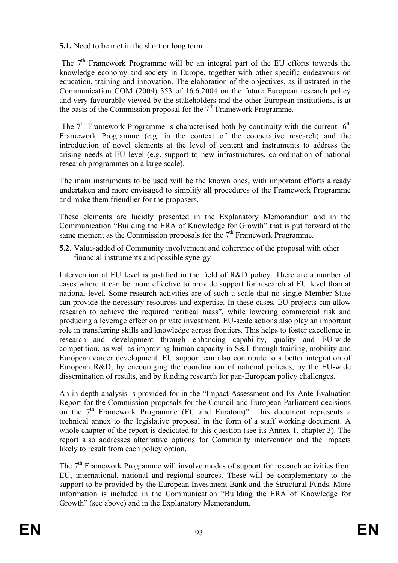## **5.1.** Need to be met in the short or long term

The  $7<sup>th</sup>$  Framework Programme will be an integral part of the EU efforts towards the knowledge economy and society in Europe, together with other specific endeavours on education, training and innovation. The elaboration of the objectives, as illustrated in the Communication COM (2004) 353 of 16.6.2004 on the future European research policy and very favourably viewed by the stakeholders and the other European institutions, is at the basis of the Commission proposal for the  $7<sup>th</sup>$  Framework Programme.

The  $7<sup>th</sup>$  Framework Programme is characterised both by continuity with the current  $6<sup>th</sup>$ Framework Programme (e.g. in the context of the cooperative research) and the introduction of novel elements at the level of content and instruments to address the arising needs at EU level (e.g. support to new infrastructures, co-ordination of national research programmes on a large scale).

The main instruments to be used will be the known ones, with important efforts already undertaken and more envisaged to simplify all procedures of the Framework Programme and make them friendlier for the proposers.

These elements are lucidly presented in the Explanatory Memorandum and in the Communication "Building the ERA of Knowledge for Growth" that is put forward at the same moment as the Commission proposals for the  $7<sup>th</sup>$  Framework Programme.

**5.2.** Value-added of Community involvement and coherence of the proposal with other financial instruments and possible synergy

Intervention at EU level is justified in the field of R&D policy. There are a number of cases where it can be more effective to provide support for research at EU level than at national level. Some research activities are of such a scale that no single Member State can provide the necessary resources and expertise. In these cases, EU projects can allow research to achieve the required "critical mass", while lowering commercial risk and producing a leverage effect on private investment. EU-scale actions also play an important role in transferring skills and knowledge across frontiers. This helps to foster excellence in research and development through enhancing capability, quality and EU-wide competition, as well as improving human capacity in S&T through training, mobility and European career development. EU support can also contribute to a better integration of European R&D, by encouraging the coordination of national policies, by the EU-wide dissemination of results, and by funding research for pan-European policy challenges.

An in-depth analysis is provided for in the "Impact Assessment and Ex Ante Evaluation Report for the Commission proposals for the Council and European Parliament decisions on the  $7<sup>th</sup>$  Framework Programme (EC and Euratom)". This document represents a technical annex to the legislative proposal in the form of a staff working document. A whole chapter of the report is dedicated to this question (see its Annex 1, chapter 3). The report also addresses alternative options for Community intervention and the impacts likely to result from each policy option.

The  $7<sup>th</sup>$  Framework Programme will involve modes of support for research activities from EU, international, national and regional sources. These will be complementary to the support to be provided by the European Investment Bank and the Structural Funds. More information is included in the Communication "Building the ERA of Knowledge for Growth" (see above) and in the Explanatory Memorandum.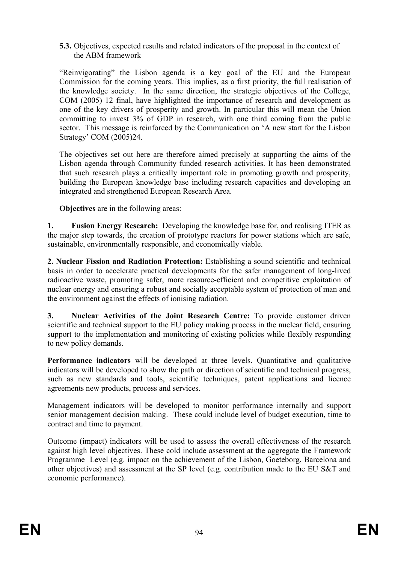**5.3.** Objectives, expected results and related indicators of the proposal in the context of the ABM framework

"Reinvigorating" the Lisbon agenda is a key goal of the EU and the European Commission for the coming years. This implies, as a first priority, the full realisation of the knowledge society. In the same direction, the strategic objectives of the College, COM (2005) 12 final, have highlighted the importance of research and development as one of the key drivers of prosperity and growth. In particular this will mean the Union committing to invest 3% of GDP in research, with one third coming from the public sector. This message is reinforced by the Communication on 'A new start for the Lisbon Strategy' COM (2005)24.

The objectives set out here are therefore aimed precisely at supporting the aims of the Lisbon agenda through Community funded research activities. It has been demonstrated that such research plays a critically important role in promoting growth and prosperity, building the European knowledge base including research capacities and developing an integrated and strengthened European Research Area.

**Objectives** are in the following areas:

**1. Fusion Energy Research:** Developing the knowledge base for, and realising ITER as the major step towards, the creation of prototype reactors for power stations which are safe, sustainable, environmentally responsible, and economically viable.

**2. Nuclear Fission and Radiation Protection:** Establishing a sound scientific and technical basis in order to accelerate practical developments for the safer management of long-lived radioactive waste, promoting safer, more resource-efficient and competitive exploitation of nuclear energy and ensuring a robust and socially acceptable system of protection of man and the environment against the effects of ionising radiation.

**3. Nuclear Activities of the Joint Research Centre:** To provide customer driven scientific and technical support to the EU policy making process in the nuclear field, ensuring support to the implementation and monitoring of existing policies while flexibly responding to new policy demands.

Performance indicators will be developed at three levels. Quantitative and qualitative indicators will be developed to show the path or direction of scientific and technical progress, such as new standards and tools, scientific techniques, patent applications and licence agreements new products, process and services.

Management indicators will be developed to monitor performance internally and support senior management decision making. These could include level of budget execution, time to contract and time to payment.

Outcome (impact) indicators will be used to assess the overall effectiveness of the research against high level objectives. These cold include assessment at the aggregate the Framework Programme Level (e.g. impact on the achievement of the Lisbon, Goeteborg, Barcelona and other objectives) and assessment at the SP level (e.g. contribution made to the EU S&T and economic performance).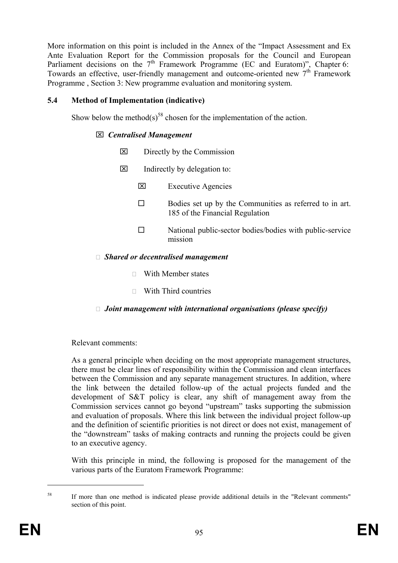More information on this point is included in the Annex of the "Impact Assessment and Ex Ante Evaluation Report for the Commission proposals for the Council and European Parliament decisions on the  $7<sup>th</sup>$  Framework Programme (EC and Euratom)", Chapter 6: Towards an effective, user-friendly management and outcome-oriented new 7th Framework Programme , Section 3: New programme evaluation and monitoring system.

## **5.4 Method of Implementation (indicative)**

Show below the method(s)<sup>58</sup> chosen for the implementation of the action.

## ⌧ *Centralised Management*

- $\boxtimes$  Directly by the Commission
- $\boxtimes$  Indirectly by delegation to:
	- ⌧ Executive Agencies
	- $\Box$  Bodies set up by the Communities as referred to in art. 185 of the Financial Regulation
	- $\square$  National public-sector bodies/bodies with public-service mission

## ٱ *Shared or decentralised management*

- $\Box$  With Member states
- $\Box$  With Third countries

# □ *Joint management with international organisations (please specify)*

## Relevant comments:

As a general principle when deciding on the most appropriate management structures, there must be clear lines of responsibility within the Commission and clean interfaces between the Commission and any separate management structures. In addition, where the link between the detailed follow-up of the actual projects funded and the development of S&T policy is clear, any shift of management away from the Commission services cannot go beyond "upstream" tasks supporting the submission and evaluation of proposals. Where this link between the individual project follow-up and the definition of scientific priorities is not direct or does not exist, management of the "downstream" tasks of making contracts and running the projects could be given to an executive agency.

With this principle in mind, the following is proposed for the management of the various parts of the Euratom Framework Programme:

<sup>&</sup>lt;sup>58</sup> If more than one method is indicated please provide additional details in the "Relevant comments" section of this point.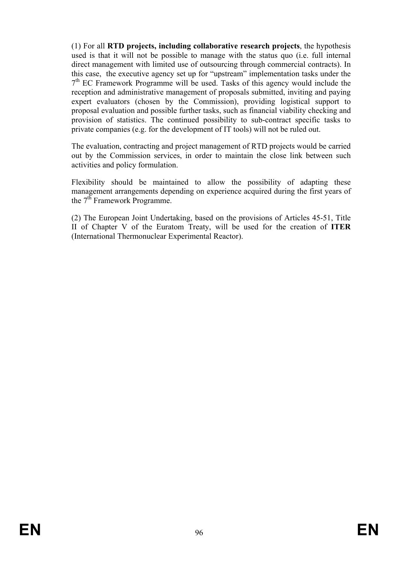(1) For all **RTD projects, including collaborative research projects**, the hypothesis used is that it will not be possible to manage with the status quo (i.e. full internal direct management with limited use of outsourcing through commercial contracts). In this case, the executive agency set up for "upstream" implementation tasks under the  $7<sup>th</sup>$  EC Framework Programme will be used. Tasks of this agency would include the reception and administrative management of proposals submitted, inviting and paying expert evaluators (chosen by the Commission), providing logistical support to proposal evaluation and possible further tasks, such as financial viability checking and provision of statistics. The continued possibility to sub-contract specific tasks to private companies (e.g. for the development of IT tools) will not be ruled out.

The evaluation, contracting and project management of RTD projects would be carried out by the Commission services, in order to maintain the close link between such activities and policy formulation.

Flexibility should be maintained to allow the possibility of adapting these management arrangements depending on experience acquired during the first years of the  $7<sup>th</sup>$  Framework Programme.

(2) The European Joint Undertaking, based on the provisions of Articles 45-51, Title II of Chapter V of the Euratom Treaty, will be used for the creation of **ITER**  (International Thermonuclear Experimental Reactor).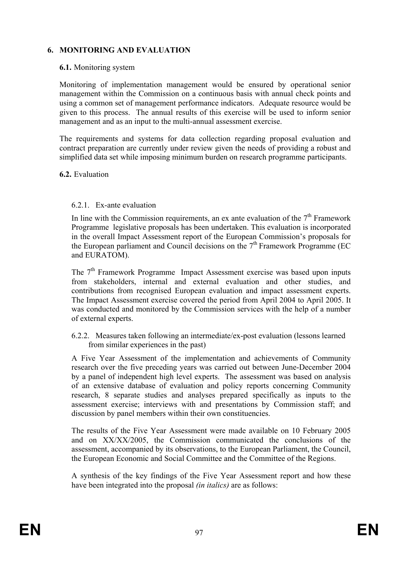# **6. MONITORING AND EVALUATION**

### **6.1.** Monitoring system

Monitoring of implementation management would be ensured by operational senior management within the Commission on a continuous basis with annual check points and using a common set of management performance indicators. Adequate resource would be given to this process. The annual results of this exercise will be used to inform senior management and as an input to the multi-annual assessment exercise.

The requirements and systems for data collection regarding proposal evaluation and contract preparation are currently under review given the needs of providing a robust and simplified data set while imposing minimum burden on research programme participants.

#### **6.2.** Evaluation

### 6.2.1. Ex-ante evaluation

In line with the Commission requirements, an ex ante evaluation of the  $7<sup>th</sup>$  Framework Programme legislative proposals has been undertaken. This evaluation is incorporated in the overall Impact Assessment report of the European Commission's proposals for the European parliament and Council decisions on the  $7<sup>th</sup>$  Framework Programme (EC and EURATOM).

The  $7<sup>th</sup>$  Framework Programme Impact Assessment exercise was based upon inputs from stakeholders, internal and external evaluation and other studies, and contributions from recognised European evaluation and impact assessment experts. The Impact Assessment exercise covered the period from April 2004 to April 2005. It was conducted and monitored by the Commission services with the help of a number of external experts.

6.2.2. Measures taken following an intermediate/ex-post evaluation (lessons learned from similar experiences in the past)

A Five Year Assessment of the implementation and achievements of Community research over the five preceding years was carried out between June-December 2004 by a panel of independent high level experts. The assessment was based on analysis of an extensive database of evaluation and policy reports concerning Community research, 8 separate studies and analyses prepared specifically as inputs to the assessment exercise; interviews with and presentations by Commission staff; and discussion by panel members within their own constituencies.

The results of the Five Year Assessment were made available on 10 February 2005 and on XX/XX/2005, the Commission communicated the conclusions of the assessment, accompanied by its observations, to the European Parliament, the Council, the European Economic and Social Committee and the Committee of the Regions.

A synthesis of the key findings of the Five Year Assessment report and how these have been integrated into the proposal *(in italics)* are as follows: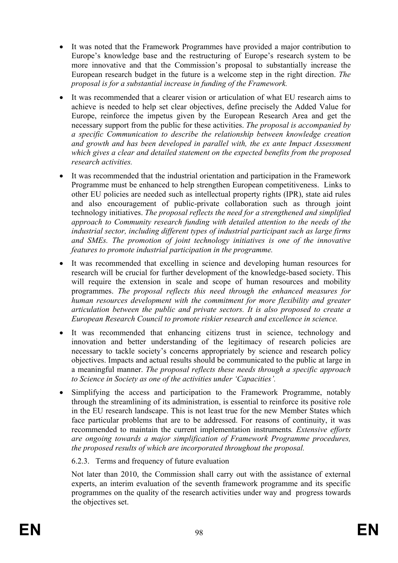- It was noted that the Framework Programmes have provided a major contribution to Europe's knowledge base and the restructuring of Europe's research system to be more innovative and that the Commission's proposal to substantially increase the European research budget in the future is a welcome step in the right direction. *The proposal is for a substantial increase in funding of the Framework.*
- It was recommended that a clearer vision or articulation of what EU research aims to achieve is needed to help set clear objectives, define precisely the Added Value for Europe, reinforce the impetus given by the European Research Area and get the necessary support from the public for these activities. *The proposal is accompanied by a specific Communication to describe the relationship between knowledge creation and growth and has been developed in parallel with, the ex ante Impact Assessment which gives a clear and detailed statement on the expected benefits from the proposed research activities.*
- It was recommended that the industrial orientation and participation in the Framework Programme must be enhanced to help strengthen European competitiveness. Links to other EU policies are needed such as intellectual property rights (IPR), state aid rules and also encouragement of public-private collaboration such as through joint technology initiatives. *The proposal reflects the need for a strengthened and simplified approach to Community research funding with detailed attention to the needs of the industrial sector, including different types of industrial participant such as large firms and SMEs. The promotion of joint technology initiatives is one of the innovative features to promote industrial participation in the programme.*
- It was recommended that excelling in science and developing human resources for research will be crucial for further development of the knowledge-based society. This will require the extension in scale and scope of human resources and mobility programmes. *The proposal reflects this need through the enhanced measures for human resources development with the commitment for more flexibility and greater articulation between the public and private sectors. It is also proposed to create a European Research Council to promote riskier research and excellence in science.*
- It was recommended that enhancing citizens trust in science, technology and innovation and better understanding of the legitimacy of research policies are necessary to tackle society's concerns appropriately by science and research policy objectives. Impacts and actual results should be communicated to the public at large in a meaningful manner. *The proposal reflects these needs through a specific approach to Science in Society as one of the activities under 'Capacities'.*
- Simplifying the access and participation to the Framework Programme, notably through the streamlining of its administration, is essential to reinforce its positive role in the EU research landscape. This is not least true for the new Member States which face particular problems that are to be addressed. For reasons of continuity, it was recommended to maintain the current implementation instruments*. Extensive efforts are ongoing towards a major simplification of Framework Programme procedures, the proposed results of which are incorporated throughout the proposal.*

## 6.2.3. Terms and frequency of future evaluation

Not later than 2010, the Commission shall carry out with the assistance of external experts, an interim evaluation of the seventh framework programme and its specific programmes on the quality of the research activities under way and progress towards the objectives set.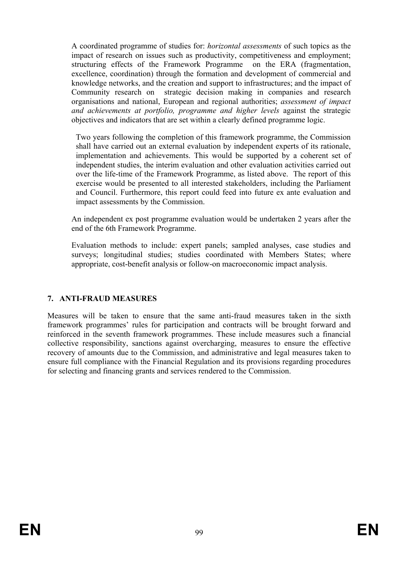A coordinated programme of studies for: *horizontal assessments* of such topics as the impact of research on issues such as productivity, competitiveness and employment; structuring effects of the Framework Programme on the ERA (fragmentation, excellence, coordination) through the formation and development of commercial and knowledge networks, and the creation and support to infrastructures; and the impact of Community research on strategic decision making in companies and research organisations and national, European and regional authorities; *assessment of impact and achievements at portfolio, programme and higher levels* against the strategic objectives and indicators that are set within a clearly defined programme logic.

 Two years following the completion of this framework programme, the Commission shall have carried out an external evaluation by independent experts of its rationale, implementation and achievements. This would be supported by a coherent set of independent studies, the interim evaluation and other evaluation activities carried out over the life-time of the Framework Programme, as listed above. The report of this exercise would be presented to all interested stakeholders, including the Parliament and Council. Furthermore, this report could feed into future ex ante evaluation and impact assessments by the Commission.

An independent ex post programme evaluation would be undertaken 2 years after the end of the 6th Framework Programme.

Evaluation methods to include: expert panels; sampled analyses, case studies and surveys; longitudinal studies; studies coordinated with Members States; where appropriate, cost-benefit analysis or follow-on macroeconomic impact analysis.

## **7. ANTI-FRAUD MEASURES**

Measures will be taken to ensure that the same anti-fraud measures taken in the sixth framework programmes' rules for participation and contracts will be brought forward and reinforced in the seventh framework programmes. These include measures such a financial collective responsibility, sanctions against overcharging, measures to ensure the effective recovery of amounts due to the Commission, and administrative and legal measures taken to ensure full compliance with the Financial Regulation and its provisions regarding procedures for selecting and financing grants and services rendered to the Commission.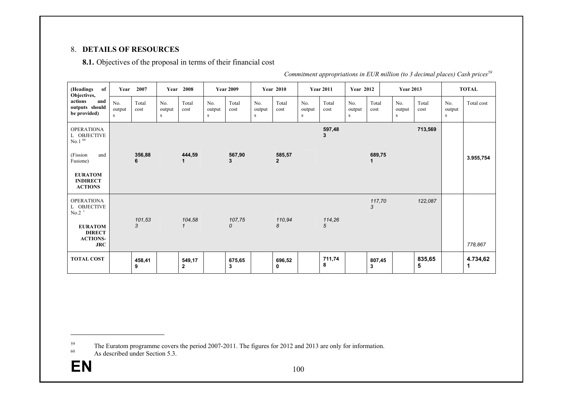### 8. **DETAILS OF RESOURCES**

**8.1.** Objectives of the proposal in terms of their financial cost

| of<br>(Headings<br>Objectives,                                   | Year               | 2007          |                    | Year 2008              |                    | <b>Year 2009</b>        |                    | <b>Year 2010</b>         |                    | <b>Year 2011</b> | <b>Year 2012</b>   |               | <b>Year 2013</b>           |               |                    | <b>TOTAL</b>  |
|------------------------------------------------------------------|--------------------|---------------|--------------------|------------------------|--------------------|-------------------------|--------------------|--------------------------|--------------------|------------------|--------------------|---------------|----------------------------|---------------|--------------------|---------------|
| actions<br>and<br>outputs should<br>be provided)                 | No.<br>output<br>S | Total<br>cost | No.<br>output<br>s | Total<br>cost          | No.<br>output<br>S | Total<br>cost           | No.<br>output<br>S | Total<br>cost            | No.<br>output<br>S | Total<br>cost    | No.<br>output<br>s | Total<br>cost | No.<br>output<br>${\bf S}$ | Total<br>cost | No.<br>output<br>S | Total cost    |
| <b>OPERATIONA</b><br>L OBJECTIVE<br>No.1 $^{60}$                 |                    |               |                    |                        |                    |                         |                    |                          |                    | 597,48<br>3      |                    |               |                            | 713,569       |                    |               |
| (Fission<br>and<br>Fusione)                                      |                    | 356,88<br>6   |                    | 444,59                 |                    | 567,90<br>3             |                    | 585,57<br>$\overline{2}$ |                    |                  |                    | 689,75        |                            |               |                    | 3.955,754     |
| <b>EURATOM</b><br><b>INDIRECT</b><br><b>ACTIONS</b>              |                    |               |                    |                        |                    |                         |                    |                          |                    |                  |                    |               |                            |               |                    |               |
| <b>OPERATIONA</b><br>L OBJECTIVE<br>No.2 <sup>1</sup>            |                    |               |                    |                        |                    |                         |                    |                          |                    |                  |                    | 117,70<br>3   |                            | 122,087       |                    |               |
| <b>EURATOM</b><br><b>DIRECT</b><br><b>ACTIONS-</b><br><b>JRC</b> |                    | 101,53<br>3   |                    | 104,58<br>$\mathbf{1}$ |                    | 107,75<br>$\mathcal{O}$ |                    | 110,94<br>8              |                    | 114,26<br>5      |                    |               |                            |               |                    | 778,867       |
| <b>TOTAL COST</b>                                                |                    | 458,41<br>9   |                    | 549,17<br>$\mathbf{2}$ |                    | 675,65<br>3             |                    | 696,52<br>0              |                    | 711,74<br>8      |                    | 807,45<br>3   |                            | 835,65<br>5   |                    | 4.734,62<br>1 |

*Commitment appropriations in EUR million (to 3 decimal places) Cash prices<sup>59</sup>*

 $^{59}$  The Euratom programme covers the period 2007-2011. The figures for 2012 and 2013 are only for information.

 $^{60}$  As described under Section 5.3.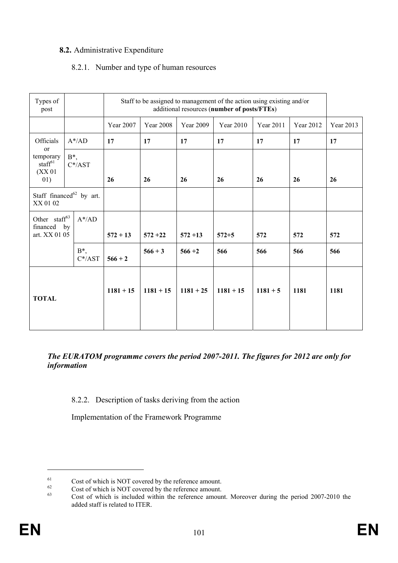# **8.2.** Administrative Expenditure

## 8.2.1. Number and type of human resources

| Types of<br>Staff to be assigned to management of the action using existing and/or<br>additional resources (number of posts/FTEs)<br>post |                             |             |                  |                  |             |            |           |           |
|-------------------------------------------------------------------------------------------------------------------------------------------|-----------------------------|-------------|------------------|------------------|-------------|------------|-----------|-----------|
|                                                                                                                                           |                             | Year 2007   | <b>Year 2008</b> | <b>Year 2009</b> | Year 2010   | Year 2011  | Year 2012 | Year 2013 |
| Officials                                                                                                                                 | $A^*$ /AD                   | 17          | 17               | 17               | 17          | 17         | 17        | 17        |
| or<br>temporary<br>staff <sup>61</sup><br>(XX <sub>01</sub> )<br>01)                                                                      | $B^*,$<br>$C^*/AST$         | 26          | 26               | 26               | 26          | 26         | 26        | 26        |
| XX 01 02                                                                                                                                  | Staff financed $62$ by art. |             |                  |                  |             |            |           |           |
| Other staff <sup>63</sup><br>financed<br>art. XX 01 05                                                                                    | $A^* / AD$<br>by            | $572 + 13$  | $572 + 22$       | $572 + 13$       | $572 + 5$   | 572        | 572       | 572       |
|                                                                                                                                           | $B^*$ ,<br>$C^*/AST$        | $566 + 2$   | $566 + 3$        | $566 + 2$        | 566         | 566        | 566       | 566       |
| <b>TOTAL</b>                                                                                                                              |                             | $1181 + 15$ | $1181 + 15$      | $1181 + 25$      | $1181 + 15$ | $1181 + 5$ | 1181      | 1181      |

## *The EURATOM programme covers the period 2007-2011. The figures for 2012 are only for information*

## 8.2.2. Description of tasks deriving from the action

Implementation of the Framework Programme

 $^{61}$  Cost of which is NOT covered by the reference amount.

 $^{62}$  Cost of which is NOT covered by the reference amount.

Cost of which is included within the reference amount. Moreover during the period 2007-2010 the added staff is related to ITER.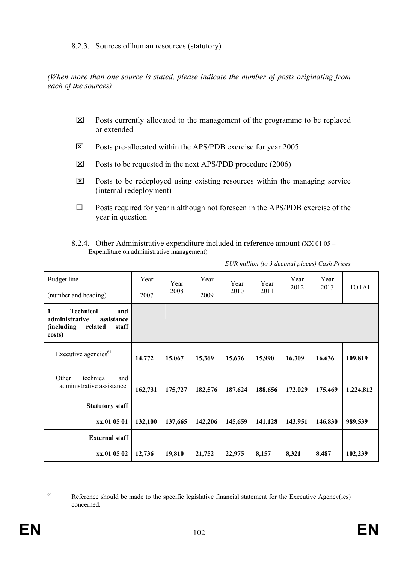### 8.2.3. Sources of human resources (statutory)

*(When more than one source is stated, please indicate the number of posts originating from each of the sources)* 

- $\boxtimes$  Posts currently allocated to the management of the programme to be replaced or extended
- ⌧ Posts pre-allocated within the APS/PDB exercise for year 2005
- $\boxtimes$  Posts to be requested in the next APS/PDB procedure (2006)
- $\boxtimes$  Posts to be redeployed using existing resources within the managing service (internal redeployment)
- $\square$  Posts required for year n although not foreseen in the APS/PDB exercise of the year in question
- 8.2.4. Other Administrative expenditure included in reference amount (XX 01 05 Expenditure on administrative management)

| Budget line<br>(number and heading)                                                                      | Year<br>2007 | Year<br>2008 | Year<br>2009 | Year<br>2010 | Year<br>2011 | Year<br>2012 | Year<br>2013 | <b>TOTAL</b> |
|----------------------------------------------------------------------------------------------------------|--------------|--------------|--------------|--------------|--------------|--------------|--------------|--------------|
| <b>Technical</b><br>1<br>and<br>administrative<br>assistance<br>(including<br>related<br>staff<br>costs) |              |              |              |              |              |              |              |              |
| Executive agencies <sup>64</sup>                                                                         | 14,772       | 15,067       | 15,369       | 15,676       | 15,990       | 16,309       | 16,636       | 109,819      |
| Other<br>technical<br>and<br>administrative assistance                                                   | 162,731      | 175,727      | 182,576      | 187,624      | 188,656      | 172,029      | 175,469      | 1.224,812    |
| <b>Statutory staff</b>                                                                                   |              |              |              |              |              |              |              |              |
| xx.01 05 01                                                                                              | 132,100      | 137,665      | 142,206      | 145,659      | 141,128      | 143,951      | 146,830      | 989,539      |
| <b>External staff</b>                                                                                    |              |              |              |              |              |              |              |              |
| xx.01 05 02                                                                                              | 12,736       | 19,810       | 21,752       | 22,975       | 8,157        | 8,321        | 8,487        | 102,239      |

*EUR million (to 3 decimal places) Cash Prices* 

<sup>&</sup>lt;sup>64</sup> Reference should be made to the specific legislative financial statement for the Executive Agency(ies) concerned.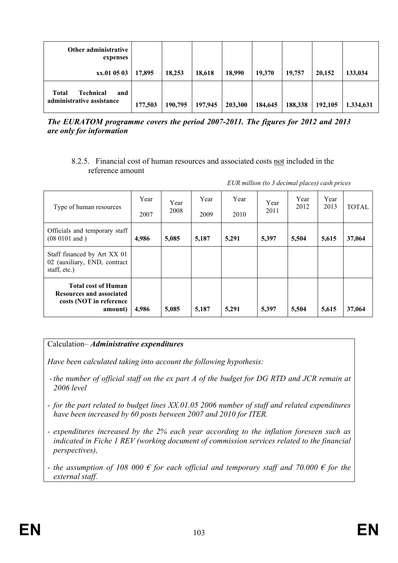| Other administrative<br>expenses                              |         |         |         |         |         |         |         |           |
|---------------------------------------------------------------|---------|---------|---------|---------|---------|---------|---------|-----------|
| xx.01 05 03                                                   | 17,895  | 18,253  | 18,618  | 18,990  | 19,370  | 19,757  | 20,152  | 133,034   |
| <b>Technical</b><br>Total<br>and<br>administrative assistance | 177,503 | 190,795 | 197,945 | 203,300 | 184,645 | 188,338 | 192,105 | 1.334,631 |

*The EURATOM programme covers the period 2007-2011. The figures for 2012 and 2013 are only for information* 

### 8.2.5. Financial cost of human resources and associated costs not included in the reference amount

| EUR million (to 3 decimal places) cash prices |  |  |  |
|-----------------------------------------------|--|--|--|
|                                               |  |  |  |

| Type of human resources                                                                             | Year<br>2007 | Year<br>2008 | Year<br>2009 | Year<br>2010 | Year<br>2011 | Year<br>2012 | Year<br>2013 | TOTAL  |
|-----------------------------------------------------------------------------------------------------|--------------|--------------|--------------|--------------|--------------|--------------|--------------|--------|
| Officials and temporary staff<br>$(08 0101$ and $)$                                                 | 4,986        | 5,085        | 5,187        | 5,291        | 5,397        | 5,504        | 5,615        | 37,064 |
| Staff financed by Art XX 01<br>02 (auxiliary, END, contract<br>staff, etc.)                         |              |              |              |              |              |              |              |        |
| <b>Total cost of Human</b><br><b>Resources and associated</b><br>costs (NOT in reference<br>amount) | 4,986        | 5,085        | 5,187        | 5,291        | 5,397        | 5,504        | 5,615        | 37,064 |

## Calculation– *Administrative expenditures*

*Have been calculated taking into account the following hypothesis:* 

- *the number of official staff on the ex part A of the budget for DG RTD and JCR remain at 2006 level*
- *for the part related to budget lines XX.01.05 2006 number of staff and related expenditures have been increased by 60 posts between 2007 and 2010 for ITER.*
- *expenditures increased by the 2% each year according to the inflation foreseen such as indicated in Fiche 1 REV (working document of commission services related to the financial perspectives),*
- *the assumption of 108 000*  $\epsilon$  *for each official and temporary staff and 70.000*  $\epsilon$  *for the external staff.*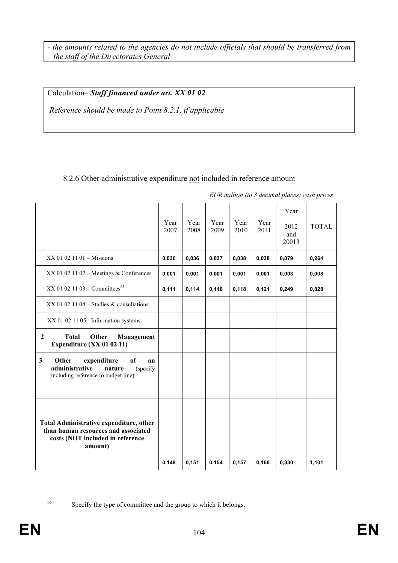*- the amounts related to the agencies do not include officials that should be transferred from the staff of the Directorates General* 

Calculation– *Staff financed under art. XX 01 02*

 *Reference should be made to Point 8.2.1, if applicable* 

# 8.2.6 Other administrative expenditure not included in reference amount

|                                                                                                                               | Year<br>2007 | Year<br>2008 | Year<br>2009 | Year<br>2010 | Year<br>2011 | Year<br>2012<br>and<br>20013 | <b>TOTAL</b> |
|-------------------------------------------------------------------------------------------------------------------------------|--------------|--------------|--------------|--------------|--------------|------------------------------|--------------|
| $XX$ 01 02 11 01 – Missions                                                                                                   |              | 0,036        | 0,037        | 0,038        | 0,038        | 0,079                        | 0,264        |
| $XX$ 01 02 11 02 - Meetings & Conferences                                                                                     | 0,001        | 0,001        | 0,001        | 0,001        | 0,001        | 0,003                        | 0,008        |
| XX 01 02 11 03 - Committees <sup>65</sup>                                                                                     |              | 0,114        | 0,116        | 0,118        | 0,121        | 0,249                        | 0,828        |
| $XX$ 01 02 11 04 – Studies & consultations                                                                                    |              |              |              |              |              |                              |              |
| XX 01 02 11 05 - Information systems                                                                                          |              |              |              |              |              |                              |              |
| <b>Total</b><br>Other<br>$\boldsymbol{2}$<br>Management<br>Expenditure (XX 01 02 11)                                          |              |              |              |              |              |                              |              |
| 3<br>Other<br>expenditure<br>of<br>an<br>administrative<br>nature<br>(specify<br>including reference to budget line)          |              |              |              |              |              |                              |              |
| Total Administrative expenditure, other<br>than human resources and associated<br>costs (NOT included in reference<br>amount) | 0.148        | 0,151        | 0,154        | 0,157        | 0,160        | 0.330                        | 1,101        |

*EUR million (to 3 decimal places) cash prices* 

65 Specify the type of committee and the group to which it belongs.